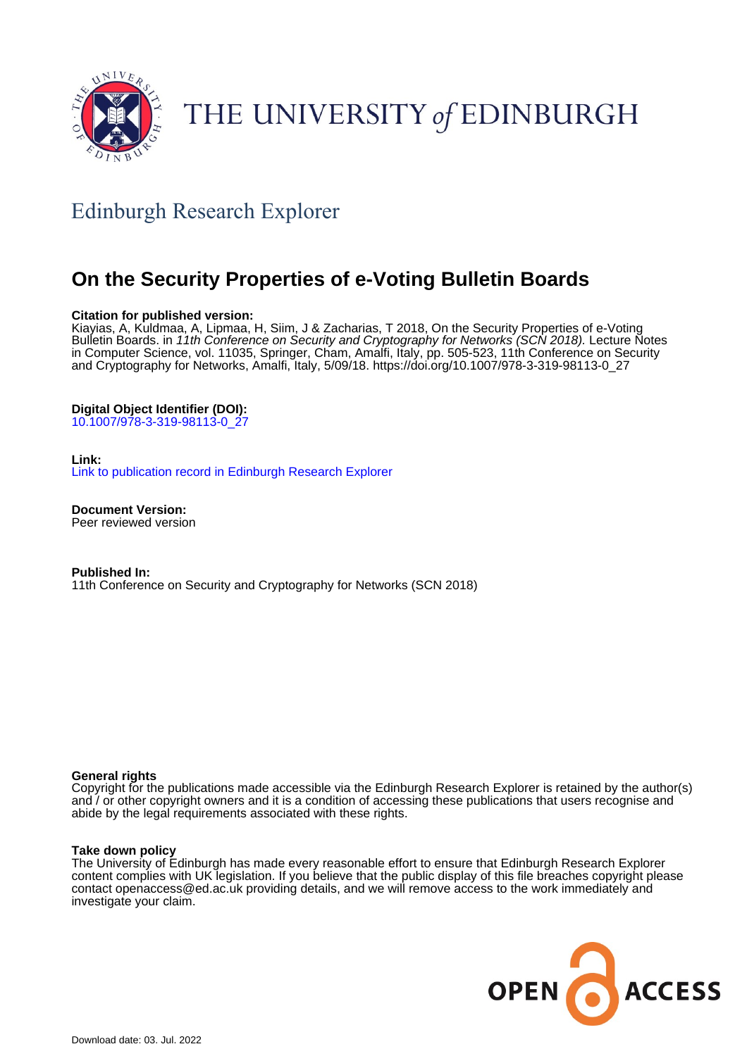

# THE UNIVERSITY of EDINBURGH

## Edinburgh Research Explorer

## **On the Security Properties of e-Voting Bulletin Boards**

## **Citation for published version:**

Kiayias, A, Kuldmaa, A, Lipmaa, H, Siim, J & Zacharias, T 2018, On the Security Properties of e-Voting Bulletin Boards. in 11th Conference on Security and Cryptography for Networks (SCN 2018). Lecture Notes in Computer Science, vol. 11035, Springer, Cham, Amalfi, Italy, pp. 505-523, 11th Conference on Security and Cryptography for Networks, Amalfi, Italy, 5/09/18. [https://doi.org/10.1007/978-3-319-98113-0\\_27](https://doi.org/10.1007/978-3-319-98113-0_27)

## **Digital Object Identifier (DOI):**

[10.1007/978-3-319-98113-0\\_27](https://doi.org/10.1007/978-3-319-98113-0_27)

## **Link:**

[Link to publication record in Edinburgh Research Explorer](https://www.research.ed.ac.uk/en/publications/e7cb2c8c-cc49-45e1-8b25-808ade7bb82d)

**Document Version:** Peer reviewed version

**Published In:** 11th Conference on Security and Cryptography for Networks (SCN 2018)

## **General rights**

Copyright for the publications made accessible via the Edinburgh Research Explorer is retained by the author(s) and / or other copyright owners and it is a condition of accessing these publications that users recognise and abide by the legal requirements associated with these rights.

#### **Take down policy**

The University of Edinburgh has made every reasonable effort to ensure that Edinburgh Research Explorer content complies with UK legislation. If you believe that the public display of this file breaches copyright please contact openaccess@ed.ac.uk providing details, and we will remove access to the work immediately and investigate your claim.

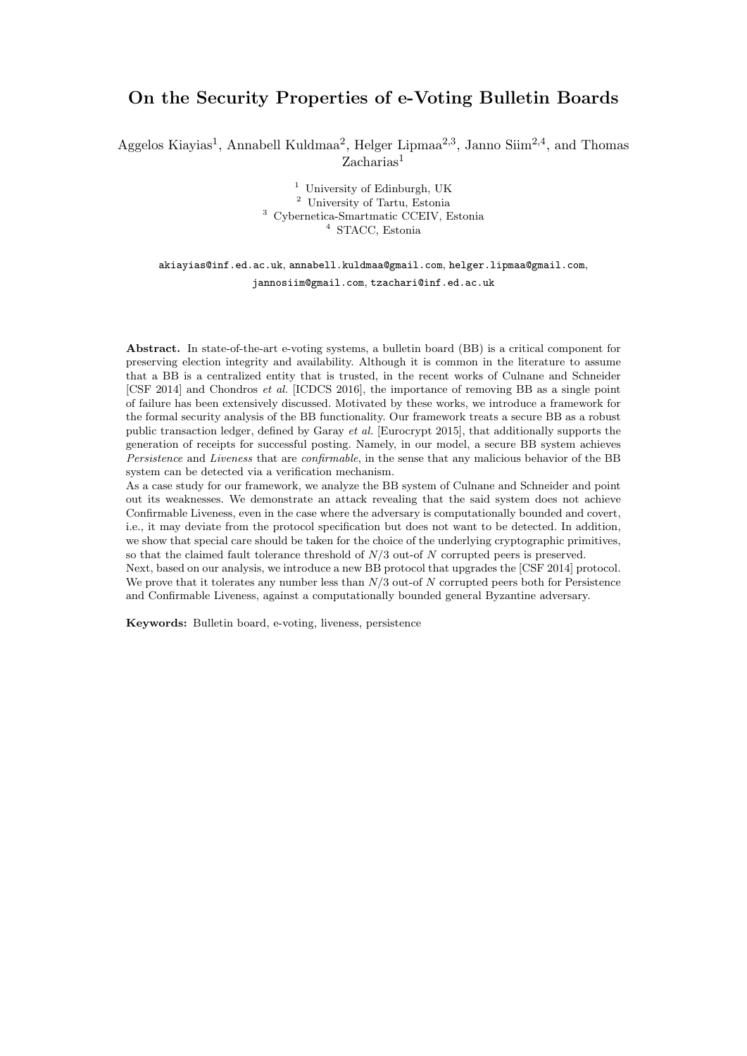## On the Security Properties of e-Voting Bulletin Boards

Aggelos Kiayias<sup>1</sup>, Annabell Kuldmaa<sup>2</sup>, Helger Lipmaa<sup>2,3</sup>, Janno Siim<sup>2,4</sup>, and Thomas Zacharias<sup>1</sup>

> University of Edinburgh, UK University of Tartu, Estonia Cybernetica-Smartmatic CCEIV, Estonia STACC, Estonia

## akiayias@inf.ed.ac.uk, annabell.kuldmaa@gmail.com, helger.lipmaa@gmail.com, jannosiim@gmail.com, tzachari@inf.ed.ac.uk

Abstract. In state-of-the-art e-voting systems, a bulletin board (BB) is a critical component for preserving election integrity and availability. Although it is common in the literature to assume that a BB is a centralized entity that is trusted, in the recent works of Culnane and Schneider [CSF 2014] and Chondros et al. [ICDCS 2016], the importance of removing BB as a single point of failure has been extensively discussed. Motivated by these works, we introduce a framework for the formal security analysis of the BB functionality. Our framework treats a secure BB as a robust public transaction ledger, defined by Garay et al. [Eurocrypt 2015], that additionally supports the generation of receipts for successful posting. Namely, in our model, a secure BB system achieves Persistence and Liveness that are confirmable, in the sense that any malicious behavior of the BB system can be detected via a verification mechanism.

As a case study for our framework, we analyze the BB system of Culnane and Schneider and point out its weaknesses. We demonstrate an attack revealing that the said system does not achieve Confirmable Liveness, even in the case where the adversary is computationally bounded and covert, i.e., it may deviate from the protocol specification but does not want to be detected. In addition, we show that special care should be taken for the choice of the underlying cryptographic primitives, so that the claimed fault tolerance threshold of N/3 out-of N corrupted peers is preserved. Next, based on our analysis, we introduce a new BB protocol that upgrades the [CSF 2014] protocol.

We prove that it tolerates any number less than  $N/3$  out-of  $N$  corrupted peers both for Persistence and Confirmable Liveness, against a computationally bounded general Byzantine adversary.

Keywords: Bulletin board, e-voting, liveness, persistence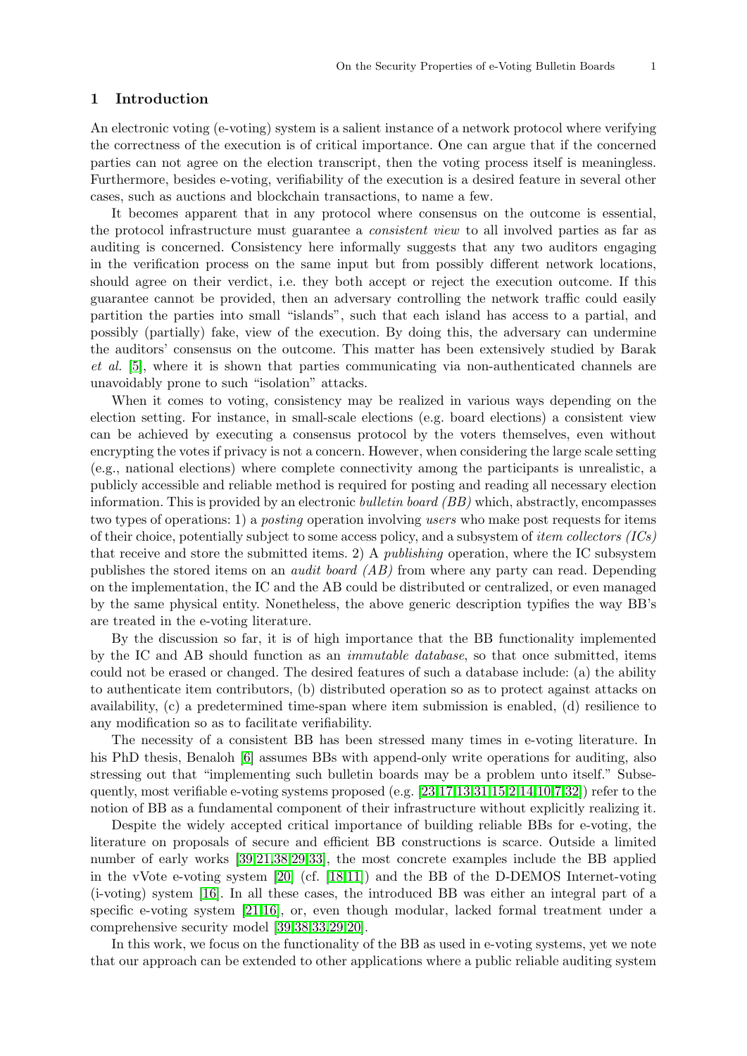#### 1 Introduction

An electronic voting (e-voting) system is a salient instance of a network protocol where verifying the correctness of the execution is of critical importance. One can argue that if the concerned parties can not agree on the election transcript, then the voting process itself is meaningless. Furthermore, besides e-voting, verifiability of the execution is a desired feature in several other cases, such as auctions and blockchain transactions, to name a few.

It becomes apparent that in any protocol where consensus on the outcome is essential, the protocol infrastructure must guarantee a consistent view to all involved parties as far as auditing is concerned. Consistency here informally suggests that any two auditors engaging in the verification process on the same input but from possibly different network locations, should agree on their verdict, i.e. they both accept or reject the execution outcome. If this guarantee cannot be provided, then an adversary controlling the network traffic could easily partition the parties into small "islands", such that each island has access to a partial, and possibly (partially) fake, view of the execution. By doing this, the adversary can undermine the auditors' consensus on the outcome. This matter has been extensively studied by Barak et al. [\[5\]](#page-16-0), where it is shown that parties communicating via non-authenticated channels are unavoidably prone to such "isolation" attacks.

When it comes to voting, consistency may be realized in various ways depending on the election setting. For instance, in small-scale elections (e.g. board elections) a consistent view can be achieved by executing a consensus protocol by the voters themselves, even without encrypting the votes if privacy is not a concern. However, when considering the large scale setting (e.g., national elections) where complete connectivity among the participants is unrealistic, a publicly accessible and reliable method is required for posting and reading all necessary election information. This is provided by an electronic *bulletin board (BB)* which, abstractly, encompasses two types of operations: 1) a posting operation involving users who make post requests for items of their choice, potentially subject to some access policy, and a subsystem of *item collectors*  $(ICs)$ that receive and store the submitted items. 2) A publishing operation, where the IC subsystem publishes the stored items on an audit board (AB) from where any party can read. Depending on the implementation, the IC and the AB could be distributed or centralized, or even managed by the same physical entity. Nonetheless, the above generic description typifies the way BB's are treated in the e-voting literature.

By the discussion so far, it is of high importance that the BB functionality implemented by the IC and AB should function as an immutable database, so that once submitted, items could not be erased or changed. The desired features of such a database include: (a) the ability to authenticate item contributors, (b) distributed operation so as to protect against attacks on availability, (c) a predetermined time-span where item submission is enabled, (d) resilience to any modification so as to facilitate verifiability.

The necessity of a consistent BB has been stressed many times in e-voting literature. In his PhD thesis, Benaloh [\[6\]](#page-16-1) assumes BBs with append-only write operations for auditing, also stressing out that "implementing such bulletin boards may be a problem unto itself." Subsequently, most verifiable e-voting systems proposed (e.g.  $[23,17,13,31,15,2,14,10,7,32]$  $[23,17,13,31,15,2,14,10,7,32]$  $[23,17,13,31,15,2,14,10,7,32]$  $[23,17,13,31,15,2,14,10,7,32]$  $[23,17,13,31,15,2,14,10,7,32]$  $[23,17,13,31,15,2,14,10,7,32]$  $[23,17,13,31,15,2,14,10,7,32]$  $[23,17,13,31,15,2,14,10,7,32]$  $[23,17,13,31,15,2,14,10,7,32]$  $[23,17,13,31,15,2,14,10,7,32]$ ) refer to the notion of BB as a fundamental component of their infrastructure without explicitly realizing it.

Despite the widely accepted critical importance of building reliable BBs for e-voting, the literature on proposals of secure and efficient BB constructions is scarce. Outside a limited number of early works [\[39,](#page-17-1)[21](#page-16-11)[,38](#page-17-2)[,29](#page-16-12)[,33\]](#page-17-3), the most concrete examples include the BB applied in the vVote e-voting system [\[20\]](#page-16-13) (cf. [\[18,](#page-16-14)[11\]](#page-16-15)) and the BB of the D-DEMOS Internet-voting (i-voting) system [\[16\]](#page-16-16). In all these cases, the introduced BB was either an integral part of a specific e-voting system [\[21,](#page-16-11)[16\]](#page-16-16), or, even though modular, lacked formal treatment under a comprehensive security model [\[39,](#page-17-1)[38,](#page-17-2)[33,](#page-17-3)[29,](#page-16-12)[20\]](#page-16-13).

In this work, we focus on the functionality of the BB as used in e-voting systems, yet we note that our approach can be extended to other applications where a public reliable auditing system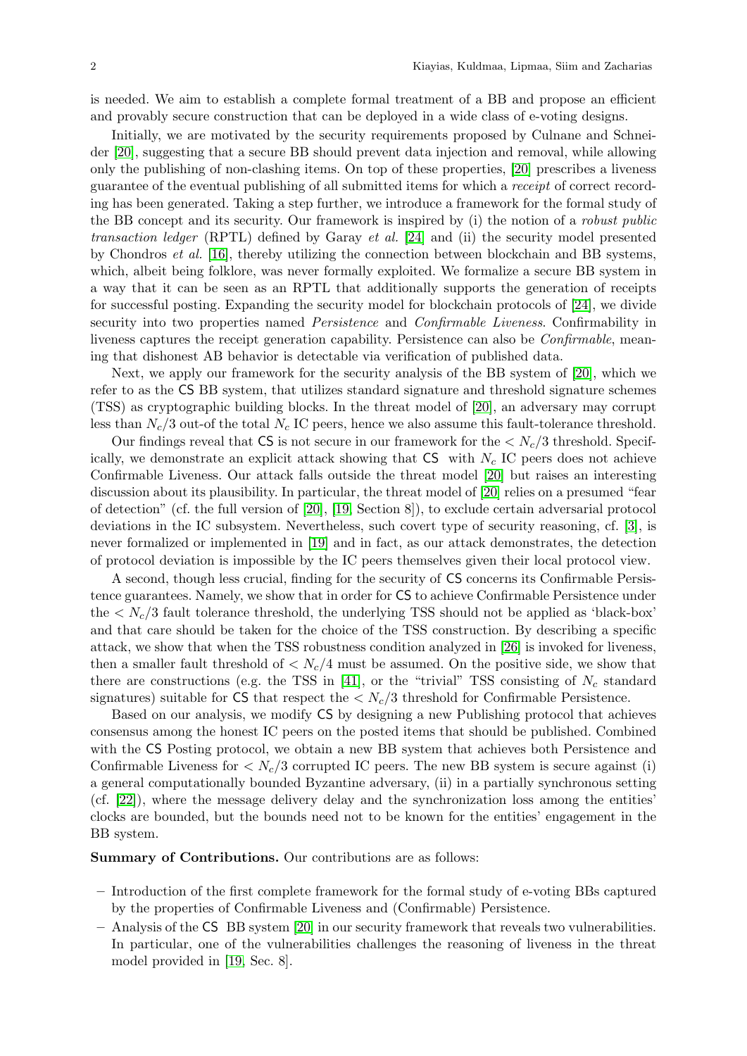is needed. We aim to establish a complete formal treatment of a BB and propose an efficient and provably secure construction that can be deployed in a wide class of e-voting designs.

Initially, we are motivated by the security requirements proposed by Culnane and Schneider [\[20\]](#page-16-13), suggesting that a secure BB should prevent data injection and removal, while allowing only the publishing of non-clashing items. On top of these properties, [\[20\]](#page-16-13) prescribes a liveness guarantee of the eventual publishing of all submitted items for which a receipt of correct recording has been generated. Taking a step further, we introduce a framework for the formal study of the BB concept and its security. Our framework is inspired by (i) the notion of a robust public transaction ledger (RPTL) defined by Garay et al. [\[24\]](#page-16-17) and (ii) the security model presented by Chondros et al. [\[16\]](#page-16-16), thereby utilizing the connection between blockchain and BB systems, which, albeit being folklore, was never formally exploited. We formalize a secure BB system in a way that it can be seen as an RPTL that additionally supports the generation of receipts for successful posting. Expanding the security model for blockchain protocols of [\[24\]](#page-16-17), we divide security into two properties named *Persistence* and *Confirmable Liveness*. Confirmability in liveness captures the receipt generation capability. Persistence can also be Confirmable, meaning that dishonest AB behavior is detectable via verification of published data.

Next, we apply our framework for the security analysis of the BB system of [\[20\]](#page-16-13), which we refer to as the CS BB system, that utilizes standard signature and threshold signature schemes (TSS) as cryptographic building blocks. In the threat model of [\[20\]](#page-16-13), an adversary may corrupt less than  $N_c/3$  out-of the total  $N_c$  IC peers, hence we also assume this fault-tolerance threshold.

Our findings reveal that CS is not secure in our framework for the  $\langle N_c/3 \rangle$  threshold. Specifically, we demonstrate an explicit attack showing that  $CS$  with  $N_c$  IC peers does not achieve Confirmable Liveness. Our attack falls outside the threat model [\[20\]](#page-16-13) but raises an interesting discussion about its plausibility. In particular, the threat model of [\[20\]](#page-16-13) relies on a presumed "fear of detection" (cf. the full version of [\[20\]](#page-16-13), [\[19,](#page-16-18) Section 8]), to exclude certain adversarial protocol deviations in the IC subsystem. Nevertheless, such covert type of security reasoning, cf. [\[3\]](#page-16-19), is never formalized or implemented in [\[19\]](#page-16-18) and in fact, as our attack demonstrates, the detection of protocol deviation is impossible by the IC peers themselves given their local protocol view.

A second, though less crucial, finding for the security of CS concerns its Confirmable Persistence guarantees. Namely, we show that in order for CS to achieve Confirmable Persistence under the  $\langle N_c/3$  fault tolerance threshold, the underlying TSS should not be applied as 'black-box' and that care should be taken for the choice of the TSS construction. By describing a specific attack, we show that when the TSS robustness condition analyzed in [\[26\]](#page-16-20) is invoked for liveness, then a smaller fault threshold of  $\langle N_c/4 \rangle$  must be assumed. On the positive side, we show that there are constructions (e.g. the TSS in [\[41\]](#page-17-4), or the "trivial" TSS consisting of  $N_c$  standard signatures) suitable for  $\text{CS}$  that respect the  $\langle N_c/3 \rangle$  threshold for Confirmable Persistence.

Based on our analysis, we modify CS by designing a new Publishing protocol that achieves consensus among the honest IC peers on the posted items that should be published. Combined with the CS Posting protocol, we obtain a new BB system that achieves both Persistence and Confirmable Liveness for  $\langle N_c/3 \rangle$  corrupted IC peers. The new BB system is secure against (i) a general computationally bounded Byzantine adversary, (ii) in a partially synchronous setting (cf. [\[22\]](#page-16-21)), where the message delivery delay and the synchronization loss among the entities' clocks are bounded, but the bounds need not to be known for the entities' engagement in the BB system.

Summary of Contributions. Our contributions are as follows:

- Introduction of the first complete framework for the formal study of e-voting BBs captured by the properties of Confirmable Liveness and (Confirmable) Persistence.
- Analysis of the CS BB system [\[20\]](#page-16-13) in our security framework that reveals two vulnerabilities. In particular, one of the vulnerabilities challenges the reasoning of liveness in the threat model provided in [\[19,](#page-16-18) Sec. 8].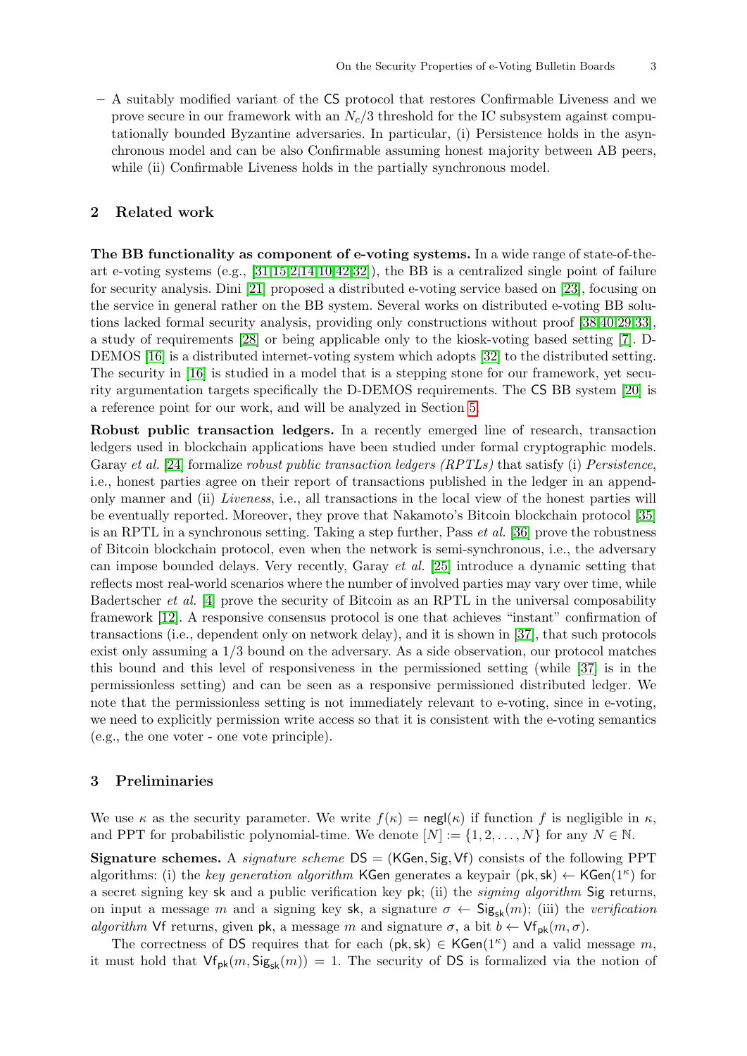– A suitably modified variant of the CS protocol that restores Confirmable Liveness and we prove secure in our framework with an  $N_c/3$  threshold for the IC subsystem against computationally bounded Byzantine adversaries. In particular, (i) Persistence holds in the asynchronous model and can be also Confirmable assuming honest majority between AB peers, while (ii) Confirmable Liveness holds in the partially synchronous model.

## 2 Related work

The BB functionality as component of e-voting systems. In a wide range of state-of-theart e-voting systems (e.g.,  $[31,15,2,14,10,42,32]$  $[31,15,2,14,10,42,32]$  $[31,15,2,14,10,42,32]$  $[31,15,2,14,10,42,32]$  $[31,15,2,14,10,42,32]$  $[31,15,2,14,10,42,32]$  $[31,15,2,14,10,42,32]$ ), the BB is a centralized single point of failure for security analysis. Dini [\[21\]](#page-16-11) proposed a distributed e-voting service based on [\[23\]](#page-16-2), focusing on the service in general rather on the BB system. Several works on distributed e-voting BB solutions lacked formal security analysis, providing only constructions without proof [\[38,](#page-17-2)[40,](#page-17-6)[29,](#page-16-12)[33\]](#page-17-3), a study of requirements [\[28\]](#page-16-22) or being applicable only to the kiosk-voting based setting [\[7\]](#page-16-10). D-DEMOS [\[16\]](#page-16-16) is a distributed internet-voting system which adopts [\[32\]](#page-17-0) to the distributed setting. The security in [\[16\]](#page-16-16) is studied in a model that is a stepping stone for our framework, yet security argumentation targets specifically the D-DEMOS requirements. The CS BB system [\[20\]](#page-16-13) is a reference point for our work, and will be analyzed in Section [5.](#page-9-0)

Robust public transaction ledgers. In a recently emerged line of research, transaction ledgers used in blockchain applications have been studied under formal cryptographic models. Garay et al. [\[24\]](#page-16-17) formalize robust public transaction ledgers (RPTLs) that satisfy (i) Persistence, i.e., honest parties agree on their report of transactions published in the ledger in an appendonly manner and (ii) Liveness, i.e., all transactions in the local view of the honest parties will be eventually reported. Moreover, they prove that Nakamoto's Bitcoin blockchain protocol [\[35\]](#page-17-7) is an RPTL in a synchronous setting. Taking a step further, Pass  $et al.$  [\[36\]](#page-17-8) prove the robustness of Bitcoin blockchain protocol, even when the network is semi-synchronous, i.e., the adversary can impose bounded delays. Very recently, Garay et al. [\[25\]](#page-16-23) introduce a dynamic setting that reflects most real-world scenarios where the number of involved parties may vary over time, while Badertscher et al. [\[4\]](#page-16-24) prove the security of Bitcoin as an RPTL in the universal composability framework [\[12\]](#page-16-25). A responsive consensus protocol is one that achieves "instant" confirmation of transactions (i.e., dependent only on network delay), and it is shown in [\[37\]](#page-17-9), that such protocols exist only assuming a 1/3 bound on the adversary. As a side observation, our protocol matches this bound and this level of responsiveness in the permissioned setting (while [\[37\]](#page-17-9) is in the permissionless setting) and can be seen as a responsive permissioned distributed ledger. We note that the permissionless setting is not immediately relevant to e-voting, since in e-voting, we need to explicitly permission write access so that it is consistent with the e-voting semantics (e.g., the one voter - one vote principle).

#### <span id="page-4-0"></span>3 Preliminaries

We use  $\kappa$  as the security parameter. We write  $f(\kappa) = \text{negl}(\kappa)$  if function f is negligible in  $\kappa$ , and PPT for probabilistic polynomial-time. We denote  $[N] := \{1, 2, ..., N\}$  for any  $N \in \mathbb{N}$ .

**Signature schemes.** A *signature scheme*  $DS = (KGen, Sig, Vf)$  consists of the following PPT algorithms: (i) the key generation algorithm KGen generates a keypair  $(\mathsf{pk}, \mathsf{sk}) \leftarrow \mathsf{KGen}(1^{\kappa})$  for a secret signing key sk and a public verification key pk; (ii) the signing algorithm Sig returns, on input a message m and a signing key sk, a signature  $\sigma \leftarrow \text{Sig}_{sk}(m)$ ; (iii) the verification algorithm Vf returns, given pk, a message m and signature  $\sigma$ , a bit  $b \leftarrow \forall f_{\text{pk}}(m, \sigma)$ .

The correctness of DS requires that for each  $(\mathsf{pk}, \mathsf{sk}) \in \mathsf{KGen}(1^{\kappa})$  and a valid message m, it must hold that  $\mathsf{Vf}_{\mathsf{pk}}(m, \mathsf{Sig}_{\mathsf{sk}}(m)) = 1$ . The security of DS is formalized via the notion of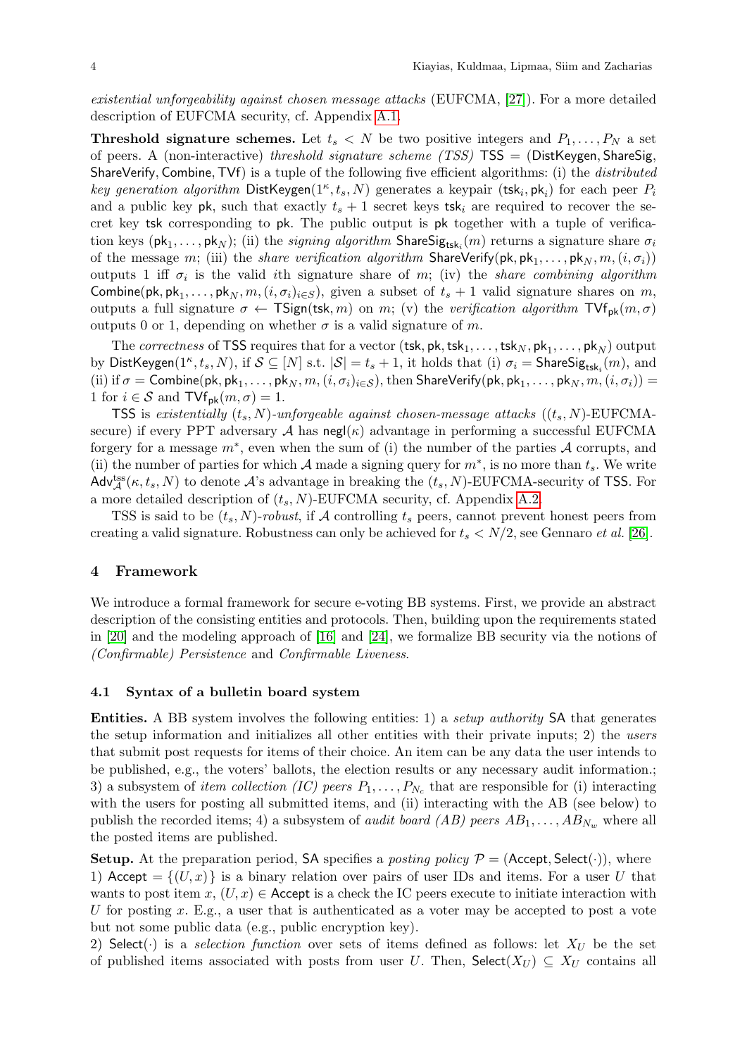existential unforgeability against chosen message attacks (EUFCMA, [\[27\]](#page-16-26)). For a more detailed description of EUFCMA security, cf. Appendix [A.1.](#page-17-10)

**Threshold signature schemes.** Let  $t_s < N$  be two positive integers and  $P_1, \ldots, P_N$  a set of peers. A (non-interactive) threshold signature scheme (TSS)  $TSS = (DistKeygen, ShareSig,$ ShareVerify, Combine, TVf) is a tuple of the following five efficient algorithms: (i) the *distributed* key generation algorithm DistKeygen( $1^{\kappa}, t_s, N$ ) generates a keypair (tsk<sub>i</sub>, pk<sub>i</sub>) for each peer  $P_i$ and a public key pk, such that exactly  $t_s + 1$  secret keys tsk<sub>i</sub> are required to recover the secret key tsk corresponding to pk. The public output is pk together with a tuple of verification keys  $(\mathsf{pk}_1,\ldots,\mathsf{pk}_N)$ ; (ii) the *signing algorithm* ShareSi $\mathsf{g}_{\mathsf{tsk}_i}(m)$  returns a signature share  $\sigma_i$ of the message  $m;$  (iii) the *share verification algorithm*  $\mathsf{ShareVerify}(\mathsf{pk}, \mathsf{pk}_1, \ldots, \mathsf{pk}_N, m, (i, \sigma_i))$ outputs 1 iff  $\sigma_i$  is the valid ith signature share of m; (iv) the *share combining algorithm* Combine(pk,  $pk_1, \ldots, pk_N, m, (i, \sigma_i)_{i \in S}$ ), given a subset of  $t_s + 1$  valid signature shares on m, outputs a full signature  $\sigma \leftarrow \text{TSign}(\text{tsk}, m)$  on m; (v) the verification algorithm  $\text{TVf}_{\text{pk}}(m, \sigma)$ outputs 0 or 1, depending on whether  $\sigma$  is a valid signature of m.

The *correctness* of TSS requires that for a vector  $(\textsf{tsk}, \textsf{pk}, \textsf{tsk}_1, \ldots, \textsf{tsk}_N, \textsf{pk}_1, \ldots, \textsf{pk}_N)$  output by DistKeygen $(1^{\kappa}, t_s, N)$ , if  $\mathcal{S} \subseteq [N]$  s.t.  $|\mathcal{S}| = t_s + 1$ , it holds that (i)  $\sigma_i =$  ShareSig<sub>tsk<sub>i</sub></sub> $(m)$ , and (ii) if  $\sigma = \textsf{Combine}(\textsf{pk},\textsf{pk}_1,\ldots,\textsf{pk}_N,m,(i,\sigma_i)_{i\in\mathcal{S}})$ , then ShareVerify(pk, pk<sub>1</sub>, . . . , pk<sub>N</sub>,  $m,(i,\sigma_i))=$ 1 for  $i \in \mathcal{S}$  and  $\mathsf{TVf}_{\mathsf{pk}}(m, \sigma) = 1$ .

TSS is existentially  $(t_s, N)$ -unforgeable against chosen-message attacks  $((t_s, N)$ -EUFCMAsecure) if every PPT adversary  $\mathcal A$  has negl( $\kappa$ ) advantage in performing a successful EUFCMA forgery for a message  $m^*$ , even when the sum of (i) the number of the parties A corrupts, and (ii) the number of parties for which A made a signing query for  $m^*$ , is no more than  $t_s$ . We write Adv<sup>tss</sup> $(\kappa, t_s, N)$  to denote A's advantage in breaking the  $(t_s, N)$ -EUFCMA-security of TSS. For a more detailed description of  $(t_s, N)$ -EUFCMA security, cf. Appendix [A.2.](#page-17-11)

TSS is said to be  $(t_s, N)$ -robust, if A controlling  $t_s$  peers, cannot prevent honest peers from creating a valid signature. Robustness can only be achieved for  $t_s < N/2$ , see Gennaro *et al.* [\[26\]](#page-16-20).

#### <span id="page-5-0"></span>4 Framework

We introduce a formal framework for secure e-voting BB systems. First, we provide an abstract description of the consisting entities and protocols. Then, building upon the requirements stated in [\[20\]](#page-16-13) and the modeling approach of [\[16\]](#page-16-16) and [\[24\]](#page-16-17), we formalize BB security via the notions of (Confirmable) Persistence and Confirmable Liveness.

#### <span id="page-5-1"></span>4.1 Syntax of a bulletin board system

Entities. A BB system involves the following entities: 1) a setup authority SA that generates the setup information and initializes all other entities with their private inputs; 2) the users that submit post requests for items of their choice. An item can be any data the user intends to be published, e.g., the voters' ballots, the election results or any necessary audit information.; 3) a subsystem of *item collection (IC) peers*  $P_1, \ldots, P_{N_c}$  that are responsible for (i) interacting with the users for posting all submitted items, and (ii) interacting with the AB (see below) to publish the recorded items; 4) a subsystem of *audit board (AB) peers*  $AB_1, \ldots, AB_{N_w}$  where all the posted items are published.

**Setup.** At the preparation period, SA specifies a *posting policy*  $\mathcal{P} =$  (Accept, Select(.)), where 1) Accept  $=\{(U, x)\}\$ is a binary relation over pairs of user IDs and items. For a user U that wants to post item  $x, (U, x) \in \text{Accept}$  is a check the IC peers execute to initiate interaction with U for posting x. E.g., a user that is authenticated as a voter may be accepted to post a vote but not some public data (e.g., public encryption key).

2) Select( $\cdot$ ) is a selection function over sets of items defined as follows: let  $X_U$  be the set of published items associated with posts from user U. Then,  $\mathsf{Select}(X_U) \subseteq X_U$  contains all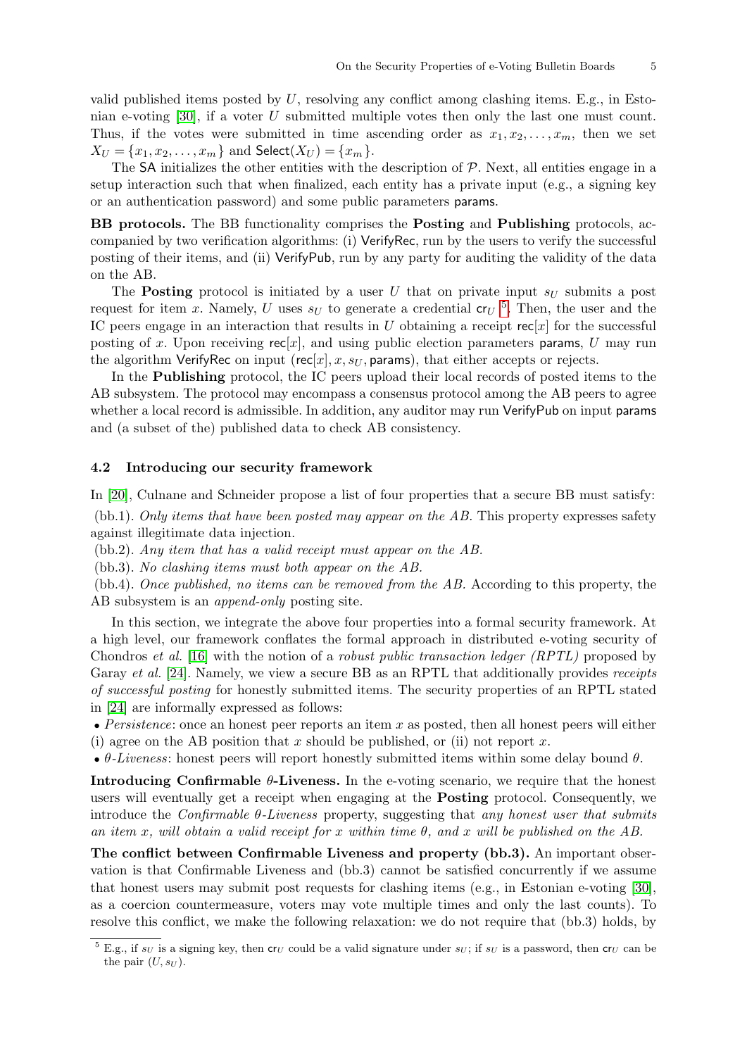valid published items posted by  $U$ , resolving any conflict among clashing items. E.g., in Estonian e-voting  $[30]$ , if a voter U submitted multiple votes then only the last one must count. Thus, if the votes were submitted in time ascending order as  $x_1, x_2, \ldots, x_m$ , then we set  $X_U = \{x_1, x_2, \ldots, x_m\}$  and  $\mathsf{Select}(X_U) = \{x_m\}.$ 

The SA initializes the other entities with the description of  $P$ . Next, all entities engage in a setup interaction such that when finalized, each entity has a private input (e.g., a signing key or an authentication password) and some public parameters params.

BB protocols. The BB functionality comprises the Posting and Publishing protocols, accompanied by two verification algorithms: (i) VerifyRec, run by the users to verify the successful posting of their items, and (ii) VerifyPub, run by any party for auditing the validity of the data on the AB.

The **Posting** protocol is initiated by a user U that on private input  $s_U$  submits a post request for item x. Namely, U uses  $s_U$  to generate a credential  ${\rm cr}_U$ <sup>[5](#page-6-0)</sup>. Then, the user and the IC peers engage in an interaction that results in U obtaining a receipt  $rec[x]$  for the successful posting of x. Upon receiving  $rec[x]$ , and using public election parameters params, U may run the algorithm VerifyRec on input (rec[x], x, s<sub>U</sub>, params), that either accepts or rejects.

In the Publishing protocol, the IC peers upload their local records of posted items to the AB subsystem. The protocol may encompass a consensus protocol among the AB peers to agree whether a local record is admissible. In addition, any auditor may run VerifyPub on input params and (a subset of the) published data to check AB consistency.

#### 4.2 Introducing our security framework

In [\[20\]](#page-16-13), Culnane and Schneider propose a list of four properties that a secure BB must satisfy:

(bb.1). Only items that have been posted may appear on the AB. This property expresses safety against illegitimate data injection.

(bb.2). Any item that has a valid receipt must appear on the AB.

(bb.3). No clashing items must both appear on the AB.

(bb.4). Once published, no items can be removed from the AB. According to this property, the AB subsystem is an append-only posting site.

In this section, we integrate the above four properties into a formal security framework. At a high level, our framework conflates the formal approach in distributed e-voting security of Chondros et al. [\[16\]](#page-16-16) with the notion of a robust public transaction ledger (RPTL) proposed by Garay *et al.* [\[24\]](#page-16-17). Namely, we view a secure BB as an RPTL that additionally provides *receipts* of successful posting for honestly submitted items. The security properties of an RPTL stated in [\[24\]](#page-16-17) are informally expressed as follows:

• Persistence: once an honest peer reports an item  $x$  as posted, then all honest peers will either (i) agree on the AB position that x should be published, or (ii) not report x.

•  $\theta$ -Liveness: honest peers will report honestly submitted items within some delay bound  $\theta$ .

Introducing Confirmable  $\theta$ -Liveness. In the e-voting scenario, we require that the honest users will eventually get a receipt when engaging at the Posting protocol. Consequently, we introduce the *Confirmable*  $\theta$ *-Liveness* property, suggesting that *any honest user that submits* an item x, will obtain a valid receipt for x within time  $\theta$ , and x will be published on the AB.

The conflict between Confirmable Liveness and property (bb.3). An important observation is that Confirmable Liveness and (bb.3) cannot be satisfied concurrently if we assume that honest users may submit post requests for clashing items (e.g., in Estonian e-voting [\[30\]](#page-16-27), as a coercion countermeasure, voters may vote multiple times and only the last counts). To resolve this conflict, we make the following relaxation: we do not require that (bb.3) holds, by

<span id="page-6-0"></span> $\frac{5}{5}$  E.g., if s<sub>U</sub> is a signing key, then cr<sub>U</sub> could be a valid signature under s<sub>U</sub>; if s<sub>U</sub> is a password, then cr<sub>U</sub> can be the pair  $(U, s_U)$ .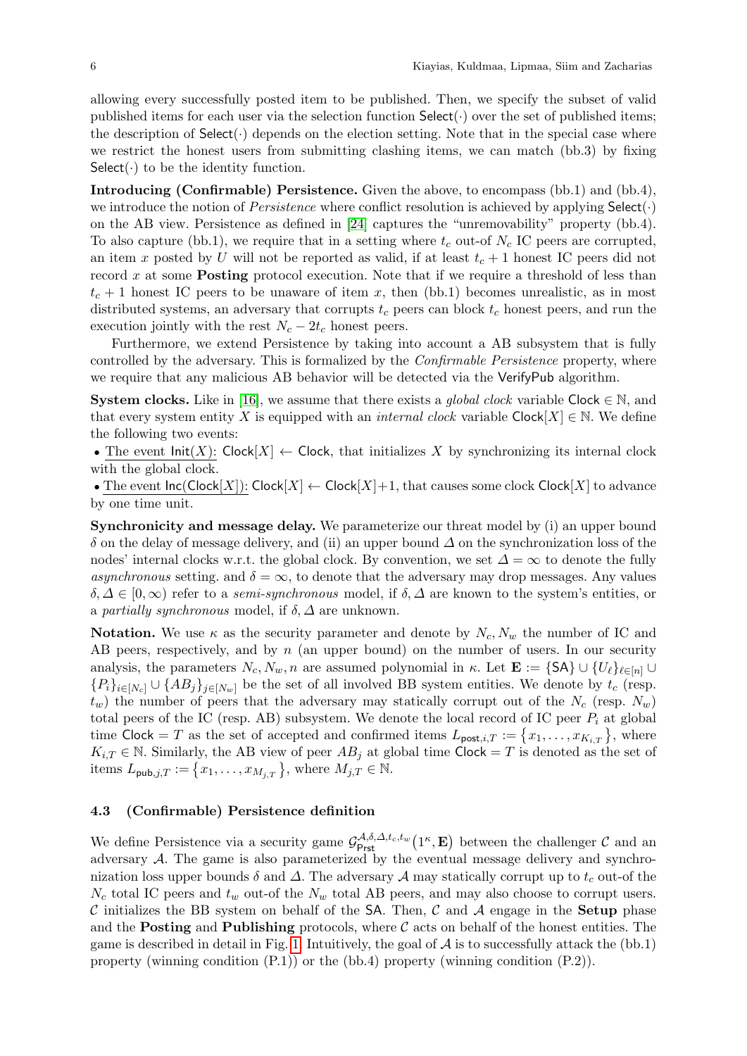allowing every successfully posted item to be published. Then, we specify the subset of valid published items for each user via the selection function  $\mathsf{Select}(\cdot)$  over the set of published items; the description of  $\text{Select}(\cdot)$  depends on the election setting. Note that in the special case where we restrict the honest users from submitting clashing items, we can match (bb.3) by fixing Select( $\cdot$ ) to be the identity function.

Introducing (Confirmable) Persistence. Given the above, to encompass (bb.1) and (bb.4), we introduce the notion of *Persistence* where conflict resolution is achieved by applying  $\text{Select}(\cdot)$ on the AB view. Persistence as defined in [\[24\]](#page-16-17) captures the "unremovability" property (bb.4). To also capture (bb.1), we require that in a setting where  $t_c$  out-of  $N_c$  IC peers are corrupted, an item x posted by U will not be reported as valid, if at least  $t_c + 1$  honest IC peers did not record x at some **Posting** protocol execution. Note that if we require a threshold of less than  $t_c + 1$  honest IC peers to be unaware of item x, then (bb.1) becomes unrealistic, as in most distributed systems, an adversary that corrupts  $t_c$  peers can block  $t_c$  honest peers, and run the execution jointly with the rest  $N_c - 2t_c$  honest peers.

Furthermore, we extend Persistence by taking into account a AB subsystem that is fully controlled by the adversary. This is formalized by the *Confirmable Persistence* property, where we require that any malicious AB behavior will be detected via the VerifyPub algorithm.

**System clocks.** Like in [\[16\]](#page-16-16), we assume that there exists a *global clock* variable Clock  $\in \mathbb{N}$ , and that every system entity X is equipped with an *internal clock* variable  $Clock[X] \in N$ . We define the following two events:

• The event  $Init(X)$ : Clock $[X] \leftarrow$  Clock, that initializes X by synchronizing its internal clock with the global clock.

• The event  $\textsf{Inc}(\textsf{Clock}[X])$ :  $\textsf{Clock}[X] \leftarrow \textsf{Clock}[X] + 1$ , that causes some clock  $\textsf{Clock}[X]$  to advance by one time unit.

Synchronicity and message delay. We parameterize our threat model by (i) an upper bound  $\delta$  on the delay of message delivery, and (ii) an upper bound  $\Delta$  on the synchronization loss of the nodes' internal clocks w.r.t. the global clock. By convention, we set  $\Delta = \infty$  to denote the fully asynchronous setting. and  $\delta = \infty$ , to denote that the adversary may drop messages. Any values  $\delta, \Delta \in [0, \infty)$  refer to a *semi-synchronous* model, if  $\delta, \Delta$  are known to the system's entities, or a partially synchronous model, if  $\delta$ ,  $\Delta$  are unknown.

**Notation.** We use  $\kappa$  as the security parameter and denote by  $N_c$ ,  $N_w$  the number of IC and AB peers, respectively, and by  $n$  (an upper bound) on the number of users. In our security analysis, the parameters  $N_c, N_w, n$  are assumed polynomial in  $\kappa$ . Let  $\mathbf{E} := \{SA\} \cup \{U_\ell\}_{\ell \in [n]} \cup$  ${P_i}_{i\in[N_c]} \cup {AB_i}_{i\in[N_w]}$  be the set of all involved BB system entities. We denote by  $t_c$  (resp.  $t_w$ ) the number of peers that the adversary may statically corrupt out of the  $N_c$  (resp.  $N_w$ ) total peers of the IC (resp. AB) subsystem. We denote the local record of IC peer  $P_i$  at global time Clock = T as the set of accepted and confirmed items  $L_{\text{post},i,T} := \{x_1, \ldots, x_{K_{i,T}}\},\$  where  $K_{i,T} \in \mathbb{N}$ . Similarly, the AB view of peer  $AB_j$  at global time Clock = T is denoted as the set of items  $L_{\mathsf{pub},j,T} := \{x_1, \ldots, x_{M_j,T}\}$ , where  $M_{j,T} \in \mathbb{N}$ .

#### 4.3 (Confirmable) Persistence definition

We define Persistence via a security game  $\mathcal{G}^{\mathcal{A},\delta,\Delta,t_c,t_w}_{\text{Prst}}(1^{\kappa},\mathbf{E})$  between the challenger  $\mathcal{C}$  and an adversary  $A$ . The game is also parameterized by the eventual message delivery and synchronization loss upper bounds  $\delta$  and  $\Delta$ . The adversary  $\mathcal A$  may statically corrupt up to  $t_c$  out-of the  $N_c$  total IC peers and  $t_w$  out-of the  $N_w$  total AB peers, and may also choose to corrupt users. C initializes the BB system on behalf of the SA. Then, C and A engage in the **Setup** phase and the **Posting** and **Publishing** protocols, where  $\mathcal{C}$  acts on behalf of the honest entities. The game is described in detail in Fig. [1.](#page-8-0) Intuitively, the goal of  $\mathcal A$  is to successfully attack the (bb.1) property (winning condition (P.1)) or the (bb.4) property (winning condition (P.2)).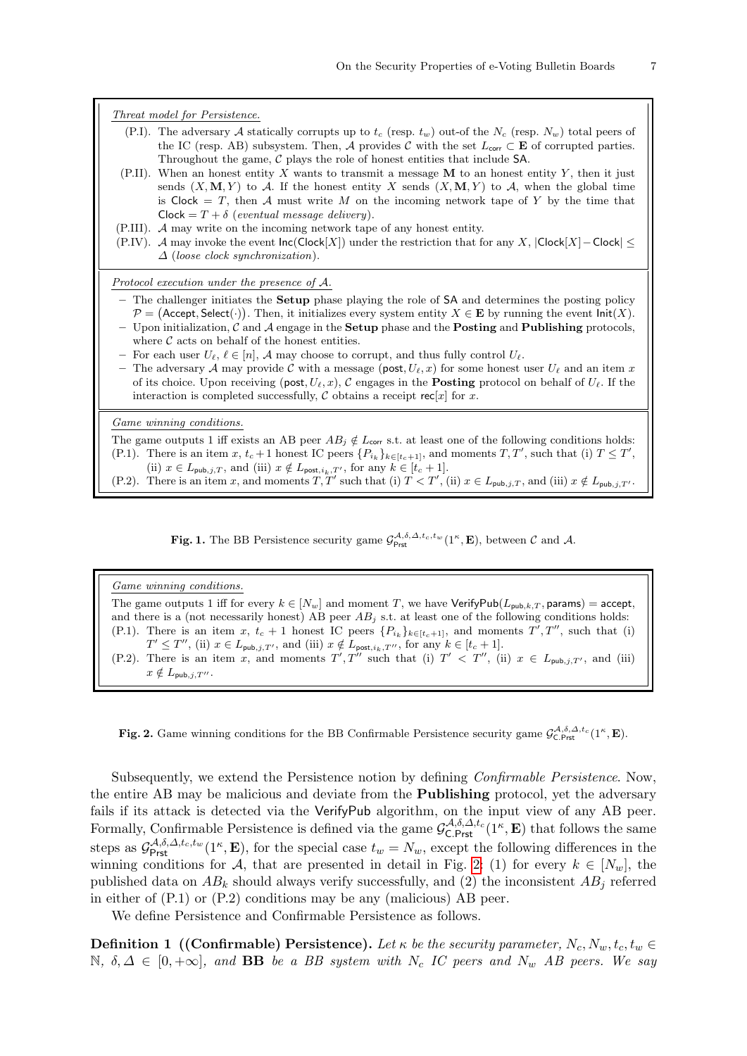<span id="page-8-0"></span>**Fig. 1.** The BB Persistence security game  $\mathcal{G}^{A,\delta,\Delta,t_c,t_w}_{\text{Prst}}(1^{\kappa}, \mathbf{E})$ , between  $\mathcal{C}$  and  $\mathcal{A}$ .

#### Game winning conditions.

The game outputs 1 iff for every  $k \in [N_w]$  and moment T, we have VerifyPub $(L_{pub,k,T},$  params) = accept, and there is a (not necessarily honest) AB peer  $AB_j$  s.t. at least one of the following conditions holds: (P.1). There is an item x,  $t_c + 1$  honest IC peers  $\{P_{i_k}\}_{k \in [t_c+1]}$ , and moments  $T', T'',$  such that (i)  $T' \leq T''$ , (ii)  $x \in L_{\text{pub},j,T'}$ , and (iii)  $x \notin L_{\text{post},i_k,T''}$ , for any  $k \in [t_c+1]$ . (P.2). There is an item x, and moments  $T', T''$  such that (i)  $T' < T''$ , (ii)  $x \in L_{\text{pub},j,T'}$ , and (iii)  $x \notin L_{\text{pub},j,T''}.$ 

<span id="page-8-1"></span>Fig. 2. Game winning conditions for the BB Confirmable Persistence security game  $\mathcal{G}^{\mathcal{A},\delta,\Delta,t_c}_{\mathsf{C}.Prst}(\mathbb{1}^{\kappa},\mathbf{E}).$ 

Subsequently, we extend the Persistence notion by defining Confirmable Persistence. Now, the entire AB may be malicious and deviate from the Publishing protocol, yet the adversary fails if its attack is detected via the VerifyPub algorithm, on the input view of any AB peer. Formally, Confirmable Persistence is defined via the game  $\mathcal{G}_{\text{C.Prst}}^{\mathcal{A},\delta,\Delta,t_c}(1,\mathbf{E})$  that follows the same steps as  $\mathcal{G}^{\mathcal{A},\delta,\Delta,t_c,t_w}_{\text{Prst}}(1^{\kappa},\mathbf{E})$ , for the special case  $t_w = N_w$ , except the following differences in the winning conditions for A, that are presented in detail in Fig. [2:](#page-8-1) (1) for every  $k \in [N_w]$ , the published data on  $AB_k$  should always verify successfully, and (2) the inconsistent  $AB_j$  referred in either of (P.1) or (P.2) conditions may be any (malicious) AB peer.

We define Persistence and Confirmable Persistence as follows.

**Definition 1** ((Confirmable) Persistence). Let  $\kappa$  be the security parameter,  $N_c$ ,  $N_w$ ,  $t_c$ ,  $t_w$ N,  $\delta, \Delta \in [0, +\infty]$ , and **BB** be a BB system with N<sub>c</sub> IC peers and N<sub>w</sub> AB peers. We say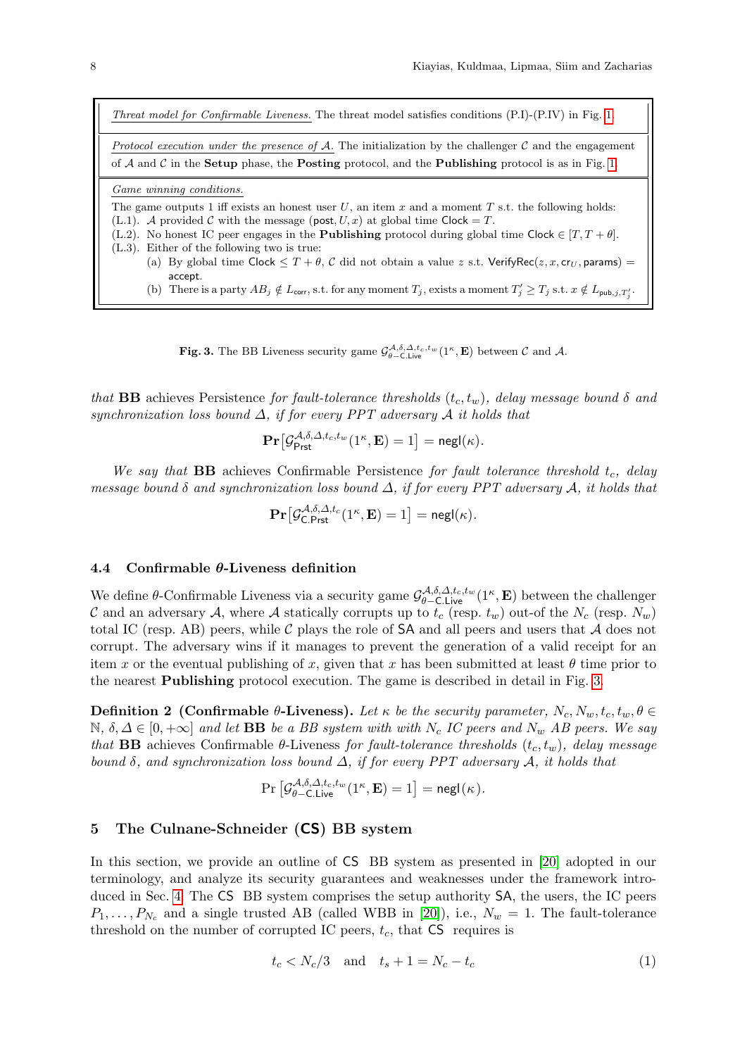Threat model for Confirmable Liveness. The threat model satisfies conditions (P.I)-(P.IV) in Fig. [1.](#page-8-0) Protocol execution under the presence of  $A$ . The initialization by the challenger  $C$  and the engagement of  $A$  and  $C$  in the **Setup** phase, the **Posting** protocol, and the **Publishing** protocol is as in Fig. [1.](#page-8-0) Game winning conditions. The game outputs 1 iff exists an honest user  $U$ , an item  $x$  and a moment  $T$  s.t. the following holds: (L.1). A provided C with the message (post,  $U, x$ ) at global time Clock = T. (L.2). No honest IC peer engages in the **Publishing** protocol during global time Clock  $\in$   $[T, T + \theta]$ . (L.3). Either of the following two is true: (a) By global time Clock  $\leq T + \theta$ , C did not obtain a value z s.t. VerifyRec( $z, x, cr_U$ , params) = accept. (b) There is a party  $AB_j \notin L_{\text{corr}}$ , s.t. for any moment  $T_j$ , exists a moment  $T'_j \geq T_j$  s.t.  $x \notin L_{\text{pub},j,T'_j}$ .

<span id="page-9-1"></span>**Fig. 3.** The BB Liveness security game  $\mathcal{G}_{\theta-\text{C-Live}}^{A,\delta,\Delta,t_c,t_w}(1^\kappa,\mathbf{E})$  between  $\mathcal C$  and  $\mathcal A$ .

that **BB** achieves Persistence for fault-tolerance thresholds  $(t_c, t_w)$ , delay message bound  $\delta$  and synchronization loss bound  $\Delta$ , if for every PPT adversary  $\mathcal A$  it holds that

$$
\mathbf{Pr}\big[\mathcal{G}^{\mathcal{A},\delta,\mathcal{\Delta},t_c,t_w}_{\mathsf{Prst}}(1^\kappa,\mathbf{E})=1\big]=\mathsf{negl}(\kappa).
$$

We say that **BB** achieves Confirmable Persistence for fault tolerance threshold  $t_c$ , delay message bound  $\delta$  and synchronization loss bound  $\Delta$ , if for every PPT adversary  $\mathcal{A}$ , it holds that

$$
\mathbf{Pr}\big[\mathcal{G}_{\mathsf{C}.\mathsf{Prst}}^{\mathcal{A},\delta,\mathcal{\Delta},t_c}(1^\kappa,\mathbf{E})=1\big]=\mathsf{negl}(\kappa).
$$

#### 4.4 Confirmable  $\theta$ -Liveness definition

We define  $\theta$ -Confirmable Liveness via a security game  $\mathcal{G}_{\theta-\text{C,Live}}^{\mathcal{A},\delta,\Delta,t_c,t_w}(1^{\kappa},\mathbf{E})$  between the challenger C and an adversary A, where A statically corrupts up to  $t_c$  (resp.  $t_w$ ) out-of the  $N_c$  (resp.  $N_w$ ) total IC (resp. AB) peers, while  $\mathcal C$  plays the role of SA and all peers and users that  $\mathcal A$  does not corrupt. The adversary wins if it manages to prevent the generation of a valid receipt for an item x or the eventual publishing of x, given that x has been submitted at least  $\theta$  time prior to the nearest Publishing protocol execution. The game is described in detail in Fig. [3.](#page-9-1)

Definition 2 (Confirmable  $\theta$ -Liveness). Let  $\kappa$  be the security parameter,  $N_c, N_w, t_c, t_w, \theta \in$  $\mathbb{N}, \delta, \Delta \in [0, +\infty]$  and let **BB** be a BB system with with  $N_c$  IC peers and  $N_w$  AB peers. We say that **BB** achieves Confirmable  $\theta$ -Liveness for fault-tolerance thresholds  $(t_c, t_w)$ , delay message bound  $\delta$ , and synchronization loss bound  $\Delta$ , if for every PPT adversary  $\mathcal{A}$ , it holds that

$$
\Pr\left[\mathcal{G}^{\mathcal{A},\delta,\mathcal{\Delta},t_c,t_w}_{\theta-\mathsf{C}.\mathsf{Live}}(1^\kappa,\mathbf{E})=1\right]=\mathsf{negl}(\kappa).
$$

## <span id="page-9-0"></span>5 The Culnane-Schneider (CS) BB system

In this section, we provide an outline of CS BB system as presented in [\[20\]](#page-16-13) adopted in our terminology, and analyze its security guarantees and weaknesses under the framework introduced in Sec. [4.](#page-5-0) The CS BB system comprises the setup authority SA, the users, the IC peers  $P_1, \ldots, P_{N_c}$  and a single trusted AB (called WBB in [\[20\]](#page-16-13)), i.e.,  $N_w = 1$ . The fault-tolerance threshold on the number of corrupted IC peers,  $t_c$ , that  $CS$  requires is

<span id="page-9-2"></span>
$$
t_c < N_c/3 \quad \text{and} \quad t_s + 1 = N_c - t_c \tag{1}
$$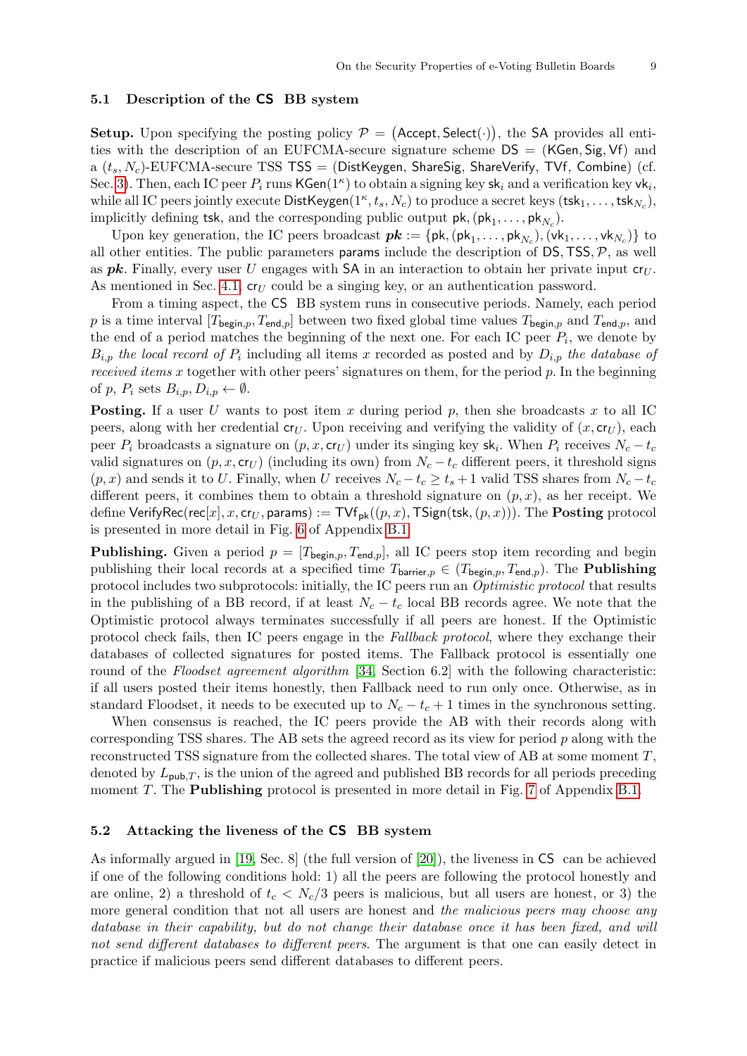#### 5.1 Description of the CS BB system

Setup. Upon specifying the posting policy  $P = ($ Accept, Select $(\cdot)$ ), the SA provides all entities with the description of an EUFCMA-secure signature scheme  $DS = (KGen, Sig, Vf)$  and a  $(t_s, N_c)$ -EUFCMA-secure TSS TSS = (DistKeygen, ShareSig, ShareVerify, TVf, Combine) (cf. Sec. [3\)](#page-4-0). Then, each IC peer  $P_i$  runs  $\mathsf{KGen}(1^{\kappa})$  to obtain a signing key  $\mathsf{sk}_i$  and a verification key  $\mathsf{vk}_i$ , while all IC peers jointly execute  $\mathsf{DistKeygen}(1^\kappa, t_s, N_c)$  to produce a secret keys  $(\mathsf{tsk}_1, \dots, \mathsf{tsk}_{N_c}),$ implicitly defining tsk, and the corresponding public output  $pk$ ,  $(pk_1, \ldots, pk_{N_c})$ .

Upon key generation, the IC peers broadcast  $pk := \{pk, (pk_1, \ldots, pk_{N_c}), (vk_1, \ldots, vk_{N_c})\}$  to all other entities. The public parameters **params** include the description of  $DS$ ,  $TSS$ ,  $\mathcal{P}$ , as well as **pk**. Finally, every user U engages with SA in an interaction to obtain her private input  $cr_U$ . As mentioned in Sec. [4.1,](#page-5-1)  $cr_U$  could be a singing key, or an authentication password.

From a timing aspect, the CS BB system runs in consecutive periods. Namely, each period p is a time interval  $[T_{\text{begin},p}, T_{\text{end},p}]$  between two fixed global time values  $T_{\text{begin},p}$  and  $T_{\text{end},p}$ , and the end of a period matches the beginning of the next one. For each IC peer  $P_i$ , we denote by  $B_{i,p}$  the local record of  $P_i$  including all items x recorded as posted and by  $D_{i,p}$  the database of received items x together with other peers' signatures on them, for the period  $p$ . In the beginning of p,  $P_i$  sets  $B_{i,p}, D_{i,p} \leftarrow \emptyset$ .

**Posting.** If a user U wants to post item x during period p, then she broadcasts x to all IC peers, along with her credential  $c_{U}$ . Upon receiving and verifying the validity of  $(x, c_{U})$ , each peer  $P_i$  broadcasts a signature on  $(p, x, \textsf{cr}_U)$  under its singing key sk<sub>i</sub>. When  $P_i$  receives  $N_c - t_c$ valid signatures on  $(p, x, \mathsf{cr}_U)$  (including its own) from  $N_c - t_c$  different peers, it threshold signs  $(p, x)$  and sends it to U. Finally, when U receives  $N_c - t_c \ge t_s + 1$  valid TSS shares from  $N_c - t_c$ different peers, it combines them to obtain a threshold signature on  $(p, x)$ , as her receipt. We define VerifyRec(rec[x], x, cr<sub>U</sub>, params) := TVf<sub>pk</sub>((p, x), TSign(tsk, (p, x))). The **Posting** protocol is presented in more detail in Fig. [6](#page-18-0) of Appendix [B.1.](#page-18-1)

**Publishing.** Given a period  $p = [T_{\text{begin},p}, T_{\text{end},p}]$ , all IC peers stop item recording and begin publishing their local records at a specified time  $T_{bar,p} \in (T_{begin,p}, T_{end,p})$ . The **Publishing** protocol includes two subprotocols: initially, the IC peers run an Optimistic protocol that results in the publishing of a BB record, if at least  $N_c - t_c$  local BB records agree. We note that the Optimistic protocol always terminates successfully if all peers are honest. If the Optimistic protocol check fails, then IC peers engage in the Fallback protocol, where they exchange their databases of collected signatures for posted items. The Fallback protocol is essentially one round of the *Floodset agreement algorithm* [\[34,](#page-17-12) Section 6.2] with the following characteristic: if all users posted their items honestly, then Fallback need to run only once. Otherwise, as in standard Floodset, it needs to be executed up to  $N_c - t_c + 1$  times in the synchronous setting.

When consensus is reached, the IC peers provide the AB with their records along with corresponding TSS shares. The AB sets the agreed record as its view for period  $p$  along with the reconstructed TSS signature from the collected shares. The total view of AB at some moment  $T$ , denoted by  $L_{\text{pub},T}$ , is the union of the agreed and published BB records for all periods preceding moment  $T$ . The **Publishing** protocol is presented in more detail in Fig.  $7$  of Appendix [B.1.](#page-18-1)

#### 5.2 Attacking the liveness of the CS BB system

As informally argued in [\[19,](#page-16-18) Sec. 8] (the full version of [\[20\]](#page-16-13)), the liveness in CS can be achieved if one of the following conditions hold: 1) all the peers are following the protocol honestly and are online, 2) a threshold of  $t_c < N_c/3$  peers is malicious, but all users are honest, or 3) the more general condition that not all users are honest and the malicious peers may choose any database in their capability, but do not change their database once it has been fixed, and will not send different databases to different peers. The argument is that one can easily detect in practice if malicious peers send different databases to different peers.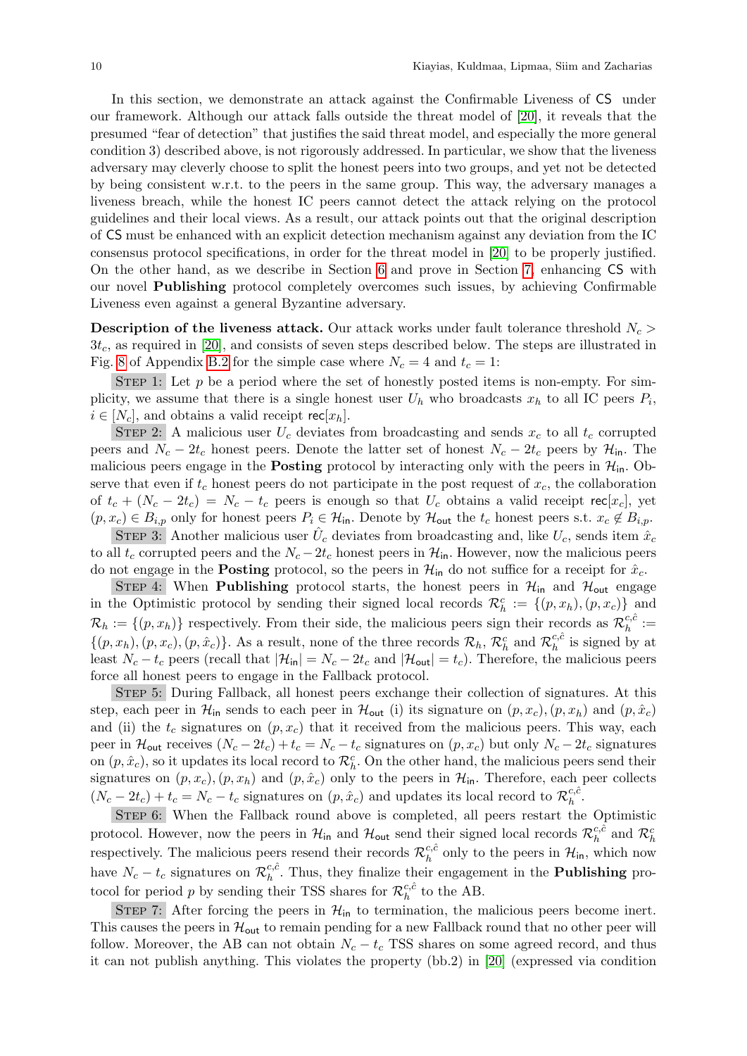In this section, we demonstrate an attack against the Confirmable Liveness of CS under our framework. Although our attack falls outside the threat model of [\[20\]](#page-16-13), it reveals that the presumed "fear of detection" that justifies the said threat model, and especially the more general condition 3) described above, is not rigorously addressed. In particular, we show that the liveness adversary may cleverly choose to split the honest peers into two groups, and yet not be detected by being consistent w.r.t. to the peers in the same group. This way, the adversary manages a liveness breach, while the honest IC peers cannot detect the attack relying on the protocol guidelines and their local views. As a result, our attack points out that the original description of CS must be enhanced with an explicit detection mechanism against any deviation from the IC consensus protocol specifications, in order for the threat model in [\[20\]](#page-16-13) to be properly justified. On the other hand, as we describe in Section [6](#page-12-0) and prove in Section [7,](#page-15-0) enhancing CS with our novel Publishing protocol completely overcomes such issues, by achieving Confirmable Liveness even against a general Byzantine adversary.

**Description of the liveness attack.** Our attack works under fault tolerance threshold  $N_c$  $3t_c$ , as required in [\[20\]](#page-16-13), and consists of seven steps described below. The steps are illustrated in Fig. [8](#page-20-0) of Appendix [B.2](#page-18-2) for the simple case where  $N_c = 4$  and  $t_c = 1$ :

STEP 1: Let  $p$  be a period where the set of honestly posted items is non-empty. For simplicity, we assume that there is a single honest user  $U_h$  who broadcasts  $x_h$  to all IC peers  $P_i$ ,  $i \in [N_c]$ , and obtains a valid receipt rec $[x_h]$ .

STEP 2: A malicious user  $U_c$  deviates from broadcasting and sends  $x_c$  to all  $t_c$  corrupted peers and  $N_c - 2t_c$  honest peers. Denote the latter set of honest  $N_c - 2t_c$  peers by  $\mathcal{H}_{\text{in}}$ . The malicious peers engage in the **Posting** protocol by interacting only with the peers in  $\mathcal{H}_{in}$ . Observe that even if  $t_c$  honest peers do not participate in the post request of  $x_c$ , the collaboration of  $t_c + (N_c - 2t_c) = N_c - t_c$  peers is enough so that  $U_c$  obtains a valid receipt rec[x<sub>c</sub>], yet  $(p, x_c) \in B_{i,p}$  only for honest peers  $P_i \in \mathcal{H}_{\text{in}}$ . Denote by  $\mathcal{H}_{\text{out}}$  the  $t_c$  honest peers s.t.  $x_c \notin B_{i,p}$ .

STEP 3: Another malicious user  $\hat{U}_c$  deviates from broadcasting and, like  $U_c$ , sends item  $\hat{x}_c$ to all  $t_c$  corrupted peers and the  $N_c - 2t_c$  honest peers in  $\mathcal{H}_{in}$ . However, now the malicious peers do not engage in the **Posting** protocol, so the peers in  $\mathcal{H}_{in}$  do not suffice for a receipt for  $\hat{x}_c$ .

STEP 4: When **Publishing** protocol starts, the honest peers in  $\mathcal{H}_{in}$  and  $\mathcal{H}_{out}$  engage in the Optimistic protocol by sending their signed local records  $\mathcal{R}_h^c := \{(p, x_h), (p, x_c)\}\$  and  $\mathcal{R}_h := \{(p, x_h)\}\)$  respectively. From their side, the malicious peers sign their records as  $\mathcal{R}_h^{c,\hat{c}}$  $\frac{c,c}{h}:=$  $\{(p, x_h), (p, x_c), (p, \hat{x}_c)\}\.$  As a result, none of the three records  $\mathcal{R}_h$ ,  $\mathcal{R}_h^c$  and  $\mathcal{R}_h^{c,\hat{c}}$  $\frac{c,c}{h}$  is signed by at least  $N_c - t_c$  peers (recall that  $|\mathcal{H}_{in}| = N_c - 2t_c$  and  $|\mathcal{H}_{out}| = t_c$ ). Therefore, the malicious peers force all honest peers to engage in the Fallback protocol.

Step 5: During Fallback, all honest peers exchange their collection of signatures. At this step, each peer in  $\mathcal{H}_{\text{in}}$  sends to each peer in  $\mathcal{H}_{\text{out}}$  (i) its signature on  $(p, x_c), (p, x_h)$  and  $(p, \hat{x}_c)$ and (ii) the  $t_c$  signatures on  $(p, x_c)$  that it received from the malicious peers. This way, each peer in  $\mathcal{H}_{\text{out}}$  receives  $(N_c - 2t_c) + t_c = N_c - t_c$  signatures on  $(p, x_c)$  but only  $N_c - 2t_c$  signatures on  $(p, \hat{x}_c)$ , so it updates its local record to  $\mathcal{R}_h^c$ . On the other hand, the malicious peers send their signatures on  $(p, x_c)$ ,  $(p, x_h)$  and  $(p, \hat{x}_c)$  only to the peers in  $\mathcal{H}_{in}$ . Therefore, each peer collects  $(N_c - 2t_c) + t_c = N_c - t_c$  signatures on  $(p, \hat{x}_c)$  and updates its local record to  $\mathcal{R}_h^{c,\hat{c}}$  $\frac{c,c}{h}$ .

STEP 6: When the Fallback round above is completed, all peers restart the Optimistic protocol. However, now the peers in  $\mathcal{H}_{\text{in}}$  and  $\mathcal{H}_{\text{out}}$  send their signed local records  $\mathcal{R}_h^{c,\hat{c}}$  $\frac{c,\tilde{c}}{h}$  and  $\mathcal{R}_h^c$ respectively. The malicious peers resend their records  $\mathcal{R}_h^{c,\hat{c}}$  $h_h^{c,c}$  only to the peers in  $\mathcal{H}_{\text{in}}$ , which now have  $N_c - t_c$  signatures on  $\mathcal{R}_h^{c,\hat{c}}$  $h<sup>c,c</sup>$ . Thus, they finalize their engagement in the **Publishing** protocol for period p by sending their TSS shares for  $\mathcal{R}_{h}^{c,\hat{c}}$  $\frac{c,c}{h}$  to the AB.

STEP 7: After forcing the peers in  $\mathcal{H}_{\text{in}}$  to termination, the malicious peers become inert. This causes the peers in  $\mathcal{H}_{\text{out}}$  to remain pending for a new Fallback round that no other peer will follow. Moreover, the AB can not obtain  $N_c - t_c$  TSS shares on some agreed record, and thus it can not publish anything. This violates the property (bb.2) in [\[20\]](#page-16-13) (expressed via condition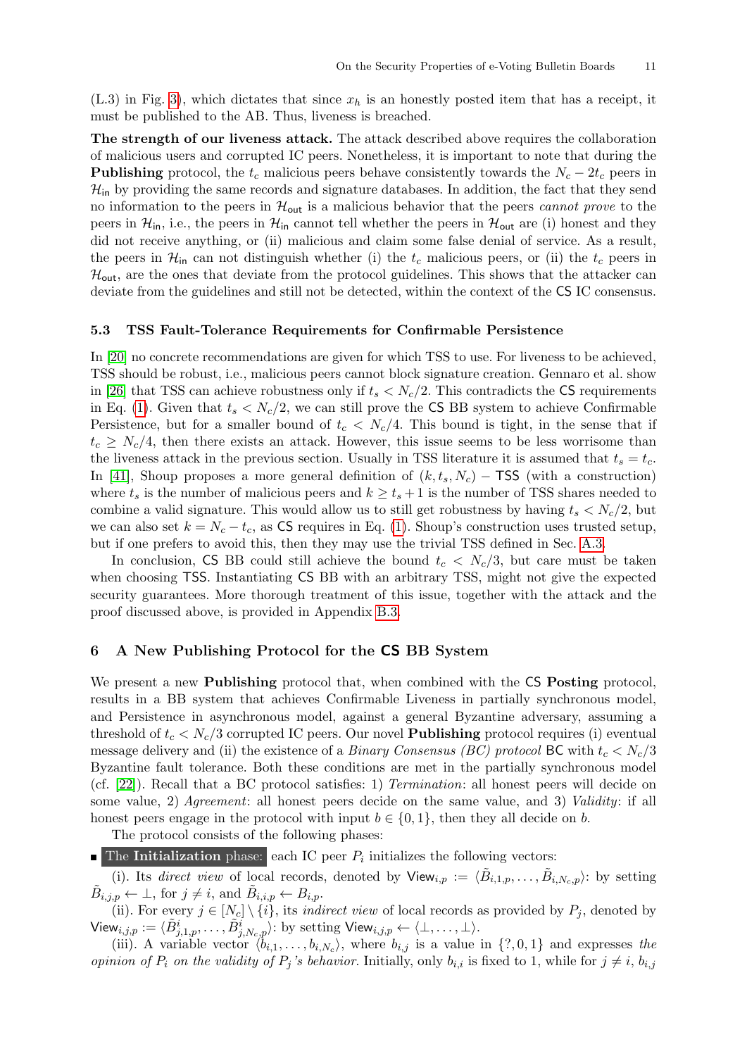$(L.3)$  in Fig. [3\)](#page-9-1), which dictates that since  $x<sub>h</sub>$  is an honestly posted item that has a receipt, it must be published to the AB. Thus, liveness is breached.

The strength of our liveness attack. The attack described above requires the collaboration of malicious users and corrupted IC peers. Nonetheless, it is important to note that during the **Publishing** protocol, the  $t_c$  malicious peers behave consistently towards the  $N_c - 2t_c$  peers in  $\mathcal{H}_{\text{in}}$  by providing the same records and signature databases. In addition, the fact that they send no information to the peers in  $\mathcal{H}_{\text{out}}$  is a malicious behavior that the peers *cannot prove* to the peers in  $\mathcal{H}_{in}$ , i.e., the peers in  $\mathcal{H}_{in}$  cannot tell whether the peers in  $\mathcal{H}_{out}$  are (i) honest and they did not receive anything, or (ii) malicious and claim some false denial of service. As a result, the peers in  $\mathcal{H}_{in}$  can not distinguish whether (i) the  $t_c$  malicious peers, or (ii) the  $t_c$  peers in  $\mathcal{H}_{\text{out}}$ , are the ones that deviate from the protocol guidelines. This shows that the attacker can deviate from the guidelines and still not be detected, within the context of the CS IC consensus.

#### 5.3 TSS Fault-Tolerance Requirements for Confirmable Persistence

In [\[20\]](#page-16-13) no concrete recommendations are given for which TSS to use. For liveness to be achieved, TSS should be robust, i.e., malicious peers cannot block signature creation. Gennaro et al. show in [\[26\]](#page-16-20) that TSS can achieve robustness only if  $t_s < N_c/2$ . This contradicts the CS requirements in Eq. [\(1\)](#page-9-2). Given that  $t_s < N_c/2$ , we can still prove the CS BB system to achieve Confirmable Persistence, but for a smaller bound of  $t_c < N_c/4$ . This bound is tight, in the sense that if  $t_c \geq N_c/4$ , then there exists an attack. However, this issue seems to be less worrisome than the liveness attack in the previous section. Usually in TSS literature it is assumed that  $t_s = t_c$ . In [\[41\]](#page-17-4), Shoup proposes a more general definition of  $(k, t_s, N_c)$  – TSS (with a construction) where  $t_s$  is the number of malicious peers and  $k \ge t_s + 1$  is the number of TSS shares needed to combine a valid signature. This would allow us to still get robustness by having  $t_s < N_c/2$ , but we can also set  $k = N_c - t_c$ , as CS requires in Eq. [\(1\)](#page-9-2). Shoup's construction uses trusted setup, but if one prefers to avoid this, then they may use the trivial TSS defined in Sec. [A.3.](#page-18-3)

In conclusion, CS BB could still achieve the bound  $t_c < N_c/3$ , but care must be taken when choosing TSS. Instantiating CS BB with an arbitrary TSS, might not give the expected security guarantees. More thorough treatment of this issue, together with the attack and the proof discussed above, is provided in Appendix [B.3.](#page-19-1)

## <span id="page-12-0"></span>6 A New Publishing Protocol for the CS BB System

We present a new **Publishing** protocol that, when combined with the CS **Posting** protocol, results in a BB system that achieves Confirmable Liveness in partially synchronous model, and Persistence in asynchronous model, against a general Byzantine adversary, assuming a threshold of  $t_c < N_c/3$  corrupted IC peers. Our novel **Publishing** protocol requires (i) eventual message delivery and (ii) the existence of a *Binary Consensus (BC) protocol* BC with  $t_c < N_c/3$ Byzantine fault tolerance. Both these conditions are met in the partially synchronous model (cf. [\[22\]](#page-16-21)). Recall that a BC protocol satisfies: 1) Termination: all honest peers will decide on some value, 2) Agreement: all honest peers decide on the same value, and 3) Validity: if all honest peers engage in the protocol with input  $b \in \{0, 1\}$ , then they all decide on b.

The protocol consists of the following phases:

**The Initialization** phase: each IC peer  $P_i$  initializes the following vectors:

(i). Its direct view of local records, denoted by  $\mathsf{View}_{i,p} := \langle \tilde{B}_{i,1,p}, \ldots, \tilde{B}_{i,N_c,p} \rangle$ : by setting  $\tilde{B}_{i,j,p} \leftarrow \perp$ , for  $j \neq i$ , and  $\tilde{B}_{i,i,p} \leftarrow B_{i,p}$ .

(ii). For every  $j \in [N_c] \setminus \{i\}$ , its *indirect view* of local records as provided by  $P_j$ , denoted by  $\mathsf{View}_{i,j,p} := \langle \tilde{B}^i_{j,1,p}, \ldots, \tilde{B}^i_{j,N_c,p} \rangle$ : by setting  $\mathsf{View}_{i,j,p} \leftarrow \langle \bot, \ldots, \bot \rangle.$ 

(iii). A variable vector  $\langle b_{i,1}, \ldots, b_{i,N_c} \rangle$ , where  $b_{i,j}$  is a value in  $\{?, 0, 1\}$  and expresses the *opinion of P<sub>i</sub>* on the validity of P<sub>j</sub>'s behavior. Initially, only  $b_{i,i}$  is fixed to 1, while for  $j \neq i$ ,  $b_{i,j}$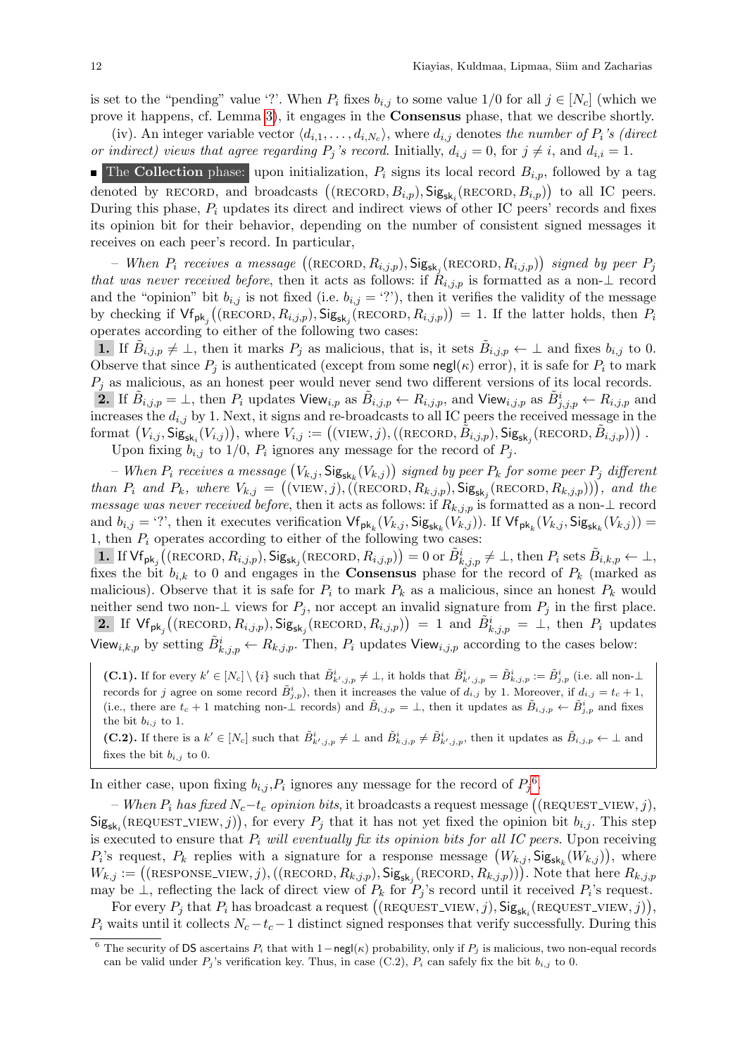is set to the "pending" value '?'. When  $P_i$  fixes  $b_{i,j}$  to some value  $1/0$  for all  $j \in [N_c]$  (which we prove it happens, cf. Lemma [3\)](#page-26-0), it engages in the Consensus phase, that we describe shortly.

(iv). An integer variable vector  $\langle d_{i,1}, \ldots, d_{i,N_c} \rangle$ , where  $d_{i,j}$  denotes the number of  $P_i$ 's (direct or indirect) views that agree regarding  $P_j$ 's record. Initially,  $d_{i,j} = 0$ , for  $j \neq i$ , and  $d_{i,i} = 1$ .

**The Collection** phase: upon initialization,  $P_i$  signs its local record  $B_{i,p}$ , followed by a tag denoted by RECORD, and broadcasts  $((RECORD, B_{i,p}), Sig_{sk_i}(RECORD, B_{i,p}))$  to all IC peers. During this phase,  $P_i$  updates its direct and indirect views of other IC peers' records and fixes its opinion bit for their behavior, depending on the number of consistent signed messages it receives on each peer's record. In particular,

- When  $P_i$  receives a message  $((RECORD, R_{i,j,p}), \mathsf{Sig}_{\mathsf{sk}_j} (RECORD, R_{i,j,p}))$  signed by peer  $P_j$ that was never received before, then it acts as follows: if  $R_{i,j,p}$  is formatted as a non- $\perp$  record and the "opinion" bit  $b_{i,j}$  is not fixed (i.e.  $b_{i,j} =$  '?'), then it verifies the validity of the message by checking if  $\mathsf{Vf}_{\mathsf{pk}_j}((\mathsf{RECORD}, R_{i,j,p}), \mathsf{Sig}_{\mathsf{sk}_j}(\mathsf{RECORD}, R_{i,j,p})) = 1$ . If the latter holds, then  $P_i$ operates according to either of the following two cases:

**1.** If  $\tilde{B}_{i,j,p} \neq \perp$ , then it marks  $P_j$  as malicious, that is, it sets  $\tilde{B}_{i,j,p} \leftarrow \perp$  and fixes  $b_{i,j}$  to 0. Observe that since  $P_i$  is authenticated (except from some negl( $\kappa$ ) error), it is safe for  $P_i$  to mark  $P_j$  as malicious, as an honest peer would never send two different versions of its local records.

2. If  $\tilde{B}_{i,j,p} = \bot$ , then  $P_i$  updates View $_{i,p}$  as  $\tilde{B}_{i,j,p} \leftarrow R_{i,j,p}$ , and View $_{i,j,p}$  as  $\tilde{B}_{j,j,p}^i \leftarrow R_{i,j,p}$  and increases the  $d_{i,j}$  by 1. Next, it signs and re-broadcasts to all IC peers the received message in the format  $(V_{i,j}, \mathsf{Sig}_{\mathsf{sk}_i}(V_{i,j}))$ , where  $V_{i,j} := ((\text{VIEW}, j), ((\text{RECORD}, \tilde{B}_{i,j,p}), \mathsf{Sig}_{\mathsf{sk}_j}(\text{RECORD}, \tilde{B}_{i,j,p})))$ .

Upon fixing  $b_{i,j}$  to 1/0,  $P_i$  ignores any message for the record of  $P_j$ .

 $-$  When  $P_i$  receives a message  $\big(V_{k,j}, \mathsf{Sig}_{\mathsf{sk}_k}(V_{k,j})\big)$  signed by peer  $P_k$  for some peer  $P_j$  different than  $P_i$  and  $P_k$ , where  $V_{k,j} = ((\text{VIEW}, j), ((\text{RECORD}, R_{k,j,p}), \text{Sig}_{sk_j}(\text{RECORD}, R_{k,j,p})))$ , and the message was never received before, then it acts as follows: if  $R_{k,j,p}$  is formatted as a non- $\perp$  record and  $b_{i,j} = '$ ?', then it executes verification  $\mathsf{Vf}_{\mathsf{pk}_k}(V_{k,j}, \mathsf{Sig}_{\mathsf{sk}_k}(V_{k,j}))$ . If  $\mathsf{Vf}_{\mathsf{pk}_k}(V_{k,j}, \mathsf{Sig}_{\mathsf{sk}_k}(V_{k,j})) =$ 1, then  $P_i$  operates according to either of the following two cases:

1. If  $\mathsf{Vf}_{\mathsf{pk}_j}((\text{RECORD}, R_{i,j,p}), \mathsf{Sig}_{\mathsf{sk}_j}(\text{RECORD}, R_{i,j,p})) = 0$  or  $\tilde{B}^i_{k,j,p} \neq \bot$ , then  $P_i$  sets  $\tilde{B}_{i,k,p} \leftarrow \bot$ , fixes the bit  $b_{i,k}$  to 0 and engages in the **Consensus** phase for the record of  $P_k$  (marked as malicious). Observe that it is safe for  $P_i$  to mark  $P_k$  as a malicious, since an honest  $P_k$  would neither send two non- $\perp$  views for  $P_j$ , nor accept an invalid signature from  $P_j$  in the first place. 2. If  $\forall f_{\mathsf{pk}_j}((\text{RECORD}, R_{i,j,p}), \mathsf{Sig}_{\mathsf{sk}_j}(\text{RECORD}, R_{i,j,p})) = 1$  and  $\tilde{B}_{k,j,p}^i = \bot$ , then  $P_i$  updates View<sub>i,k,p</sub> by setting  $\tilde{B}^i_{k,j,p} \leftarrow R_{k,j,p}$ . Then,  $P_i$  updates View<sub>i,j,p</sub> according to the cases below:

(C.1). If for every  $k' \in [N_c] \setminus \{i\}$  such that  $\tilde{B}^i_{k',j,p} \neq \perp$ , it holds that  $\tilde{B}^i_{k',j,p} = \tilde{B}^i_{k,j,p} := \tilde{B}^i_{j,p}$  (i.e. all non- $\perp$ records for j agree on some record  $\tilde{B}^i_{j,p}$ , then it increases the value of  $d_{i,j}$  by 1. Moreover, if  $d_{i,j} = t_c + 1$ , (i.e., there are  $t_c + 1$  matching non- $\perp$  records) and  $\tilde{B}_{i,j,p} = \perp$ , then it updates as  $\tilde{B}_{i,j,p} \leftarrow \tilde{B}_{j,p}^i$  and fixes the bit  $b_{i,j}$  to 1.

(C.2). If there is a  $k' \in [N_c]$  such that  $\tilde{B}^i_{k',j,p} \neq \perp$  and  $\tilde{B}^i_{k,j,p} \neq \tilde{B}^i_{k',j,p}$ , then it updates as  $\tilde{B}_{i,j,p} \leftarrow \perp$  and fixes the bit  $b_{i,j}$  to 0.

In either case, upon fixing  $b_{i,j}$ ,  $P_i$  ignores any message for the record of  $P_j^6$  $P_j^6$ .

− When  $P_i$  has fixed  $N_c$ −t<sub>c</sub> opinion bits, it broadcasts a request message ((REQUEST\_VIEW, j),  $\text{Sig}_{\text{sk}_i}(\text{REQUEST\_VIEW}, j)),$  for every  $P_j$  that it has not yet fixed the opinion bit  $b_{i,j}$ . This step is executed to ensure that  $P_i$  will eventually fix its opinion bits for all IC peers. Upon receiving  $P_i$ 's request,  $P_k$  replies with a signature for a response message  $(W_{k,j}, \mathsf{Sig}_{\mathsf{sk}_k}(W_{k,j}))$ , where  $W_{k,j} := ((\text{RESPONSE-VIEW}, j), ((\text{RECORD}, R_{k,j,p}), \text{Sig}_{\text{sk}_j}(\text{RECORD}, R_{k,j,p}))).$  Note that here  $R_{k,j,p}$ may be  $\perp$ , reflecting the lack of direct view of  $P_k$  for  $P_j$ 's record until it received  $P_i$ 's request.

For every  $P_j$  that  $P_i$  has broadcast a request  $((\text{REQUEST-VIEW}, j), \text{Sig}_{sk_i}(\text{REQUEST-VIEW}, j)),$  $P_i$  waits until it collects  $N_c - t_c - 1$  distinct signed responses that verify successfully. During this

<span id="page-13-0"></span><sup>&</sup>lt;sup>6</sup> The security of DS ascertains  $P_i$  that with 1−negl( $\kappa$ ) probability, only if  $P_j$  is malicious, two non-equal records can be valid under  $P_j$ 's verification key. Thus, in case (C.2),  $P_i$  can safely fix the bit  $b_{i,j}$  to 0.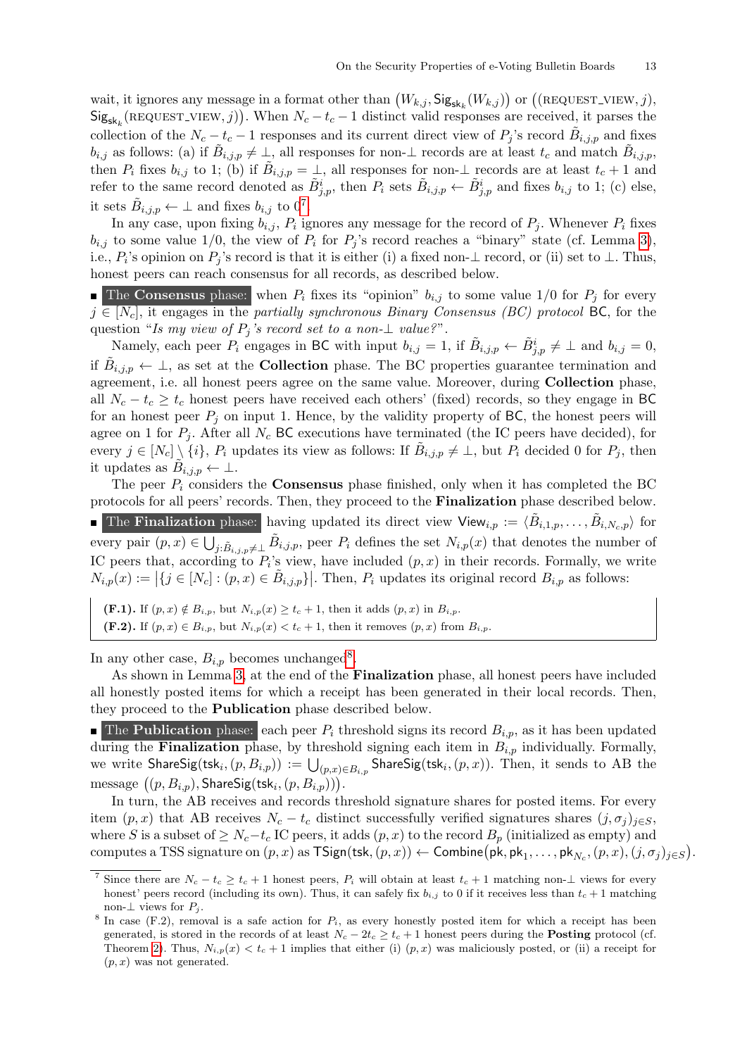wait, it ignores any message in a format other than  $(W_{k,j}, \mathsf{Sig}_{\mathsf{sk}_k}(W_{k,j}))$  or  $((\texttt{REQUEST-VIEW}, j),$  $\text{Sig}_{\text{sk}_k}(\text{REQUEST\_VIEW}, j)$ . When  $N_c - t_c - 1$  distinct valid responses are received, it parses the collection of the  $N_c - t_c - 1$  responses and its current direct view of  $P_j$ 's record  $\tilde{B}_{i,j,p}$  and fixes  $b_{i,j}$  as follows: (a) if  $\tilde{B}_{i,j,p} \neq \perp$ , all responses for non- $\perp$  records are at least  $t_c$  and match  $\tilde{B}_{i,j,p}$ , then  $P_i$  fixes  $b_{i,j}$  to 1; (b) if  $\tilde{B}_{i,j,p} = \perp$ , all responses for non- $\perp$  records are at least  $t_c + 1$  and refer to the same record denoted as  $\tilde{B}^i_{j,p}$ , then  $P_i$  sets  $\tilde{B}_{i,j,p} \leftarrow \tilde{B}^i_{j,p}$  and fixes  $b_{i,j}$  to 1; (c) else, it sets  $\tilde{B}_{i,j,p} \leftarrow \perp$  and fixes  $b_{i,j}$  to  $0^7$  $0^7$ .

In any case, upon fixing  $b_{i,j}$ ,  $P_i$  ignores any message for the record of  $P_j$ . Whenever  $P_i$  fixes  $b_{i,j}$  to some value 1/0, the view of  $P_i$  for  $P_j$ 's record reaches a "binary" state (cf. Lemma [3\)](#page-26-0), i.e.,  $P_i$ 's opinion on  $P_j$ 's record is that it is either (i) a fixed non- $\perp$  record, or (ii) set to  $\perp$ . Thus, honest peers can reach consensus for all records, as described below.

**The Consensus** phase: when  $P_i$  fixes its "opinion"  $b_{i,j}$  to some value 1/0 for  $P_j$  for every  $j \in [N_c]$ , it engages in the partially synchronous Binary Consensus (BC) protocol BC, for the question "Is my view of  $P_i$ 's record set to a non- $\perp$  value?".

Namely, each peer  $P_i$  engages in BC with input  $b_{i,j} = 1$ , if  $\tilde{B}_{i,j,p} \leftarrow \tilde{B}_{j,p}^i \neq \perp$  and  $b_{i,j} = 0$ , if  $\tilde{B}_{i,j,p} \leftarrow \perp$ , as set at the **Collection** phase. The BC properties guarantee termination and agreement, i.e. all honest peers agree on the same value. Moreover, during Collection phase, all  $N_c - t_c \geq t_c$  honest peers have received each others' (fixed) records, so they engage in BC for an honest peer  $P_i$  on input 1. Hence, by the validity property of BC, the honest peers will agree on 1 for  $P_i$ . After all  $N_c$  BC executions have terminated (the IC peers have decided), for every  $j \in [N_c] \setminus \{i\}$ ,  $P_i$  updates its view as follows: If  $\tilde{B}_{i,j,p} \neq \perp$ , but  $P_i$  decided 0 for  $P_j$ , then it updates as  $\widetilde{B}_{i,j,p} \leftarrow \perp$ .

The peer  $P_i$  considers the **Consensus** phase finished, only when it has completed the BC protocols for all peers' records. Then, they proceed to the Finalization phase described below. The Finalization phase: having updated its direct view View<sub>i,p</sub> :=  $\langle \tilde{B}_{i,1,p}, \ldots, \tilde{B}_{i,N_c,p} \rangle$  for every pair  $(p, x) \in \bigcup_{j:\tilde{B}_{i,j,p}\neq\perp} \tilde{B}_{i,j,p}$ , peer  $P_i$  defines the set  $N_{i,p}(x)$  that denotes the number of IC peers that, according to  $P_i$ 's view, have included  $(p, x)$  in their records. Formally, we write  $N_{i,p}(x) := \left|\{j \in [N_c] : (p,x) \in \tilde{B}_{i,j,p}\}\right|$ . Then,  $P_i$  updates its original record  $B_{i,p}$  as follows:

(F.1). If  $(p, x) \notin B_{i,p}$ , but  $N_{i,p}(x) \ge t_c + 1$ , then it adds  $(p, x)$  in  $B_{i,p}$ . (F.2). If  $(p, x) \in B_{i,p}$ , but  $N_{i,p}(x) < t_c + 1$ , then it removes  $(p, x)$  from  $B_{i,p}$ .

In any other case,  $B_{i,p}$  becomes unchanged<sup>[8](#page-14-1)</sup>.

As shown in Lemma [3,](#page-26-0) at the end of the Finalization phase, all honest peers have included all honestly posted items for which a receipt has been generated in their local records. Then, they proceed to the Publication phase described below.

**The Publication** phase: each peer  $P_i$  threshold signs its record  $B_{i,p}$ , as it has been updated during the **Finalization** phase, by threshold signing each item in  $B_{i,p}$  individually. Formally, we write  ${\sf ShareSig}({\sf tsk}_i,(p,B_{i,p}))\,:=\, \bigcup_{(p,x)\in B_{i,p}}{\sf ShareSig}({\sf tsk}_i,(p,x)).$  Then, it sends to  ${\rm AB}$  the  $\text{message } ((p, B_{i,p}), \textsf{ShareSig}(\textsf{tsk}_i, (p, B_{i,p}))).$ 

In turn, the AB receives and records threshold signature shares for posted items. For every item  $(p, x)$  that AB receives  $N_c - t_c$  distinct successfully verified signatures shares  $(j, \sigma_i)_{i \in S}$ , where S is a subset of  $\geq N_c-t_c$  IC peers, it adds  $(p, x)$  to the record  $B_p$  (initialized as empty) and computes a TSS signature on  $(p, x)$  as  $\mathsf{TSign}(\mathsf{tsk}, (p, x)) \leftarrow \mathsf{Combine}(\mathsf{pk}, \mathsf{pk}_1, \ldots, \mathsf{pk}_{N_c}, (p, x), (j, \sigma_j)_{j \in S}).$ 

<span id="page-14-0"></span>Since there are  $N_c - t_c \geq t_c + 1$  honest peers,  $P_i$  will obtain at least  $t_c + 1$  matching non- $\perp$  views for every honest' peers record (including its own). Thus, it can safely fix  $b_{i,j}$  to 0 if it receives less than  $t_c + 1$  matching non-⊥ views for  $P_j$ .

<span id="page-14-1"></span><sup>&</sup>lt;sup>8</sup> In case (F.2), removal is a safe action for  $P_i$ , as every honestly posted item for which a receipt has been generated, is stored in the records of at least  $N_c - 2t_c \geq t_c + 1$  honest peers during the **Posting** protocol (cf. Theorem [2\)](#page-15-1). Thus,  $N_{i,p}(x) < t_c + 1$  implies that either (i)  $(p, x)$  was maliciously posted, or (ii) a receipt for  $(p, x)$  was not generated.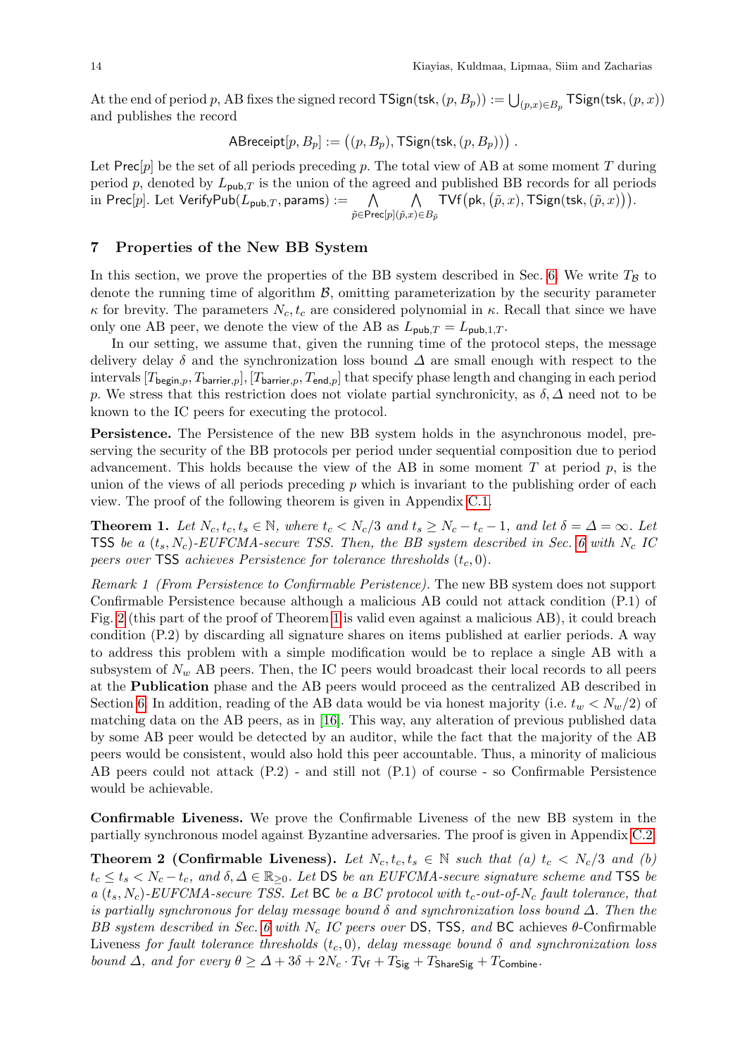At the end of period  $p$ , AB fixes the signed record  $\mathsf{TSign}(\mathsf{tsk},(p,B_p)) := \bigcup_{(p,x) \in B_p} \mathsf{TSign}(\mathsf{tsk},(p,x))$ and publishes the record

$$
\mathsf{ABreeight}[p, B_p] := \big((p, B_p), \mathsf{TSign}(\mathsf{tsk}, (p, B_p))\big) .
$$

Let Prec[p] be the set of all periods preceding p. The total view of AB at some moment T during period p, denoted by  $L_{\text{pub},T}$  is the union of the agreed and published BB records for all periods in Prec[p]. Let VerifyPub( $L_{\text{pub},T}$ , params) :=  $\tilde{p} {\in} \mathsf{Prec}[p]$  $\wedge$  $($  $\tilde{p},x)$ ∈ $B_{\tilde{p}}$  $TVf(pk, (\tilde{p}, x), TSign(tsk, (\tilde{p}, x))).$ 

## <span id="page-15-0"></span>7 Properties of the New BB System

In this section, we prove the properties of the BB system described in Sec. [6.](#page-12-0) We write  $T_B$  to denote the running time of algorithm  $\mathcal{B}$ , omitting parameterization by the security parameter  $\kappa$  for brevity. The parameters  $N_c, t_c$  are considered polynomial in  $\kappa$ . Recall that since we have only one AB peer, we denote the view of the AB as  $L_{\text{pub},T} = L_{\text{pub},1,T}$ .

In our setting, we assume that, given the running time of the protocol steps, the message delivery delay  $\delta$  and the synchronization loss bound  $\Delta$  are small enough with respect to the intervals  $[T_{\text{begin},p},T_{\text{barrier},p}], [T_{\text{barrier},p},T_{\text{end},p}]$  that specify phase length and changing in each period p. We stress that this restriction does not violate partial synchronicity, as  $\delta, \Delta$  need not to be known to the IC peers for executing the protocol.

Persistence. The Persistence of the new BB system holds in the asynchronous model, preserving the security of the BB protocols per period under sequential composition due to period advancement. This holds because the view of the AB in some moment  $T$  at period  $p$ , is the union of the views of all periods preceding  $p$  which is invariant to the publishing order of each view. The proof of the following theorem is given in Appendix [C.1.](#page-24-0)

<span id="page-15-2"></span>**Theorem 1.** Let  $N_c, t_c, t_s \in \mathbb{N}$ , where  $t_c < N_c/3$  and  $t_s \ge N_c - t_c - 1$ , and let  $\delta = \Delta = \infty$ . Let TSS be a  $(t_s, N_c)$ -EUFCMA-secure TSS. Then, the BB system described in Sec. [6](#page-12-0) with N<sub>c</sub> IC peers over TSS achieves Persistence for tolerance thresholds  $(t_c, 0)$ .

Remark 1 (From Persistence to Confirmable Peristence). The new BB system does not support Confirmable Persistence because although a malicious AB could not attack condition (P.1) of Fig. [2](#page-8-1) (this part of the proof of Theorem [1](#page-15-2) is valid even against a malicious AB), it could breach condition (P.2) by discarding all signature shares on items published at earlier periods. A way to address this problem with a simple modification would be to replace a single AB with a subsystem of  $N_w$  AB peers. Then, the IC peers would broadcast their local records to all peers at the Publication phase and the AB peers would proceed as the centralized AB described in Section [6.](#page-12-0) In addition, reading of the AB data would be via honest majority (i.e.  $t_w < N_w/2$ ) of matching data on the AB peers, as in [\[16\]](#page-16-16). This way, any alteration of previous published data by some AB peer would be detected by an auditor, while the fact that the majority of the AB peers would be consistent, would also hold this peer accountable. Thus, a minority of malicious AB peers could not attack (P.2) - and still not (P.1) of course - so Confirmable Persistence would be achievable.

Confirmable Liveness. We prove the Confirmable Liveness of the new BB system in the partially synchronous model against Byzantine adversaries. The proof is given in Appendix [C.2.](#page-26-1)

<span id="page-15-1"></span>**Theorem 2 (Confirmable Liveness).** Let  $N_c, t_c, t_s \in \mathbb{N}$  such that (a)  $t_c < N_c/3$  and (b)  $t_c \leq t_s < N_c - t_c$ , and  $\delta, \Delta \in \mathbb{R}_{\geq 0}$ . Let DS be an EUFCMA-secure signature scheme and TSS be a  $(t_s, N_c)$ -EUFCMA-secure TSS. Let BC be a BC protocol with  $t_c$ -out-of-N<sub>c</sub> fault tolerance, that is partially synchronous for delay message bound  $\delta$  and synchronization loss bound  $\Delta$ . Then the BB system described in Sec. [6](#page-12-0) with N<sub>c</sub> IC peers over DS, TSS, and BC achieves  $\theta$ -Confirmable Liveness for fault tolerance thresholds  $(t_c, 0)$ , delay message bound  $\delta$  and synchronization loss bound  $\Delta$ , and for every  $\theta \geq \Delta + 3\delta + 2N_c \cdot T_{\mathsf{Vf}} + T_{\mathsf{Sig}} + T_{\mathsf{ShareSig}} + T_{\mathsf{Combine}}$ .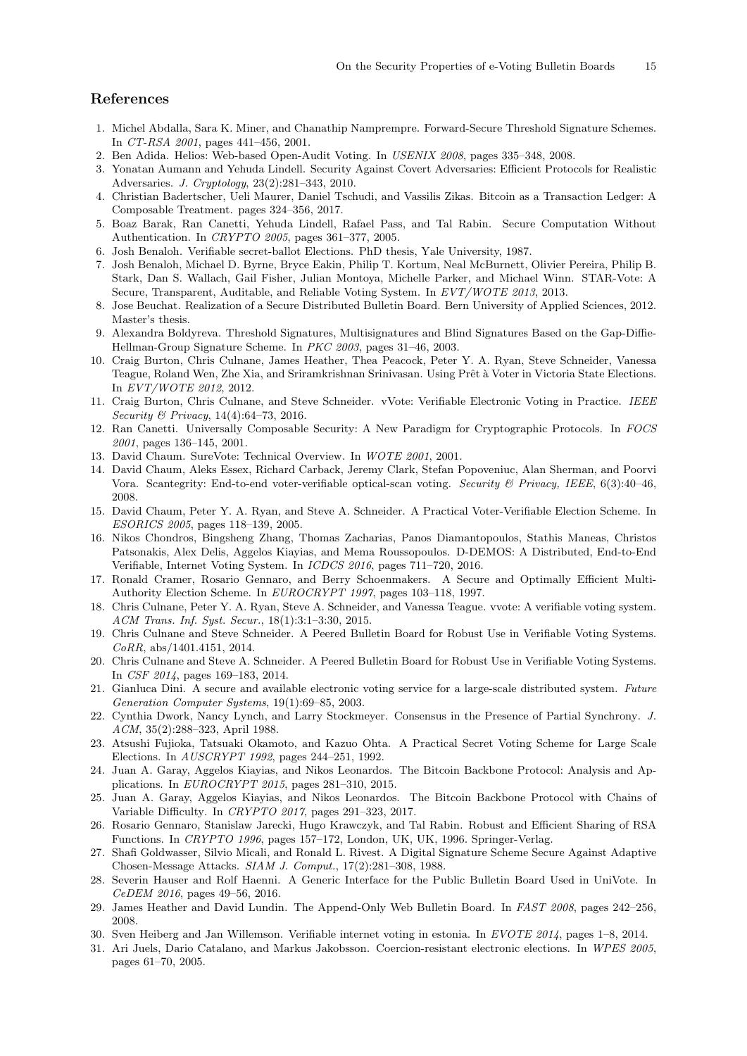#### References

- <span id="page-16-28"></span>1. Michel Abdalla, Sara K. Miner, and Chanathip Namprempre. Forward-Secure Threshold Signature Schemes. In CT-RSA 2001, pages 441–456, 2001.
- <span id="page-16-7"></span>2. Ben Adida. Helios: Web-based Open-Audit Voting. In USENIX 2008, pages 335–348, 2008.
- <span id="page-16-19"></span>3. Yonatan Aumann and Yehuda Lindell. Security Against Covert Adversaries: Efficient Protocols for Realistic Adversaries. J. Cryptology, 23(2):281–343, 2010.
- <span id="page-16-24"></span>4. Christian Badertscher, Ueli Maurer, Daniel Tschudi, and Vassilis Zikas. Bitcoin as a Transaction Ledger: A Composable Treatment. pages 324–356, 2017.
- <span id="page-16-0"></span>5. Boaz Barak, Ran Canetti, Yehuda Lindell, Rafael Pass, and Tal Rabin. Secure Computation Without Authentication. In CRYPTO 2005, pages 361–377, 2005.
- <span id="page-16-1"></span>6. Josh Benaloh. Verifiable secret-ballot Elections. PhD thesis, Yale University, 1987.
- <span id="page-16-10"></span>7. Josh Benaloh, Michael D. Byrne, Bryce Eakin, Philip T. Kortum, Neal McBurnett, Olivier Pereira, Philip B. Stark, Dan S. Wallach, Gail Fisher, Julian Montoya, Michelle Parker, and Michael Winn. STAR-Vote: A Secure, Transparent, Auditable, and Reliable Voting System. In EVT/WOTE 2013, 2013.
- 8. Jose Beuchat. Realization of a Secure Distributed Bulletin Board. Bern University of Applied Sciences, 2012. Master's thesis.
- 9. Alexandra Boldyreva. Threshold Signatures, Multisignatures and Blind Signatures Based on the Gap-Diffie-Hellman-Group Signature Scheme. In PKC 2003, pages 31–46, 2003.
- <span id="page-16-9"></span>10. Craig Burton, Chris Culnane, James Heather, Thea Peacock, Peter Y. A. Ryan, Steve Schneider, Vanessa Teague, Roland Wen, Zhe Xia, and Sriramkrishnan Srinivasan. Using Prêt à Voter in Victoria State Elections. In EVT/WOTE 2012, 2012.
- <span id="page-16-15"></span>11. Craig Burton, Chris Culnane, and Steve Schneider. vVote: Verifiable Electronic Voting in Practice. IEEE Security & Privacy, 14(4):64–73, 2016.
- <span id="page-16-25"></span>12. Ran Canetti. Universally Composable Security: A New Paradigm for Cryptographic Protocols. In FOCS 2001, pages 136–145, 2001.
- <span id="page-16-4"></span>13. David Chaum. SureVote: Technical Overview. In WOTE 2001, 2001.
- <span id="page-16-8"></span>14. David Chaum, Aleks Essex, Richard Carback, Jeremy Clark, Stefan Popoveniuc, Alan Sherman, and Poorvi Vora. Scantegrity: End-to-end voter-verifiable optical-scan voting. Security & Privacy, IEEE, 6(3):40-46, 2008.
- <span id="page-16-6"></span>15. David Chaum, Peter Y. A. Ryan, and Steve A. Schneider. A Practical Voter-Verifiable Election Scheme. In ESORICS 2005, pages 118–139, 2005.
- <span id="page-16-16"></span>16. Nikos Chondros, Bingsheng Zhang, Thomas Zacharias, Panos Diamantopoulos, Stathis Maneas, Christos Patsonakis, Alex Delis, Aggelos Kiayias, and Mema Roussopoulos. D-DEMOS: A Distributed, End-to-End Verifiable, Internet Voting System. In ICDCS 2016, pages 711–720, 2016.
- <span id="page-16-3"></span>17. Ronald Cramer, Rosario Gennaro, and Berry Schoenmakers. A Secure and Optimally Efficient Multi-Authority Election Scheme. In EUROCRYPT 1997, pages 103–118, 1997.
- <span id="page-16-14"></span>18. Chris Culnane, Peter Y. A. Ryan, Steve A. Schneider, and Vanessa Teague. vvote: A verifiable voting system. ACM Trans. Inf. Syst. Secur., 18(1):3:1–3:30, 2015.
- <span id="page-16-18"></span>19. Chris Culnane and Steve Schneider. A Peered Bulletin Board for Robust Use in Verifiable Voting Systems. CoRR, abs/1401.4151, 2014.
- <span id="page-16-13"></span>20. Chris Culnane and Steve A. Schneider. A Peered Bulletin Board for Robust Use in Verifiable Voting Systems. In CSF 2014, pages 169–183, 2014.
- <span id="page-16-11"></span>21. Gianluca Dini. A secure and available electronic voting service for a large-scale distributed system. Future Generation Computer Systems, 19(1):69–85, 2003.
- <span id="page-16-21"></span>22. Cynthia Dwork, Nancy Lynch, and Larry Stockmeyer. Consensus in the Presence of Partial Synchrony. J. ACM, 35(2):288–323, April 1988.
- <span id="page-16-2"></span>23. Atsushi Fujioka, Tatsuaki Okamoto, and Kazuo Ohta. A Practical Secret Voting Scheme for Large Scale Elections. In AUSCRYPT 1992, pages 244–251, 1992.
- <span id="page-16-17"></span>24. Juan A. Garay, Aggelos Kiayias, and Nikos Leonardos. The Bitcoin Backbone Protocol: Analysis and Applications. In EUROCRYPT 2015, pages 281–310, 2015.
- <span id="page-16-23"></span>25. Juan A. Garay, Aggelos Kiayias, and Nikos Leonardos. The Bitcoin Backbone Protocol with Chains of Variable Difficulty. In CRYPTO 2017, pages 291–323, 2017.
- <span id="page-16-20"></span>26. Rosario Gennaro, Stanislaw Jarecki, Hugo Krawczyk, and Tal Rabin. Robust and Efficient Sharing of RSA Functions. In CRYPTO 1996, pages 157–172, London, UK, UK, 1996. Springer-Verlag.
- <span id="page-16-26"></span>27. Shafi Goldwasser, Silvio Micali, and Ronald L. Rivest. A Digital Signature Scheme Secure Against Adaptive Chosen-Message Attacks. SIAM J. Comput., 17(2):281–308, 1988.
- <span id="page-16-22"></span>28. Severin Hauser and Rolf Haenni. A Generic Interface for the Public Bulletin Board Used in UniVote. In CeDEM 2016, pages 49–56, 2016.
- <span id="page-16-12"></span>29. James Heather and David Lundin. The Append-Only Web Bulletin Board. In FAST 2008, pages 242–256, 2008.
- <span id="page-16-27"></span>30. Sven Heiberg and Jan Willemson. Verifiable internet voting in estonia. In EVOTE 2014, pages 1–8, 2014.
- <span id="page-16-5"></span>31. Ari Juels, Dario Catalano, and Markus Jakobsson. Coercion-resistant electronic elections. In WPES 2005, pages 61–70, 2005.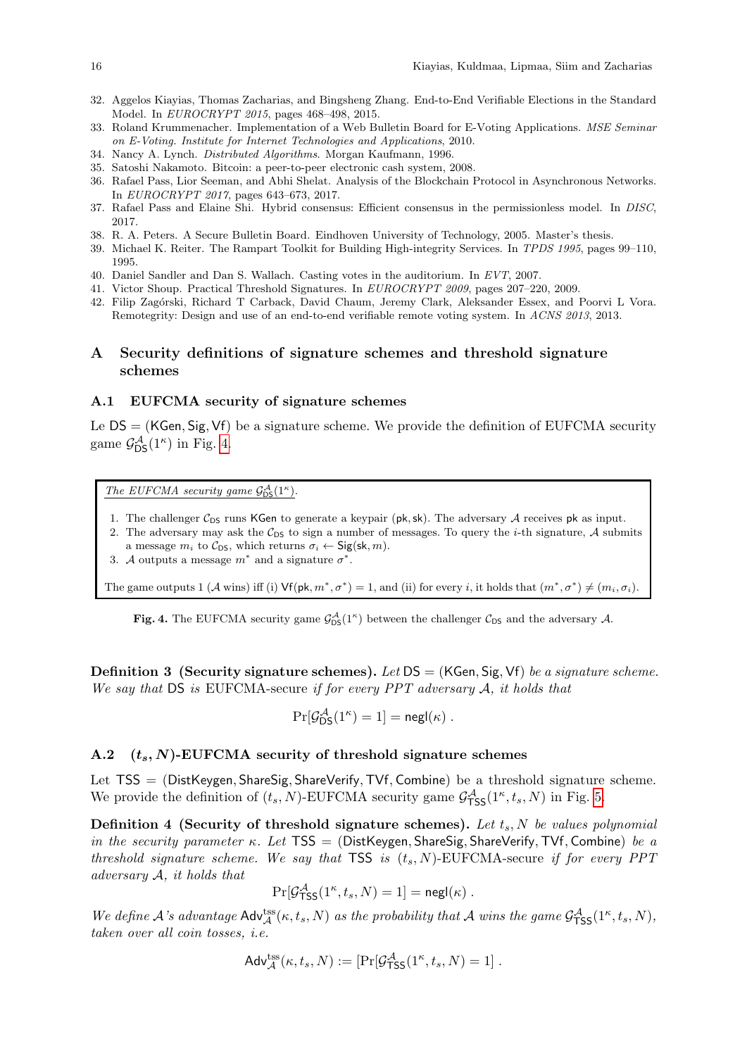- <span id="page-17-0"></span>32. Aggelos Kiayias, Thomas Zacharias, and Bingsheng Zhang. End-to-End Verifiable Elections in the Standard Model. In EUROCRYPT 2015, pages 468–498, 2015.
- <span id="page-17-3"></span>33. Roland Krummenacher. Implementation of a Web Bulletin Board for E-Voting Applications. MSE Seminar on E-Voting. Institute for Internet Technologies and Applications, 2010.
- <span id="page-17-12"></span>34. Nancy A. Lynch. Distributed Algorithms. Morgan Kaufmann, 1996.
- <span id="page-17-7"></span>35. Satoshi Nakamoto. Bitcoin: a peer-to-peer electronic cash system, 2008.
- <span id="page-17-8"></span>36. Rafael Pass, Lior Seeman, and Abhi Shelat. Analysis of the Blockchain Protocol in Asynchronous Networks. In EUROCRYPT 2017, pages 643–673, 2017.
- <span id="page-17-9"></span>37. Rafael Pass and Elaine Shi. Hybrid consensus: Efficient consensus in the permissionless model. In DISC, 2017.
- <span id="page-17-2"></span>38. R. A. Peters. A Secure Bulletin Board. Eindhoven University of Technology, 2005. Master's thesis.
- <span id="page-17-1"></span>39. Michael K. Reiter. The Rampart Toolkit for Building High-integrity Services. In TPDS 1995, pages 99–110, 1995.
- <span id="page-17-6"></span>40. Daniel Sandler and Dan S. Wallach. Casting votes in the auditorium. In EVT, 2007.
- <span id="page-17-5"></span><span id="page-17-4"></span>41. Victor Shoup. Practical Threshold Signatures. In EUROCRYPT 2009, pages 207–220, 2009. 42. Filip Zagórski, Richard T Carback, David Chaum, Jeremy Clark, Aleksander Essex, and Poorvi L Vora.

Remotegrity: Design and use of an end-to-end verifiable remote voting system. In ACNS 2013, 2013.

## A Security definitions of signature schemes and threshold signature schemes

#### <span id="page-17-10"></span>A.1 EUFCMA security of signature schemes

Le DS = (KGen, Sig, Vf) be a signature scheme. We provide the definition of EUFCMA security game  $\mathcal{G}_{\text{DS}}^{\mathcal{A}}(1^{\kappa})$  in Fig. [4.](#page-17-13)

The EUFCMA security game  $\mathcal{G}_{DS}^{\mathcal{A}}(1^{\kappa})$ .

- 1. The challenger  $C_{DS}$  runs KGen to generate a keypair (pk, sk). The adversary A receives pk as input.
- 2. The adversary may ask the  $C_{DS}$  to sign a number of messages. To query the *i*-th signature, A submits a message  $m_i$  to  $\mathcal{C}_{DS}$ , which returns  $\sigma_i \leftarrow \mathsf{Sig}(\mathsf{sk}, m)$ .
- 3. A outputs a message  $m^*$  and a signature  $\sigma^*$ .

The game outputs 1 (A wins) iff (i)  $\mathsf{Vf}(\mathsf{pk}, m^*, \sigma^*) = 1$ , and (ii) for every *i*, it holds that  $(m^*, \sigma^*) \neq (m_i, \sigma_i)$ .

<span id="page-17-13"></span>Fig. 4. The EUFCMA security game  $\mathcal{G}_{DS}^{\mathcal{A}}(1^{\kappa})$  between the challenger  $\mathcal{C}_{DS}$  and the adversary A.

<span id="page-17-14"></span>**Definition 3 (Security signature schemes).** Let  $DS = (KGen, Sig, Vf)$  be a signature scheme. We say that  $DS$  is EUFCMA-secure if for every  $PPT$  adversary  $A$ , it holds that

$$
\Pr[\mathcal{G}^{\mathcal{A}}_{\text{DS}}(1^{\kappa})=1]=\mathsf{negl}(\kappa)\ .
$$

## <span id="page-17-11"></span>A.2  $(t_s, N)$ -EUFCMA security of threshold signature schemes

Let TSS = (DistKeygen, ShareSig, ShareVerify, TVf, Combine) be a threshold signature scheme. We provide the definition of  $(t_s, N)$ -EUFCMA security game  $\mathcal{G}^{\mathcal{A}}_{\mathsf{TSS}}(1^{\kappa}, t_s, N)$  in Fig. [5.](#page-18-4)

Definition 4 (Security of threshold signature schemes). Let  $t_s$ , N be values polynomial in the security parameter  $\kappa$ . Let TSS = (DistKeygen, ShareSig, ShareVerify, TVf, Combine) be a threshold signature scheme. We say that  $TSS$  is  $(t_s, N)$ -EUFCMA-secure if for every PPT adversary  $A$ , it holds that

$$
\Pr[\mathcal{G}^{\mathcal{A}}_{\mathsf{TSS}}(1^{\kappa}, t_s, N) = 1] = \mathsf{negl}(\kappa) .
$$

We define A's advantage  $\mathsf{Adv}_{\mathcal{A}}^{\text{tss}}(\kappa, t_s, N)$  as the probability that A wins the game  $\mathcal{G}_{\text{TSS}}^{\mathcal{A}}(1^{\kappa}, t_s, N)$ , taken over all coin tosses, i.e.

$$
\mathsf{Adv}_{\mathcal{A}}^{\mathsf{tss}}(\kappa, t_s, N) := \left[ \Pr[\mathcal{G}^{\mathcal{A}}_{\mathsf{TSS}}(1^{\kappa}, t_s, N) = 1] \right].
$$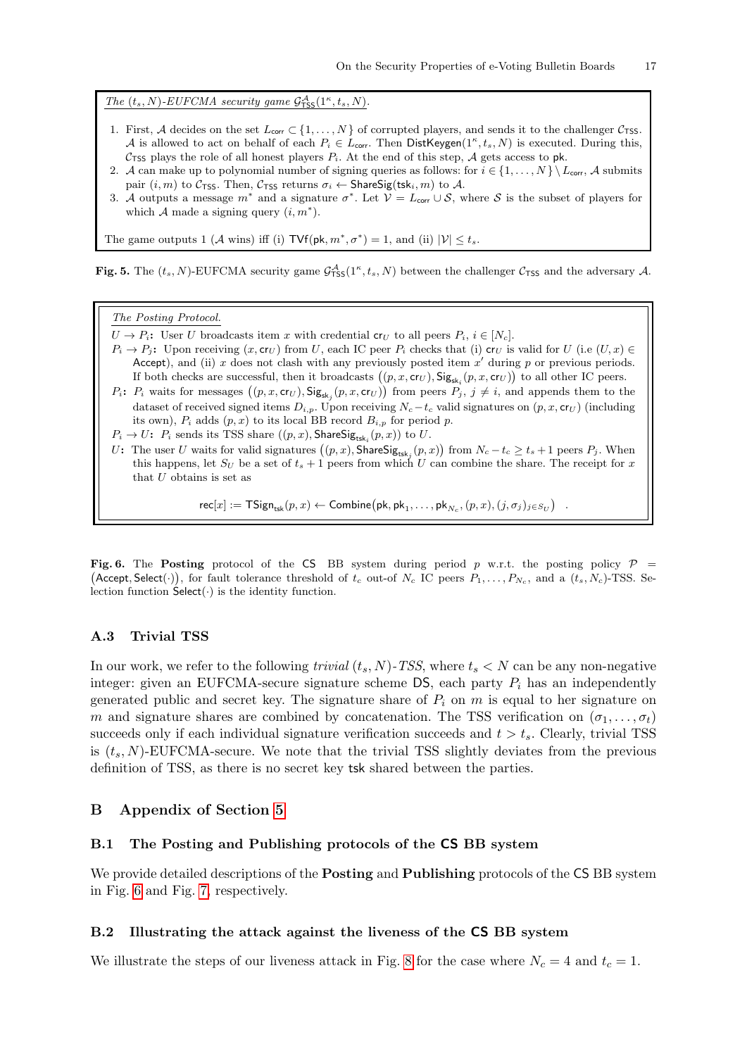The  $(t_s, N)$ -EUFCMA security game  $\mathcal{G}^{\mathcal{A}}_{\text{TSS}}(1^{\kappa}, t_s, N)$ .

- 1. First, A decides on the set  $L_{\text{corr}} \subset \{1, \ldots, N\}$  of corrupted players, and sends it to the challenger  $C_{\text{TSS}}$ . A is allowed to act on behalf of each  $P_i \in L_{corr}$ . Then DistKeygen $(1^{\kappa}, t_s, N)$  is executed. During this, C<sub>TSS</sub> plays the role of all honest players  $P_i$ . At the end of this step, A gets access to pk.
- 2. A can make up to polynomial number of signing queries as follows: for  $i \in \{1, ..., N\} \setminus L_{\text{corr}}$ , A submits pair  $(i, m)$  to  $C_{\text{TSS}}$ . Then,  $C_{\text{TSS}}$  returns  $\sigma_i \leftarrow \text{ShareSig}(\text{tsk}_i, m)$  to A.
- 3. A outputs a message  $m^*$  and a signature  $\sigma^*$ . Let  $\mathcal{V} = L_{\text{corr}} \cup \mathcal{S}$ , where S is the subset of players for which  $A$  made a signing query  $(i, m^*)$ .

The game outputs 1 (A wins) iff (i)  $TVf(\mathsf{pk}, m^*, \sigma^*) = 1$ , and (ii)  $|\mathcal{V}| \leq t_s$ .

<span id="page-18-4"></span>Fig. 5. The  $(t_s, N)$ -EUFCMA security game  $\mathcal{G}^{\mathcal{A}}_{\mathsf{TSS}}(1^{\kappa}, t_s, N)$  between the challenger  $\mathcal{C}_{\mathsf{TSS}}$  and the adversary A.

#### The Posting Protocol.

- $U \to P_i$ : User U broadcasts item x with credential cr<sub>U</sub> to all peers  $P_i$ ,  $i \in [N_c]$ .
- $P_i \rightarrow P_j$ : Upon receiving  $(x, \text{cr}_U)$  from U, each IC peer  $P_i$  checks that (i)  $\text{cr}_U$  is valid for U (i.e  $(U, x) \in$ Accept), and (ii) x does not clash with any previously posted item  $x'$  during p or previous periods. If both checks are successful, then it broadcasts  $((p, x, \mathsf{cr}_U), \mathsf{Sig}_{\mathsf{sk}_i}(p, x, \mathsf{cr}_U))$  to all other IC peers.
- $P_i: P_i$  waits for messages  $((p, x, \mathsf{cr}_U), \mathsf{Sig}_{\mathsf{sk}_j}(p, x, \mathsf{cr}_U))$  from peers  $P_j, j \neq i$ , and appends them to the dataset of received signed items  $D_{i,p}$ . Upon receiving  $N_c-t_c$  valid signatures on  $(p, x, cr_U)$  (including its own),  $P_i$  adds  $(p, x)$  to its local BB record  $B_{i,p}$  for period p.
- $P_i \rightarrow U$ :  $P_i$  sends its TSS share  $((p, x), \textsf{ShareSig}_{\textsf{tsk}_i}(p, x))$  to  $U$ .
- U: The user U waits for valid signatures  $((p, x), \mathsf{ShareSig}_{\mathsf{tsk}_j}(p, x))$  from  $N_c t_c \ge t_s + 1$  peers  $P_j$ . When this happens, let  $S_U$  be a set of  $t_s + 1$  peers from which U can combine the share. The receipt for x that  ${\cal U}$  obtains is set as

 $\mathsf{rec}[x] := \mathsf{TSign}_{\mathsf{tsk}}(p, x) \leftarrow \mathsf{Combine} \big(\mathsf{pk}, \mathsf{pk}_1, \ldots, \mathsf{pk}_{N_c}, (p, x), (j, \sigma_j)_{j \in S_U} \big)$ 

<span id="page-18-0"></span>Fig. 6. The Posting protocol of the CS BB system during period p w.r.t. the posting policy  $\mathcal{P}$  = (Accept, Select(.)), for fault tolerance threshold of  $t_c$  out-of  $N_c$  IC peers  $P_1, \ldots, P_{N_c}$ , and a  $(t_s, N_c)$ -TSS. Selection function  $\mathsf{Select}(\cdot)$  is the identity function.

#### <span id="page-18-3"></span>A.3 Trivial TSS

In our work, we refer to the following *trivial*  $(t_s, N)$ -TSS, where  $t_s < N$  can be any non-negative integer: given an EUFCMA-secure signature scheme DS, each party  $P_i$  has an independently generated public and secret key. The signature share of  $P_i$  on m is equal to her signature on m and signature shares are combined by concatenation. The TSS verification on  $(\sigma_1, \ldots, \sigma_t)$ succeeds only if each individual signature verification succeeds and  $t > t_s$ . Clearly, trivial TSS is  $(t_s, N)$ -EUFCMA-secure. We note that the trivial TSS slightly deviates from the previous definition of TSS, as there is no secret key tsk shared between the parties.

## B Appendix of Section [5](#page-9-0)

#### <span id="page-18-1"></span>B.1 The Posting and Publishing protocols of the CS BB system

We provide detailed descriptions of the **Posting** and **Publishing** protocols of the CS BB system in Fig. [6](#page-18-0) and Fig. [7,](#page-19-0) respectively.

#### <span id="page-18-2"></span>B.2 Illustrating the attack against the liveness of the CS BB system

We illustrate the steps of our liveness attack in Fig. [8](#page-20-0) for the case where  $N_c = 4$  and  $t_c = 1$ .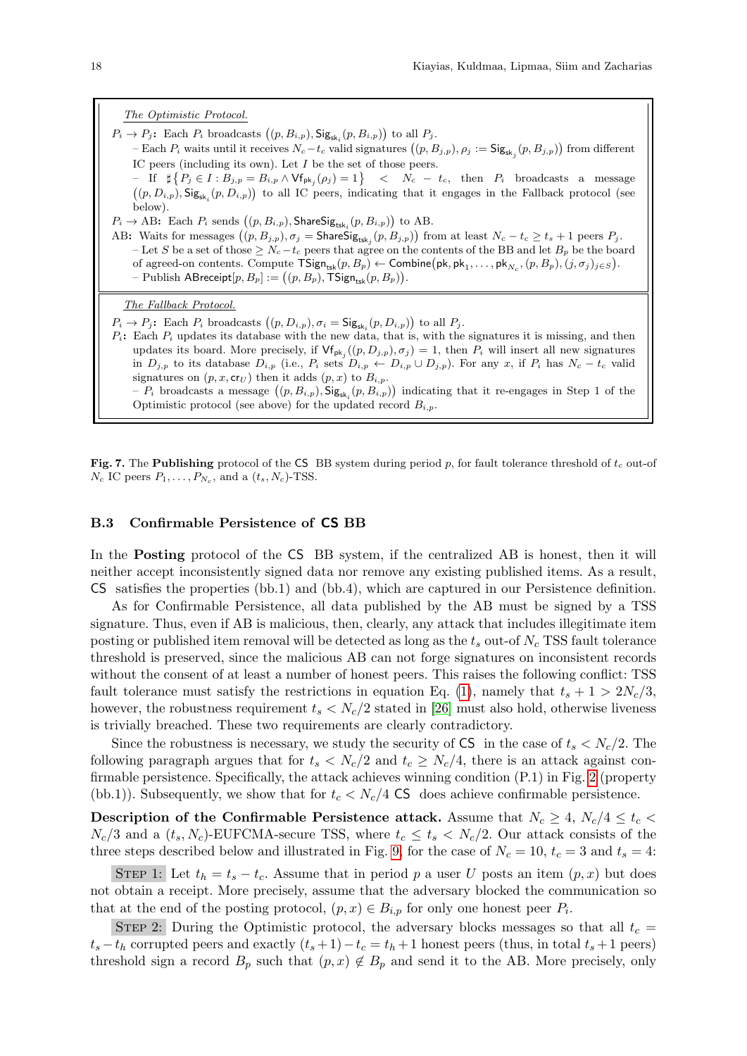The Optimistic Protocol.  $P_i \to P_j$ : Each  $P_i$  broadcasts  $((p, B_{i,p}),$  Sig<sub>sk<sub>i</sub></sub> $(p, B_{i,p}))$  to all  $P_j$ . – Each  $P_i$  waits until it receives  $N_c - t_c$  valid signatures  $((p, B_{j,p}), \rho_j := \mathsf{Sig}_{\mathsf{sk}_j}(p, B_{j,p}))$  from different IC peers (including its own). Let  $I$  be the set of those peers.  $-$  If  $\sharp \{P_j \in I : B_{j,p} = B_{i,p} \land \forall f_{\mathsf{pk}_j}(\rho_j) = 1\}$  <  $N_c - t_c$ , then  $P_i$  broadcasts a message  $((p, D_{i,p}),$  Sig<sub>sk<sub>i</sub></sub> $(p, D_{i,p})$  to all IC peers, indicating that it engages in the Fallback protocol (see

below).  $P_i \rightarrow AB$ : Each  $P_i$  sends  $((p, B_{i,p}),$  ShareSi $g_{\text{tsk}_i}(p, B_{i,p}))$  to AB.

AB: Waits for messages  $((p, B_{j,p}), \sigma_j = \textsf{ShareSig}_{\textsf{tsk}_j}(p, B_{j,p}))$  from at least  $N_c - t_c \ge t_s + 1$  peers  $P_j$ . – Let S be a set of those  $\geq N_c-t_c$  peers that agree on the contents of the BB and let  $B_p$  be the board of agreed-on contents. Compute  $\mathsf{TSign}_{\mathsf{tsk}}(p, B_p) \leftarrow \mathsf{Combine}(\mathsf{pk}, \mathsf{pk}_1, \ldots, \mathsf{pk}_{N_c}, (p, B_p), (j, \sigma_j)_{j \in S}).$  $-$  Publish ABreceipt $[p,B_p] := ((p,B_p), \mathsf{TSign}_{\mathsf{tsk}}(p,B_p)).$ 

The Fallback Protocol.

- $P_i \to P_j$ : Each  $P_i$  broadcasts  $((p, D_{i,p}), \sigma_i = \mathsf{Sig}_{\mathsf{sk}_i}(p, D_{i,p}))$  to all  $P_j$ .
- $P_i$ : Each  $P_i$  updates its database with the new data, that is, with the signatures it is missing, and then updates its board. More precisely, if  $\mathsf{Vf}_{\mathsf{pk}_j}((p, D_{j,p}), \sigma_j) = 1$ , then  $P_i$  will insert all new signatures in  $D_{j,p}$  to its database  $D_{i,p}$  (i.e.,  $P_i$  sets  $D_{i,p} \leftarrow D_{i,p} \cup D_{j,p}$ ). For any x, if  $P_i$  has  $N_c - t_c$  valid signatures on  $(p, x, \text{cr}_U)$  then it adds  $(p, x)$  to  $B_{i,p}$ .
	- $P_i$  broadcasts a message  $((p, B_{i,p}), \mathsf{Sig}_{\mathsf{sk}_i}(p, B_{i,p}))$  indicating that it re-engages in Step 1 of the Optimistic protocol (see above) for the updated record  $B_{i,p}$ .

<span id="page-19-0"></span>Fig. 7. The Publishing protocol of the CS BB system during period p, for fault tolerance threshold of  $t_c$  out-of  $N_c$  IC peers  $P_1, \ldots, P_{N_c}$ , and a  $(t_s, N_c)$ -TSS.

#### <span id="page-19-1"></span>B.3 Confirmable Persistence of CS BB

In the **Posting** protocol of the CS BB system, if the centralized AB is honest, then it will neither accept inconsistently signed data nor remove any existing published items. As a result, CS satisfies the properties (bb.1) and (bb.4), which are captured in our Persistence definition.

As for Confirmable Persistence, all data published by the AB must be signed by a TSS signature. Thus, even if AB is malicious, then, clearly, any attack that includes illegitimate item posting or published item removal will be detected as long as the  $t_s$  out-of  $N_c$  TSS fault tolerance threshold is preserved, since the malicious AB can not forge signatures on inconsistent records without the consent of at least a number of honest peers. This raises the following conflict: TSS fault tolerance must satisfy the restrictions in equation Eq. [\(1\)](#page-9-2), namely that  $t_s + 1 > 2N_c/3$ , however, the robustness requirement  $t_s < N_c/2$  stated in [\[26\]](#page-16-20) must also hold, otherwise liveness is trivially breached. These two requirements are clearly contradictory.

Since the robustness is necessary, we study the security of  $\text{CS}_{1}$  in the case of  $t_s < N_c/2$ . The following paragraph argues that for  $t_s < N_c/2$  and  $t_c \ge N_c/4$ , there is an attack against confirmable persistence. Specifically, the attack achieves winning condition (P.1) in Fig. [2](#page-8-1) (property (bb.1)). Subsequently, we show that for  $t_c < N_c/4$  CS does achieve confirmable persistence.

Description of the Confirmable Persistence attack. Assume that  $N_c \geq 4$ ,  $N_c/4 \leq t_c$  $N_c/3$  and a  $(t_s, N_c)$ -EUFCMA-secure TSS, where  $t_c \le t_s < N_c/2$ . Our attack consists of the three steps described below and illustrated in Fig. [9,](#page-21-0) for the case of  $N_c = 10$ ,  $t_c = 3$  and  $t_s = 4$ :

STEP 1: Let  $t_h = t_s - t_c$ . Assume that in period p a user U posts an item  $(p, x)$  but does not obtain a receipt. More precisely, assume that the adversary blocked the communication so that at the end of the posting protocol,  $(p, x) \in B_{i,p}$  for only one honest peer  $P_i$ .

STEP 2: During the Optimistic protocol, the adversary blocks messages so that all  $t_c$  =  $t_s - t_h$  corrupted peers and exactly  $(t_s + 1) - t_c = t_h + 1$  honest peers (thus, in total  $t_s + 1$  peers) threshold sign a record  $B_p$  such that  $(p, x) \notin B_p$  and send it to the AB. More precisely, only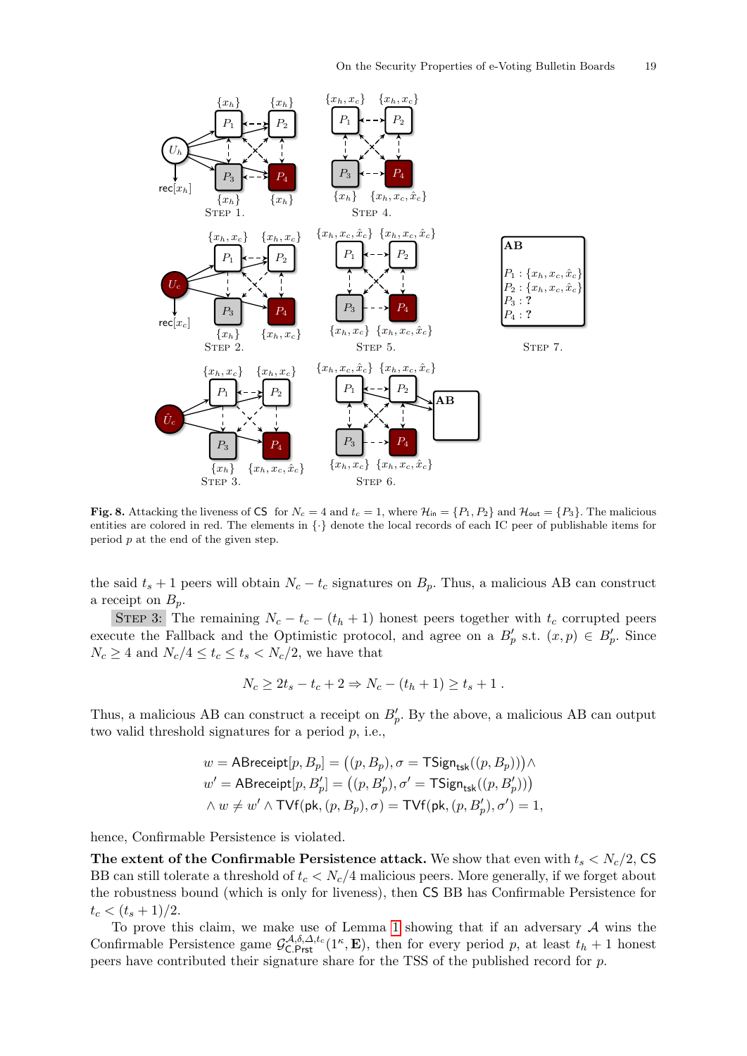

<span id="page-20-0"></span>Fig. 8. Attacking the liveness of CS for  $N_c = 4$  and  $t_c = 1$ , where  $\mathcal{H}_{in} = \{P_1, P_2\}$  and  $\mathcal{H}_{out} = \{P_3\}$ . The malicious entities are colored in red. The elements in {·} denote the local records of each IC peer of publishable items for period p at the end of the given step.

the said  $t_s + 1$  peers will obtain  $N_c - t_c$  signatures on  $B_p$ . Thus, a malicious AB can construct a receipt on  $B_p$ .

STEP 3: The remaining  $N_c - t_c - (t_h + 1)$  honest peers together with  $t_c$  corrupted peers execute the Fallback and the Optimistic protocol, and agree on a  $B'_p$  s.t.  $(x, p) \in B'_p$ . Since  $N_c \geq 4$  and  $N_c/4 \leq t_c \leq t_s < N_c/2$ , we have that

$$
N_c \ge 2t_s - t_c + 2 \Rightarrow N_c - (t_h + 1) \ge t_s + 1.
$$

Thus, a malicious AB can construct a receipt on  $B'_p$ . By the above, a malicious AB can output two valid threshold signatures for a period  $p$ , i.e.,

$$
w = \text{ABreceipt}[p, B_p] = ((p, B_p), \sigma = \text{TSign}_{\text{tsk}}((p, B_p))) \land w' = \text{ABreceipt}[p, B'_p] = ((p, B'_p), \sigma' = \text{TSign}_{\text{tsk}}((p, B'_p))) \land w \neq w' \land \text{TVf}(\text{pk}, (p, B_p), \sigma) = \text{TVf}(\text{pk}, (p, B'_p), \sigma') = 1,
$$

hence, Confirmable Persistence is violated.

The extent of the Confirmable Persistence attack. We show that even with  $t_s < N_c/2$ , CS BB can still tolerate a threshold of  $t_c < N_c/4$  malicious peers. More generally, if we forget about the robustness bound (which is only for liveness), then CS BB has Confirmable Persistence for  $t_c < (t_s + 1)/2.$ 

<span id="page-20-1"></span>To prove this claim, we make use of Lemma [1](#page-20-1) showing that if an adversary  $A$  wins the Confirmable Persistence game  $\mathcal{G}_{\text{C.Prst}}^{\mathcal{A},\delta,\Delta,t_c}(\mathbb{1}^{\kappa},\mathbf{E})$ , then for every period p, at least  $t_h + 1$  honest peers have contributed their signature share for the TSS of the published record for p.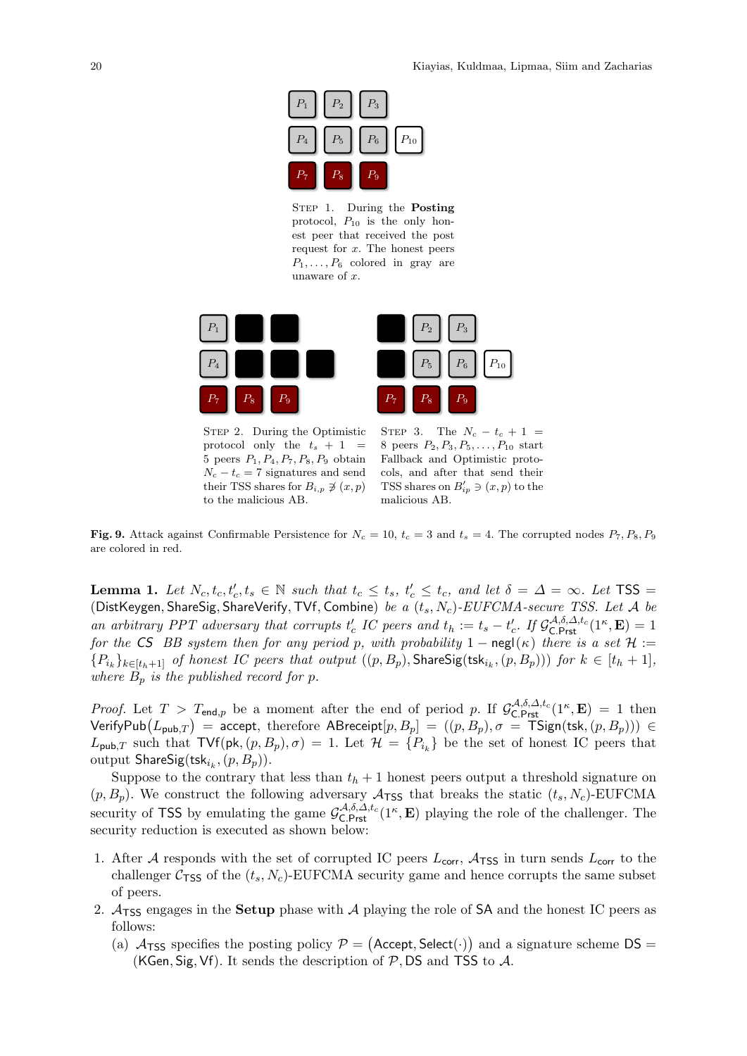

STEP 1. During the **Posting** protocol,  $P_{10}$  is the only honest peer that received the post request for  $x$ . The honest peers  $P_1, \ldots, P_6$  colored in gray are unaware of x.



STEP 2. During the Optimistic protocol only the  $t_s + 1 =$ 5 peers  $P_1, P_4, P_7, P_8, P_9$  obtain  $N_c - t_c = 7$  signatures and send their TSS shares for  $B_{i,p} \not\ni (x, p)$ to the malicious AB.

STEP 3. The  $N_c - t_c + 1$  = 8 peers  $P_2, P_3, P_5, \ldots, P_{10}$  start Fallback and Optimistic protocols, and after that send their TSS shares on  $B'_{ip} \ni (x, p)$  to the malicious AB.

<span id="page-21-0"></span>Fig. 9. Attack against Confirmable Persistence for  $N_c = 10$ ,  $t_c = 3$  and  $t_s = 4$ . The corrupted nodes  $P_7, P_8, P_9$ are colored in red.

**Lemma 1.** Let  $N_c, t_c, t_c', t_s \in \mathbb{N}$  such that  $t_c \leq t_s$ ,  $t_c' \leq t_c$ , and let  $\delta = \Delta = \infty$ . Let  $TSS =$ (DistKeygen, ShareSig, ShareVerify, TVf, Combine) be a  $(t_s, N_c)$ -EUFCMA-secure TSS. Let A be an arbitrary PPT adversary that corrupts  $t'_c$  IC peers and  $t_h := t_s - t'_c$ . If  $\mathcal{G}_{\text{C.Prst}}^{\mathcal{A},\delta,\Delta,t_c}(\mathbb{1}^{\kappa},\mathbf{E})=1$ for the CS BB system then for any period p, with probability  $1 - \text{negl}(\kappa)$  there is a set  $\mathcal{H} :=$  ${P_{k}}_{k}$ <sub>k∈[t<sub>h</sub>+1] of honest IC peers that output  $((p, B_p),$  ShareSig(tsk<sub>i<sub>k</sub></sub>,  $(p, B_p))$ ) for  $k \in [t_h + 1]$ ,</sub> where  $B_p$  is the published record for p.

*Proof.* Let  $T > T_{\text{end},p}$  be a moment after the end of period p. If  $\mathcal{G}_{\text{C.Prst}}^{\mathcal{A},\delta,\Delta,t_c}(1^{\kappa},\mathbf{E}) = 1$  then Verify $\mathsf{Pub}(L_{\mathsf{pub},T}) = \mathsf{accept}, \mathsf{therefore} \; \mathsf{ABreeight}[p,B_p] = ((p,B_p), \sigma = \mathsf{TSign}(\mathsf{tsk}, (p,B_p))) \in$  $L_{\text{pub},T}$  such that  $\text{TVf}(\text{pk}, (p, B_p), \sigma) = 1$ . Let  $\mathcal{H} = \{P_{i_k}\}\$ be the set of honest IC peers that output  $\mathsf{ShareSig}(\mathsf{tsk}_{i_k}, (p, B_p)).$ 

Suppose to the contrary that less than  $t<sub>h</sub> + 1$  honest peers output a threshold signature on  $(p, B_p)$ . We construct the following adversary  $A_{\text{TSS}}$  that breaks the static  $(t_s, N_c)$ -EUFCMA security of TSS by emulating the game  $\mathcal{G}_{\text{C.Prst}}^{\mathcal{A},\delta,\Delta,t_c}(1^{\kappa},\mathbf{E})$  playing the role of the challenger. The security reduction is executed as shown below:

- 1. After A responds with the set of corrupted IC peers  $L_{\text{corr}}$ ,  $A_{\text{TSS}}$  in turn sends  $L_{\text{corr}}$  to the challenger  $C_{\text{TSS}}$  of the  $(t_s, N_c)$ -EUFCMA security game and hence corrupts the same subset of peers.
- 2.  $\mathcal{A}_{\text{TSS}}$  engages in the **Setup** phase with  $\mathcal{A}$  playing the role of SA and the honest IC peers as follows:
	- (a)  $A_{TSS}$  specifies the posting policy  $P = ($ Accept, Select $(\cdot)$  and a signature scheme DS = (KGen, Sig, Vf). It sends the description of  $P$ , DS and TSS to  $\mathcal{A}$ .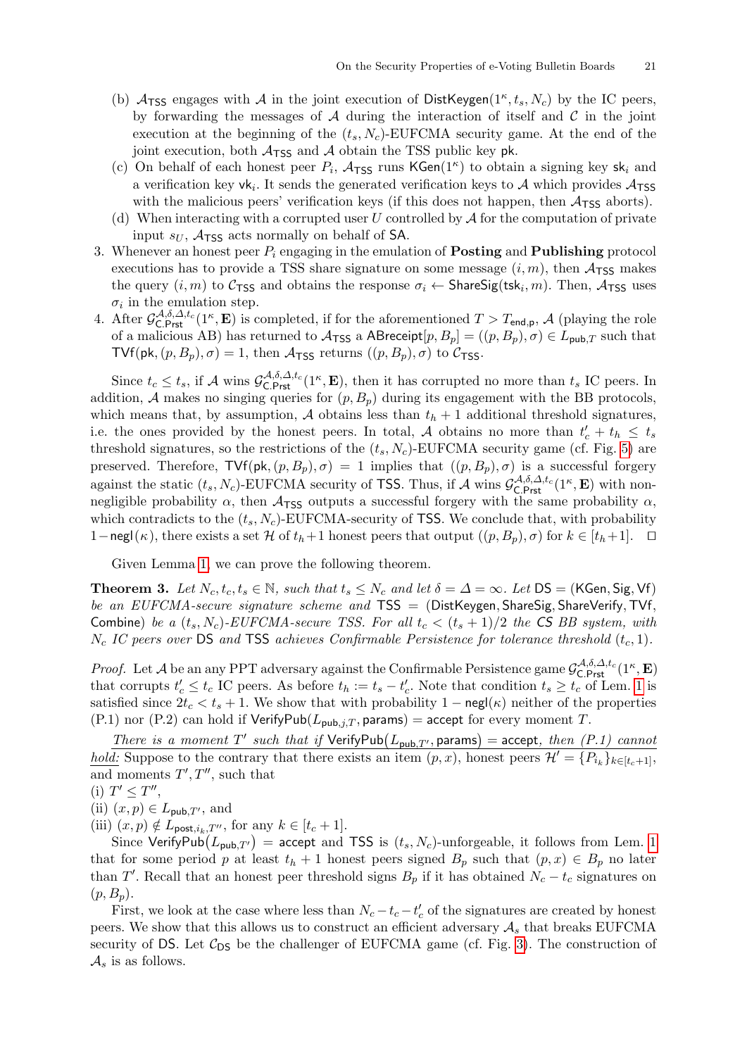- (b)  $A_{TSS}$  engages with A in the joint execution of DistKeygen( $1^{\kappa}, t_s, N_c$ ) by the IC peers, by forwarding the messages of  $A$  during the interaction of itself and  $C$  in the joint execution at the beginning of the  $(t_s, N_c)$ -EUFCMA security game. At the end of the joint execution, both  $A_{\text{TSS}}$  and A obtain the TSS public key pk.
- (c) On behalf of each honest peer  $P_i$ ,  $\mathcal{A}_{\text{TSS}}$  runs KGen(1<sup> $\kappa$ </sup>) to obtain a signing key sk<sub>i</sub> and a verification key  $vk_i$ . It sends the generated verification keys to  $\mathcal A$  which provides  $\mathcal A_{\text{TSS}}$ with the malicious peers' verification keys (if this does not happen, then  $A_{\text{TSS}}$  aborts).
- (d) When interacting with a corrupted user U controlled by  $A$  for the computation of private input  $s_U$ ,  $A_{\text{TSS}}$  acts normally on behalf of SA.
- 3. Whenever an honest peer  $P_i$  engaging in the emulation of **Posting** and **Publishing** protocol executions has to provide a TSS share signature on some message  $(i, m)$ , then  $A_{\text{TSS}}$  makes the query  $(i, m)$  to  $C_{\text{TSS}}$  and obtains the response  $\sigma_i \leftarrow \text{ShareSig(tsk}_i, m)$ . Then,  $\mathcal{A}_{\text{TSS}}$  uses  $\sigma_i$  in the emulation step.
- 4. After  $\mathcal{G}_{\mathsf{C},\mathsf{Prst}}^{\mathcal{A},\delta,\mathcal{A},t_c}(1^{\kappa},\mathbf{E})$  is completed, if for the aforementioned  $T>T_{\mathsf{end},\mathsf{p}},\mathcal{A}$  (playing the role of a malicious AB) has returned to  $\mathcal{A}_{\text{TSS}}$  a ABreceipt $[p, B_p] = ((p, B_p), \sigma) \in L_{\text{pub},T}$  such that TVf(pk,  $(p, B_p), \sigma$ ) = 1, then  $\mathcal{A}_{\text{TSS}}$  returns  $((p, B_p), \sigma)$  to  $\mathcal{C}_{\text{TSS}}$ .

Since  $t_c \le t_s$ , if A wins  $\mathcal{G}_{\text{C.Prst}}^{\mathcal{A},\delta,\mathcal{\Delta},t_c}(\mathbb{1}^{\kappa},\mathbf{E})$ , then it has corrupted no more than  $t_s$  IC peers. In addition, A makes no singing queries for  $(p, B_p)$  during its engagement with the BB protocols, which means that, by assumption,  $A$  obtains less than  $t<sub>h</sub> + 1$  additional threshold signatures, i.e. the ones provided by the honest peers. In total, A obtains no more than  $t'_{c} + t_{h} \leq t_{s}$ threshold signatures, so the restrictions of the  $(t_s, N_c)$ -EUFCMA security game (cf. Fig. [5\)](#page-18-4) are preserved. Therefore,  $TVf(pk,(p, B_p), \sigma) = 1$  implies that  $((p, B_p), \sigma)$  is a successful forgery against the static  $(t_s, N_c)$ -EUFCMA security of TSS. Thus, if A wins  $\mathcal{G}_{\text{C.Prst}}^{A,\delta,\Delta,t_c}(1^\kappa, \mathbf{E})$  with nonnegligible probability  $\alpha$ , then  $\mathcal{A}_{TSS}$  outputs a successful forgery with the same probability  $\alpha$ , which contradicts to the  $(t_s, N_c)$ -EUFCMA-security of TSS. We conclude that, with probability 1−negl( $\kappa$ ), there exists a set H of  $t_h+1$  honest peers that output  $((p, B_p), \sigma)$  for  $k \in [t_h+1]$ .  $\Box$ 

<span id="page-22-0"></span>Given Lemma [1,](#page-20-1) we can prove the following theorem.

**Theorem 3.** Let  $N_c$ ,  $t_c$ ,  $t_s \in \mathbb{N}$ , such that  $t_s \leq N_c$  and let  $\delta = \Delta = \infty$ . Let  $DS = (KGen, Sig, Vf)$ be an EUFCMA-secure signature scheme and  $TSS = (DistKeygen, ShareSig, ShareVerify, TVf,$ Combine) be a  $(t_s, N_c)$ -EUFCMA-secure TSS. For all  $t_c < (t_s + 1)/2$  the CS BB system, with  $N_c$  IC peers over DS and TSS achieves Confirmable Persistence for tolerance threshold  $(t_c, 1)$ .

*Proof.* Let A be an any PPT adversary against the Confirmable Persistence game  $\mathcal{G}_{\text{C.Prst}}^{A,\delta,\Delta,t_c}(1^\kappa,\mathbf{E})$ that corrupts  $t'_{c} \leq t_{c}$  IC peers. As before  $t_{h} := t_{s} - t'_{c}$ . Note that condition  $t_{s} \geq t_{c}$  of Lem. [1](#page-20-1) is satisfied since  $2t_c < t_s + 1$ . We show that with probability  $1 - \text{negl}(\kappa)$  neither of the properties (P.1) nor (P.2) can hold if  $VerifyPub(L_{pub,i,T}, \text{params}) = accept$  for every moment T.

There is a moment T' such that if  $VerifyPub(L_{pub,T'}, \text{params}) = accept, then (P.1) cannot$ hold: Suppose to the contrary that there exists an item  $(p, x)$ , honest peers  $\mathcal{H}' = \{P_{i_k}\}_{k \in [t_c+1]},$ and moments  $T', T''$ , such that

$$
(i) T' \leq T'',
$$

(ii)  $(x, p) \in L_{\text{pub},T'}$ , and

(iii)  $(x, p) \notin L_{\text{post},i_k,T''}$ , for any  $k \in [t_c + 1]$ .

Since VerifyPub $(L_{\text{pub},T'})$  = accept and TSS is  $(t_s, N_c)$ -unforgeable, it follows from Lem. [1](#page-20-1) that for some period p at least  $t_h + 1$  honest peers signed  $B_p$  such that  $(p, x) \in B_p$  no later than T'. Recall that an honest peer threshold signs  $B_p$  if it has obtained  $N_c - t_c$  signatures on  $(p, B_p).$ 

First, we look at the case where less than  $N_c - t_c - t'_c$  of the signatures are created by honest peers. We show that this allows us to construct an efficient adversary  $A_s$  that breaks EUFCMA security of DS. Let  $C_{DS}$  be the challenger of EUFCMA game (cf. Fig. [3\)](#page-17-14). The construction of  $\mathcal{A}_s$  is as follows.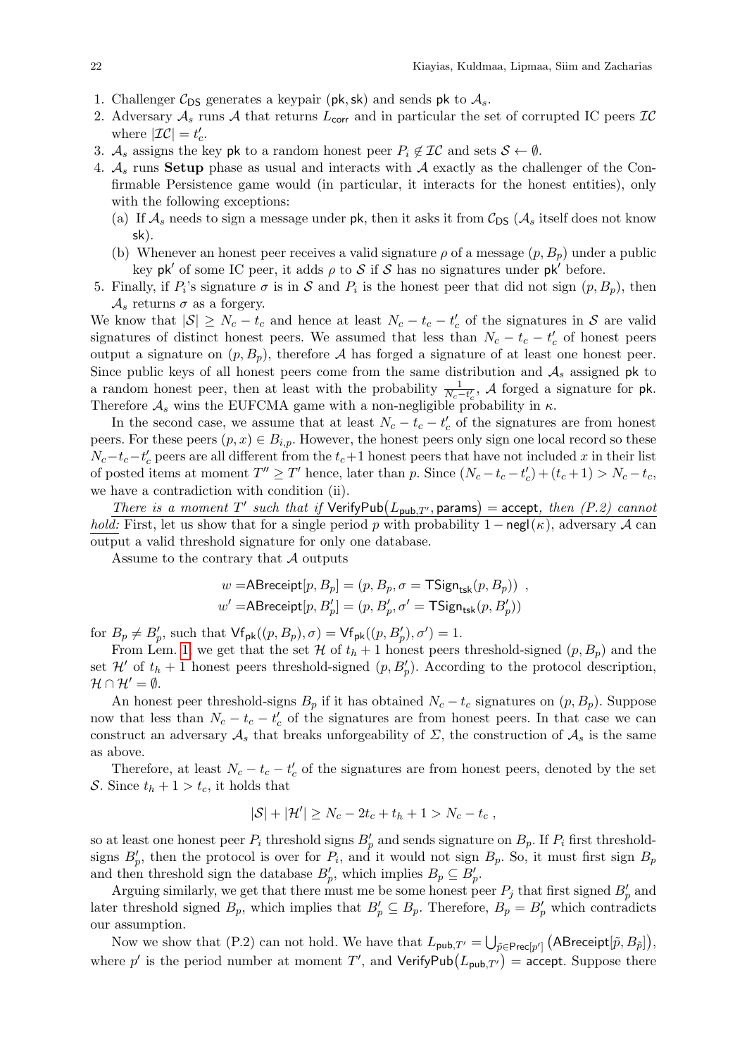- 1. Challenger  $C_{DS}$  generates a keypair (pk, sk) and sends pk to  $A_s$ .
- 2. Adversary  $A_s$  runs A that returns  $L_{\text{corr}}$  and in particular the set of corrupted IC peers  $IC$ where  $|\mathcal{IC}| = t'_c$ .
- 3.  $\mathcal{A}_s$  assigns the key pk to a random honest peer  $P_i \notin \mathcal{IC}$  and sets  $\mathcal{S} \leftarrow \emptyset$ .
- 4.  $\mathcal{A}_s$  runs Setup phase as usual and interacts with  $\mathcal A$  exactly as the challenger of the Confirmable Persistence game would (in particular, it interacts for the honest entities), only with the following exceptions:
	- (a) If  $\mathcal{A}_s$  needs to sign a message under pk, then it asks it from  $\mathcal{C}_{DS}$  ( $\mathcal{A}_s$  itself does not know sk).
	- (b) Whenever an honest peer receives a valid signature  $\rho$  of a message  $(p, B_p)$  under a public key pk' of some IC peer, it adds  $\rho$  to S if S has no signatures under pk' before.
- 5. Finally, if  $P_i$ 's signature  $\sigma$  is in S and  $P_i$  is the honest peer that did not sign  $(p, B_p)$ , then  $\mathcal{A}_s$  returns  $\sigma$  as a forgery.

We know that  $|S| \geq N_c - t_c$  and hence at least  $N_c - t_c - t_c'$  of the signatures in S are valid signatures of distinct honest peers. We assumed that less than  $N_c - t_c - t'_c$  of honest peers output a signature on  $(p, B_p)$ , therefore A has forged a signature of at least one honest peer. Since public keys of all honest peers come from the same distribution and  $A_s$  assigned pk to a random honest peer, then at least with the probability  $\frac{1}{N_c-t_c}$ , A forged a signature for pk. Therefore  $A_s$  wins the EUFCMA game with a non-negligible probability in  $\kappa$ .

In the second case, we assume that at least  $N_c - t_c - t'_c$  of the signatures are from honest peers. For these peers  $(p, x) \in B_{i,p}$ . However, the honest peers only sign one local record so these  $N_c-t_c-t'_c$  peers are all different from the  $t_c+1$  honest peers that have not included x in their list of posted items at moment  $T'' \geq T'$  hence, later than p. Since  $(N_c - t_c - t'_c) + (t_c + 1) > N_c - t_c$ , we have a contradiction with condition (ii).

There is a moment T' such that if  $VerifyPub(L_{pub,T'}, \text{params}) = accept, then (P.2) cannot$ *hold:* First, let us show that for a single period p with probability  $1 - \text{negl}(\kappa)$ , adversary A can output a valid threshold signature for only one database.

Assume to the contrary that  $\mathcal A$  outputs

$$
w = \text{ABreeight}[p, B_p] = (p, B_p, \sigma = \text{TSign}_{\text{tsk}}(p, B_p))
$$
\n
$$
w' = \text{ABreeight}[p, B_p'] = (p, B_p', \sigma' = \text{TSign}_{\text{tsk}}(p, B_p'))
$$

for  $B_p \neq B'_p$ , such that  $\mathsf{Vf}_{\mathsf{pk}}((p, B_p), \sigma) = \mathsf{Vf}_{\mathsf{pk}}((p, B'_p), \sigma') = 1.$ 

From Lem. [1,](#page-20-1) we get that the set  $\mathcal H$  of  $t_h + 1$  honest peers threshold-signed  $(p, B_p)$  and the set  $\mathcal{H}'$  of  $t_h + 1$  honest peers threshold-signed  $(p, B_p')$ . According to the protocol description,  $\mathcal{H} \cap \mathcal{H}' = \emptyset.$ 

An honest peer threshold-signs  $B_p$  if it has obtained  $N_c - t_c$  signatures on  $(p, B_p)$ . Suppose now that less than  $N_c - t_c - t'_c$  of the signatures are from honest peers. In that case we can construct an adversary  $\mathcal{A}_s$  that breaks unforgeability of  $\Sigma$ , the construction of  $\mathcal{A}_s$  is the same as above.

Therefore, at least  $N_c - t_c - t'_c$  of the signatures are from honest peers, denoted by the set S. Since  $t_h + 1 > t_c$ , it holds that

$$
|S| + |\mathcal{H}'| \ge N_c - 2t_c + t_h + 1 > N_c - t_c,
$$

so at least one honest peer  $P_i$  threshold signs  $B_p'$  and sends signature on  $B_p$ . If  $P_i$  first thresholdsigns  $B'_p$ , then the protocol is over for  $P_i$ , and it would not sign  $B_p$ . So, it must first sign  $B_p$ and then threshold sign the database  $B'_p$ , which implies  $B_p \subseteq B'_p$ .

Arguing similarly, we get that there must me be some honest peer  $P_j$  that first signed  $B_p'$  and later threshold signed  $B_p$ , which implies that  $B'_p \subseteq B_p$ . Therefore,  $B_p = B'_p$  which contradicts our assumption.

Now we show that (P.2) can not hold. We have that  $L_{\mathsf{pub},T'} = \bigcup_{\tilde{p} \in \mathsf{Prec}[p']} \big( \mathsf{ABreeight}[\tilde{p}, B_{\tilde{p}}] \big)$ , where p' is the period number at moment T', and VerifyPub $(L_{\text{pub},T'})$  = accept. Suppose there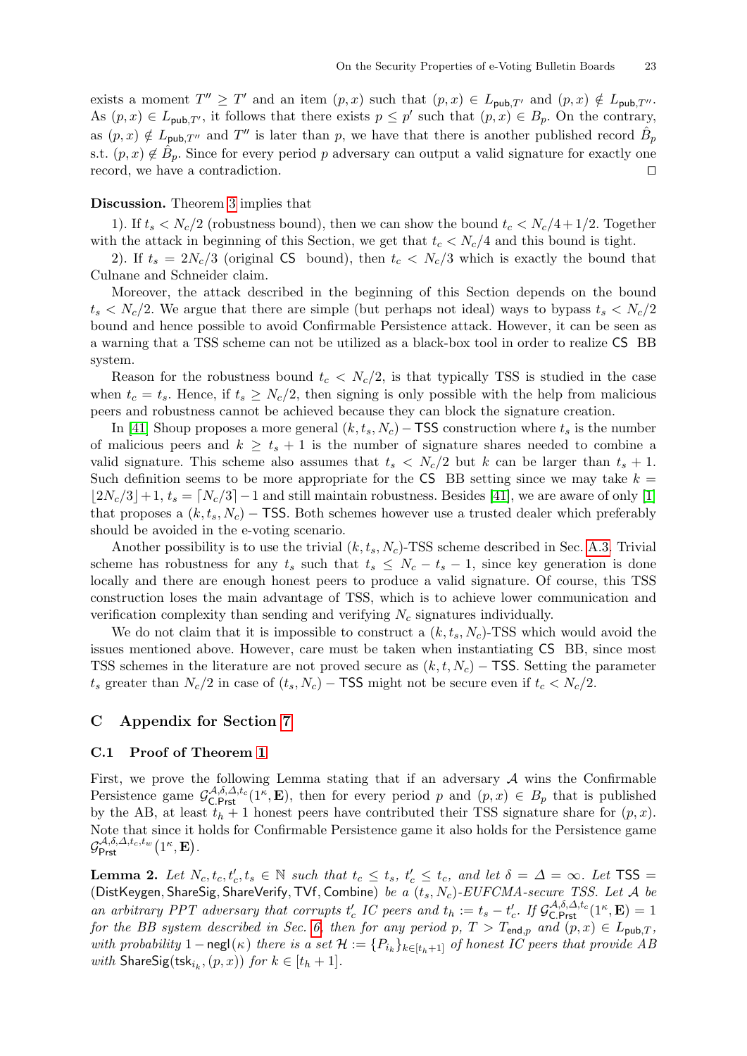exists a moment  $T'' \geq T'$  and an item  $(p, x)$  such that  $(p, x) \in L_{\text{pub},T'}$  and  $(p, x) \notin L_{\text{pub},T''}$ . As  $(p, x) \in L_{\text{pub},T'}$ , it follows that there exists  $p \leq p'$  such that  $(p, x) \in B_p$ . On the contrary, as  $(p, x) \notin L_{\text{pub},T''}$  and  $T''$  is later than p, we have that there is another published record  $\hat{B}_{p}$ s.t.  $(p, x) \notin \hat{B}_p$ . Since for every period p adversary can output a valid signature for exactly one record, we have a contradiction.  $\Box$ 

#### Discussion. Theorem [3](#page-22-0) implies that

1). If  $t_s < N_c/2$  (robustness bound), then we can show the bound  $t_c < N_c/4 + 1/2$ . Together with the attack in beginning of this Section, we get that  $t_c < N_c/4$  and this bound is tight.

2). If  $t_s = 2N_c/3$  (original CS bound), then  $t_c < N_c/3$  which is exactly the bound that Culnane and Schneider claim.

Moreover, the attack described in the beginning of this Section depends on the bound  $t_s < N_c/2$ . We argue that there are simple (but perhaps not ideal) ways to bypass  $t_s < N_c/2$ bound and hence possible to avoid Confirmable Persistence attack. However, it can be seen as a warning that a TSS scheme can not be utilized as a black-box tool in order to realize CS BB system.

Reason for the robustness bound  $t_c < N_c/2$ , is that typically TSS is studied in the case when  $t_c = t_s$ . Hence, if  $t_s \geq N_c/2$ , then signing is only possible with the help from malicious peers and robustness cannot be achieved because they can block the signature creation.

In [\[41\]](#page-17-4) Shoup proposes a more general  $(k, t<sub>s</sub>, N<sub>c</sub>)$  – TSS construction where  $t<sub>s</sub>$  is the number of malicious peers and  $k \geq t_s + 1$  is the number of signature shares needed to combine a valid signature. This scheme also assumes that  $t_s < N_c/2$  but k can be larger than  $t_s + 1$ . Such definition seems to be more appropriate for the CS BB setting since we may take  $k =$  $\lfloor 2N_c/3 \rfloor + 1$ ,  $t_s = \lfloor N_c/3 \rfloor - 1$  and still maintain robustness. Besides [\[41\]](#page-17-4), we are aware of only [\[1\]](#page-16-28) that proposes a  $(k, t_s, N_c)$  – TSS. Both schemes however use a trusted dealer which preferably should be avoided in the e-voting scenario.

Another possibility is to use the trivial  $(k, t_s, N_c)$ -TSS scheme described in Sec. [A.3.](#page-18-3) Trivial scheme has robustness for any  $t_s$  such that  $t_s \leq N_c - t_s - 1$ , since key generation is done locally and there are enough honest peers to produce a valid signature. Of course, this TSS construction loses the main advantage of TSS, which is to achieve lower communication and verification complexity than sending and verifying  $N_c$  signatures individually.

We do not claim that it is impossible to construct a  $(k, t_s, N_c)$ -TSS which would avoid the issues mentioned above. However, care must be taken when instantiating CS BB, since most TSS schemes in the literature are not proved secure as  $(k, t, N_c)$  – TSS. Setting the parameter  $t_s$  greater than  $N_c/2$  in case of  $(t_s, N_c)$  – TSS might not be secure even if  $t_c < N_c/2$ .

#### C Appendix for Section [7](#page-15-0)

#### <span id="page-24-0"></span>C.1 Proof of Theorem [1](#page-15-2)

First, we prove the following Lemma stating that if an adversary  $A$  wins the Confirmable Persistence game  $\mathcal{G}_{\text{C.Prst}}^{\mathcal{A},\delta,\Delta,t_c}(1,\mathbf{E})$ , then for every period p and  $(p,x) \in B_p$  that is published by the AB, at least  $t<sub>h</sub> + 1$  honest peers have contributed their TSS signature share for  $(p, x)$ . Note that since it holds for Confirmable Persistence game it also holds for the Persistence game  $\mathcal{G}^{\mathcal{A},\delta,\Delta,t_c,t_w}_{\mathsf{Prst}}\bigl(1^\kappa,\mathbf{E}\bigr).$ 

<span id="page-24-1"></span>**Lemma 2.** Let  $N_c, t_c, t_c', t_s \in \mathbb{N}$  such that  $t_c \leq t_s$ ,  $t_c' \leq t_c$ , and let  $\delta = \Delta = \infty$ . Let  $TSS =$ (DistKeygen, ShareSig, ShareVerify, TVf, Combine) be a  $(t_s, N_c)$ -EUFCMA-secure TSS. Let A be an arbitrary PPT adversary that corrupts  $t'_c$  IC peers and  $t_h := t_s - t'_c$ . If  $\mathcal{G}_{\text{C.Prst}}^{\mathcal{A},\delta,\Delta,t_c}(1^\kappa,\mathbf{E}) = 1$ for the BB system described in Sec. [6,](#page-12-0) then for any period p,  $T > T_{\text{end},p}$  and  $(p, x) \in L_{\text{pub},T}$ , with probability 1 – negl( $\kappa$ ) there is a set  $\mathcal{H} := \{P_{i_k}\}_{k \in [t_h+1]}$  of honest IC peers that provide AB with  $\textsf{ShareSig}(\textsf{tsk}_{i_k}, (p, x))$  for  $k \in [t_h + 1]$ .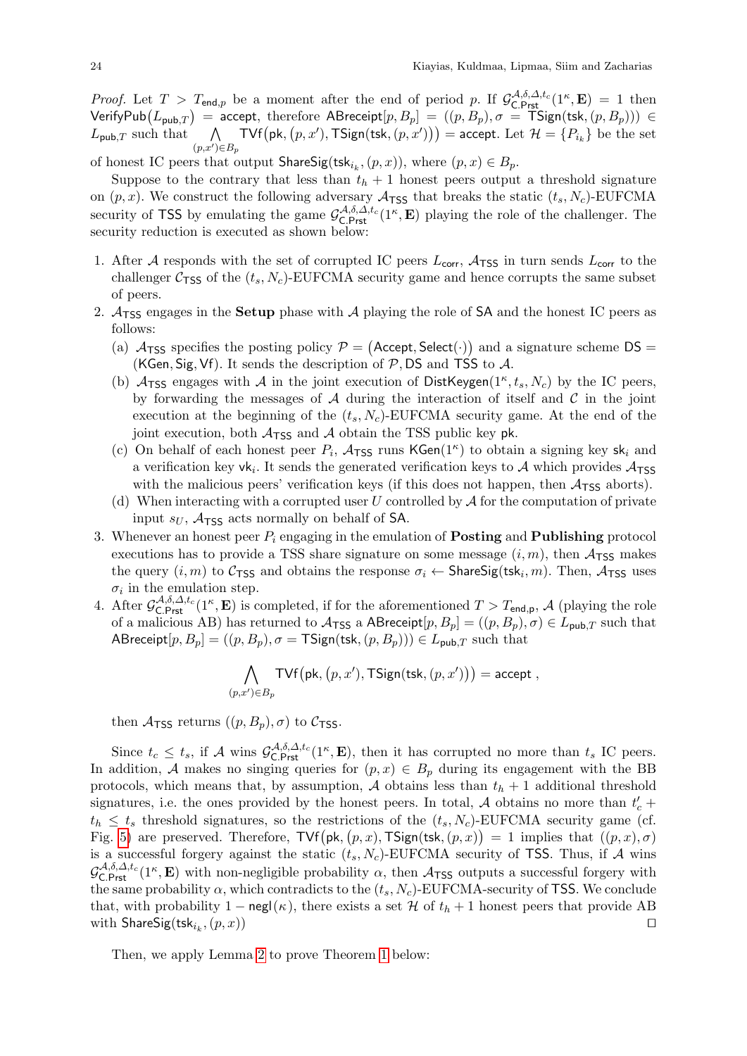*Proof.* Let  $T > T_{\text{end},p}$  be a moment after the end of period p. If  $\mathcal{G}_{\text{C.Prst}}^{\mathcal{A},\delta,\Delta,t_c}(1^\kappa,\mathbf{E}) = 1$  then Verify ${\sf Pub}(L_{\sf pub, T})$  = accept, therefore  ${\sf ABreecript}[p, B_p] = ((p, B_p), \sigma = {\sf TSign}({\sf tsk}, (p, B_p))) \in$  $L_{\text{pub},T}$  such that  $(p,x')\in B_p$  $\mathsf{TVf}\big(\mathsf{pk}, \big(p, x^\prime), \mathsf{TSign}(\mathsf{tsk}, (p, x^\prime)\big)\big) = \mathsf{accept}.$  Let  $\mathcal{H} = \{P_{i_k}\}$  be the set

of honest IC peers that output  $\mathsf{ShareSig}(\mathsf{tsk}_{i_k}, (p, x)),$  where  $(p, x) \in B_p$ .

Suppose to the contrary that less than  $t<sub>h</sub> + 1$  honest peers output a threshold signature on  $(p, x)$ . We construct the following adversary  $\mathcal{A}_{\text{TSS}}$  that breaks the static  $(t_s, N_c)$ -EUFCMA security of TSS by emulating the game  $\mathcal{G}_{\text{C.Prst}}^{\mathcal{A},\delta,\Delta,t_c}(1^{\kappa},\mathbf{E})$  playing the role of the challenger. The security reduction is executed as shown below:

- 1. After A responds with the set of corrupted IC peers  $L_{\text{corr}}$ ,  $A_{\text{TSS}}$  in turn sends  $L_{\text{corr}}$  to the challenger  $C_{\text{TSS}}$  of the  $(t_s, N_c)$ -EUFCMA security game and hence corrupts the same subset of peers.
- 2.  $A_{TSS}$  engages in the **Setup** phase with A playing the role of SA and the honest IC peers as follows:
	- (a)  $A_{TSS}$  specifies the posting policy  $P = ($ Accept, Select $(\cdot)$  and a signature scheme DS = (KGen, Sig, Vf). It sends the description of  $P$ , DS and TSS to  $A$ .
	- (b)  $A_{TSS}$  engages with A in the joint execution of DistKeygen( $1^{\kappa}, t_s, N_c$ ) by the IC peers, by forwarding the messages of  $A$  during the interaction of itself and  $C$  in the joint execution at the beginning of the  $(t_s, N_c)$ -EUFCMA security game. At the end of the joint execution, both  $A_{TSS}$  and A obtain the TSS public key pk.
	- (c) On behalf of each honest peer  $P_i$ ,  $\mathcal{A}_{\text{TSS}}$  runs KGen(1<sup> $\kappa$ </sup>) to obtain a signing key sk<sub>i</sub> and a verification key  $vk_i$ . It sends the generated verification keys to  $\mathcal A$  which provides  $\mathcal A_{\text{TSS}}$ with the malicious peers' verification keys (if this does not happen, then  $A_{\text{TSS}}$  aborts).
	- (d) When interacting with a corrupted user U controlled by  $A$  for the computation of private input  $s_U$ ,  $\mathcal{A}_{\text{TSS}}$  acts normally on behalf of SA.
- 3. Whenever an honest peer  $P_i$  engaging in the emulation of **Posting** and **Publishing** protocol executions has to provide a TSS share signature on some message  $(i, m)$ , then  $A_{\text{TSS}}$  makes the query  $(i, m)$  to  $C_{\text{TSS}}$  and obtains the response  $\sigma_i \leftarrow \text{ShareSig(tsk}_i, m)$ . Then,  $\mathcal{A}_{\text{TSS}}$  uses  $\sigma_i$  in the emulation step.
- 4. After  $\mathcal{G}_{\mathsf{C},\mathsf{Prst}}^{\mathcal{A},\delta,\mathcal{A},t_c}(1^{\kappa},\mathbf{E})$  is completed, if for the aforementioned  $T>T_{\mathsf{end},\mathsf{p}},\mathcal{A}$  (playing the role of a malicious AB) has returned to  $\mathcal{A}_{\text{TSS}}$  a ABreceipt $[p, B_p] = ((p, B_p), \sigma) \in L_{\text{pub},T}$  such that ABreceipt $[p, B_p] = ((p, B_p), \sigma = \text{TSign}(\text{tsk}, (p, B_p))) \in L_{\text{pub},T}$  such that

$$
\bigwedge_{(p,x')\in B_p} \mathsf{TVf}\big(\mathsf{pk}, \big(p,x'\big), \mathsf{TSign}(\mathsf{tsk}, (p,x')\big)\big) = \mathsf{accept} \;,
$$

then  $\mathcal{A}_{TSS}$  returns  $((p, B_p), \sigma)$  to  $\mathcal{C}_{TSS}$ .

Since  $t_c \leq t_s$ , if A wins  $\mathcal{G}_{\text{C.Prst}}^{\mathcal{A},\delta,\Delta,t_c}(1^{\kappa},\mathbf{E})$ , then it has corrupted no more than  $t_s$  IC peers. In addition, A makes no singing queries for  $(p, x) \in B_p$  during its engagement with the BB protocols, which means that, by assumption, A obtains less than  $t<sub>h</sub> + 1$  additional threshold signatures, i.e. the ones provided by the honest peers. In total,  $A$  obtains no more than  $t'_{c}$  +  $t_h \leq t_s$  threshold signatures, so the restrictions of the  $(t_s, N_c)$ -EUFCMA security game (cf. Fig. [5\)](#page-18-4) are preserved. Therefore,  $TVf(pk, (p, x), TSign(tsk, (p, x)) = 1$  implies that  $((p, x), \sigma)$ is a successful forgery against the static  $(t_s, N_c)$ -EUFCMA security of TSS. Thus, if A wins  $\mathcal{G}^{\mathcal{A},\delta,\Delta,t_c}_{\mathsf{C}.\mathsf{Prst}}(1^{\kappa},\mathbf{E})$  with non-negligible probability  $\alpha$ , then  $\mathcal{A}_{\mathsf{TSS}}$  outputs a successful forgery with the same probability  $\alpha$ , which contradicts to the  $(t_s, N_c)$ -EUFCMA-security of TSS. We conclude that, with probability 1 – negl( $\kappa$ ), there exists a set H of  $t_h + 1$  honest peers that provide AB with  $\mathsf{ShareSig}(\mathsf{tsk}_{i_k}, (p, x))$ ,  $(p, x)$ )

Then, we apply Lemma [2](#page-24-1) to prove Theorem [1](#page-15-2) below: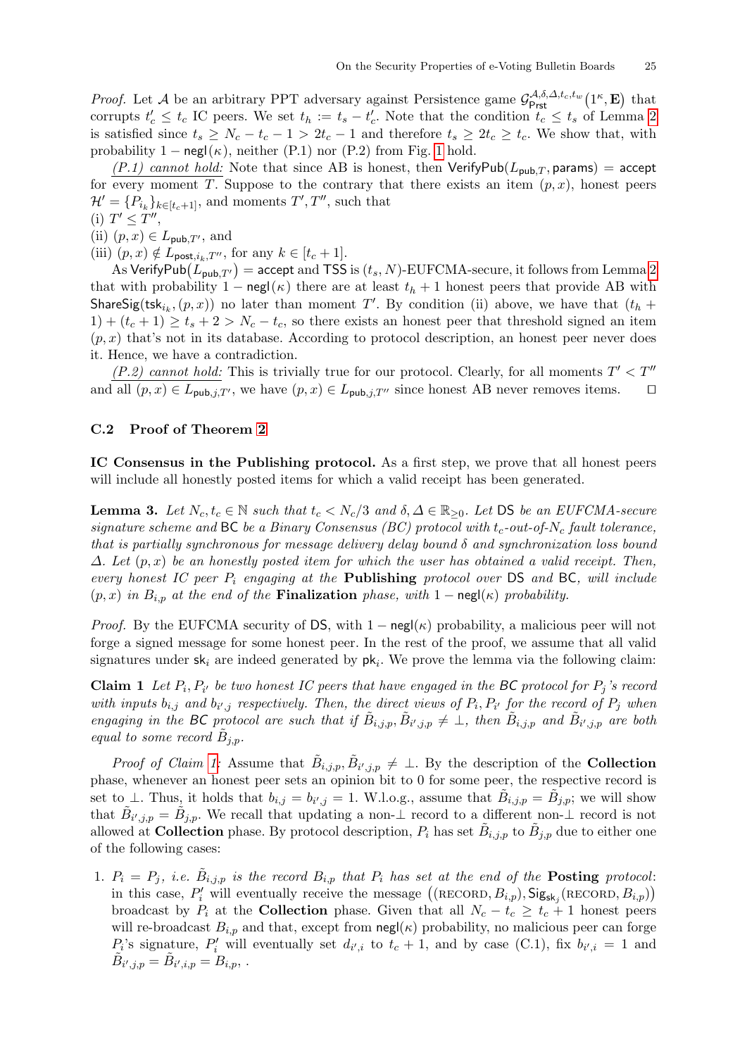*Proof.* Let A be an arbitrary PPT adversary against Persistence game  $\mathcal{G}^{\mathcal{A},\delta,\Delta,t_c,t_w}_{\text{Prst}}(1^\kappa,\mathbf{E})$  that corrupts  $t_c \leq t_c$  IC peers. We set  $t_h := t_s - t_c'$ . Note that the condition  $t_c \leq t_s$  of Lemma [2](#page-24-1) is satisfied since  $t_s \ge N_c - t_c - 1 > 2t_c - 1$  and therefore  $t_s \ge 2t_c \ge t_c$ . We show that, with probability [1](#page-8-0) – negl( $\kappa$ ), neither (P.1) nor (P.2) from Fig. 1 hold.

 $(P.1)$  cannot hold: Note that since AB is honest, then VerifyPub $(L_{pub,T},$  params) = accept for every moment T. Suppose to the contrary that there exists an item  $(p, x)$ , honest peers  $\mathcal{H}' = \{P_{i_k}\}_{k \in [t_c+1]}$ , and moments  $T', T''$ , such that (i)  $T' \leq T''$ ,

- (ii)  $(p, x) \in L_{\text{pub},T'}$ , and
- (iii)  $(p, x) \notin L_{\text{post},i_k,T''}$ , for any  $k \in [t_c + 1]$ .

As VerifyPub $(L_{\text{pub},T'})$  = accept and TSS is  $(t_s, N)$ -EUFCMA-secure, it follows from Lemma [2](#page-24-1) that with probability 1 – negl( $\kappa$ ) there are at least  $t_h + 1$  honest peers that provide AB with ShareSig(tsk<sub>ik</sub>,  $(p, x)$ ) no later than moment T'. By condition (ii) above, we have that  $(t_h +$  $1+(t_c+1) \geq t_s+2 > N_c-t_c$ , so there exists an honest peer that threshold signed an item  $(p, x)$  that's not in its database. According to protocol description, an honest peer never does it. Hence, we have a contradiction.

(P.2) cannot hold: This is trivially true for our protocol. Clearly, for all moments  $T' < T''$ and all  $(p, x) \in L_{\text{pub},j,T'}$ , we have  $(p, x) \in L_{\text{pub},j,T''}$  since honest AB never removes items.  $\Box$ 

#### <span id="page-26-1"></span>C.2 Proof of Theorem [2](#page-15-1)

IC Consensus in the Publishing protocol. As a first step, we prove that all honest peers will include all honestly posted items for which a valid receipt has been generated.

<span id="page-26-0"></span>**Lemma 3.** Let  $N_c, t_c \in \mathbb{N}$  such that  $t_c < N_c/3$  and  $\delta, \Delta \in \mathbb{R}_{\geq 0}$ . Let DS be an EUFCMA-secure signature scheme and BC be a Binary Consensus (BC) protocol with  $t_c$ -out-of-N<sub>c</sub> fault tolerance, that is partially synchronous for message delivery delay bound  $\delta$  and synchronization loss bound  $\Delta$ . Let  $(p, x)$  be an honestly posted item for which the user has obtained a valid receipt. Then, every honest IC peer  $P_i$  engaging at the **Publishing** protocol over  $DS$  and  $BC$ , will include  $(p, x)$  in  $B_{i,p}$  at the end of the **Finalization** phase, with 1 – negl( $\kappa$ ) probability.

*Proof.* By the EUFCMA security of DS, with  $1 - \text{negl}(\kappa)$  probability, a malicious peer will not forge a signed message for some honest peer. In the rest of the proof, we assume that all valid signatures under  $sk_i$  are indeed generated by  $pk_i$ . We prove the lemma via the following claim:

<span id="page-26-2"></span>**Claim 1** Let  $P_i, P_{i'}$  be two honest IC peers that have engaged in the BC protocol for  $P_j$ 's record with inputs  $b_{i,j}$  and  $b_{i',j}$  respectively. Then, the direct views of  $P_i, P_{i'}$  for the record of  $P_j$  when engaging in the BC protocol are such that if  $\tilde{B}_{i,j,p}, \tilde{B}_{i',j,p} \neq \bot$ , then  $\tilde{B}_{i,j,p}$  and  $\tilde{B}_{i',j,p}$  are both equal to some record  $\tilde{B}_{j,p}$ .

*Proof of Claim [1:](#page-26-2)* Assume that  $\tilde{B}_{i,j,p}, \tilde{B}_{i',j,p} \neq \perp$ . By the description of the **Collection** phase, whenever an honest peer sets an opinion bit to 0 for some peer, the respective record is set to  $\perp$ . Thus, it holds that  $b_{i,j} = b_{i',j} = 1$ . W.l.o.g., assume that  $\tilde{B}_{i,j,p} = \tilde{B}_{j,p}$ ; we will show that  $\tilde{B}_{i',j,p} = \tilde{B}_{j,p}$ . We recall that updating a non- $\perp$  record to a different non- $\perp$  record is not allowed at **Collection** phase. By protocol description,  $P_i$  has set  $\tilde{B}_{i,j,p}$  to  $\tilde{B}_{j,p}$  due to either one of the following cases:

1.  $P_i = P_j$ , i.e.  $\tilde{B}_{i,j,p}$  is the record  $B_{i,p}$  that  $P_i$  has set at the end of the **Posting** protocol: in this case,  $P'_i$  will eventually receive the message  $((RECORD, B_{i,p}), Sig_{sk_j}(RECORD, B_{i,p}))$ broadcast by  $P_i$  at the **Collection** phase. Given that all  $N_c - t_c \geq t_c + 1$  honest peers will re-broadcast  $B_{i,p}$  and that, except from  $\operatorname{negl}(\kappa)$  probability, no malicious peer can forge  $P_i$ 's signature,  $P'_i$  will eventually set  $d_{i',i}$  to  $t_c + 1$ , and by case (C.1), fix  $b_{i',i} = 1$  and  $\tilde{B}_{i',j,p} = \tilde{B}_{i',i,p} = B_{i,p},$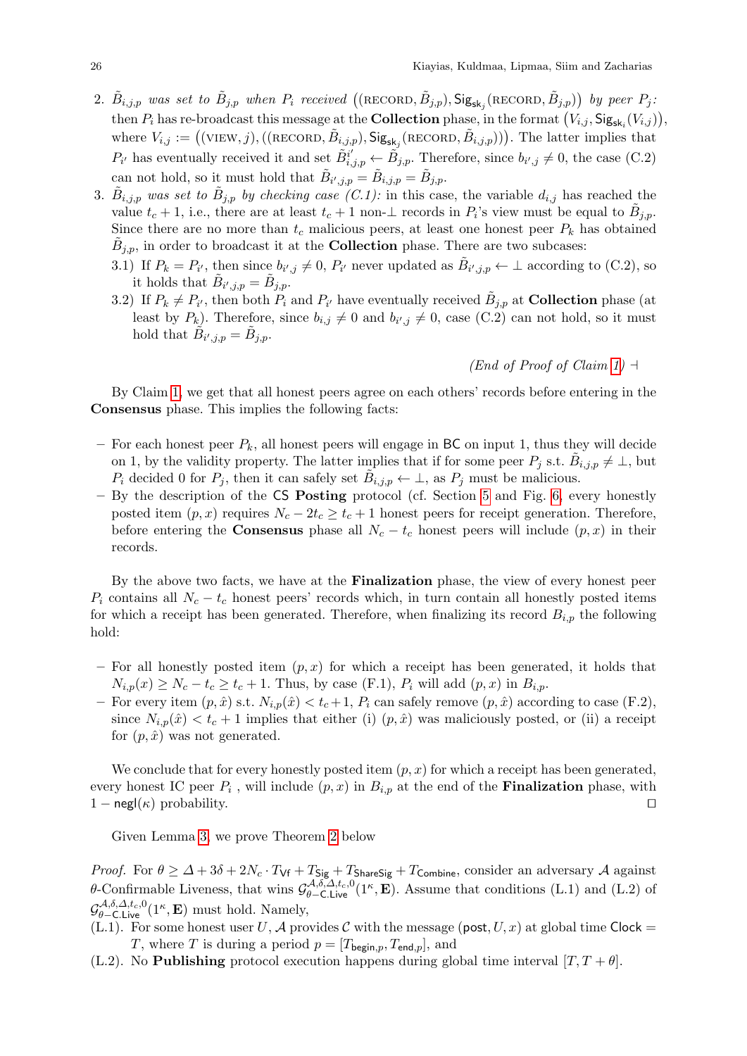- 2.  $\tilde{B}_{i,j,p}$  was set to  $\tilde{B}_{j,p}$  when  $P_i$  received  $((\text{RECORD}, \tilde{B}_{j,p}), \text{Sig}_{\textbf{sk}_j}(\text{RECORD}, \tilde{B}_{j,p}))$  by peer  $P_j$ : then  $P_i$  has re-broadcast this message at the **Collection** phase, in the format  $(V_{i,j}, \text{Sig}_{\text{sk}_i}(V_{i,j}))$ , where  $V_{i,j} := ((\text{VIEW}, j), ((\text{RECORD}, \tilde{B}_{i,j,p}), \text{Sig}_{sk_j}(\text{RECORD}, \tilde{B}_{i,j,p})))$ . The latter implies that  $P_{i'}$  has eventually received it and set  $\tilde{B}_{i,j,p}^{i'} \leftarrow \tilde{B}_{j,p}$ . Therefore, since  $b_{i',j} \neq 0$ , the case (C.2) can not hold, so it must hold that  $\tilde{B}_{i',j,p} = \tilde{B}_{i,j,p} = \tilde{B}_{j,p}$ .
- 3.  $\tilde{B}_{i,j,p}$  was set to  $\tilde{B}_{j,p}$  by checking case (C.1): in this case, the variable  $d_{i,j}$  has reached the value  $t_c + 1$ , i.e., there are at least  $t_c + 1$  non- $\perp$  records in  $P_i$ 's view must be equal to  $\tilde{B}_{j,p}$ . Since there are no more than  $t_c$  malicious peers, at least one honest peer  $P_k$  has obtained  $\tilde{B}_{j,p}$ , in order to broadcast it at the **Collection** phase. There are two subcases:
	- 3.1) If  $P_k = P_{i'}$ , then since  $b_{i',j} \neq 0$ ,  $P_{i'}$  never updated as  $\tilde{B}_{i',j,p} \leftarrow \perp$  according to (C.2), so it holds that  $\tilde{B}_{i',j,p} = \tilde{B}_{j,p}$ .
	- 3.2) If  $P_k \neq P_{i'}$ , then both  $P_i$  and  $P_{i'}$  have eventually received  $\tilde{B}_{j,p}$  at **Collection** phase (at least by  $P_k$ ). Therefore, since  $b_{i,j} \neq 0$  and  $b_{i',j} \neq 0$ , case (C.2) can not hold, so it must hold that  $\tilde{B}_{i',j,p} = \tilde{B}_{j,p}$ .

## (End of Proof of Claim [1\)](#page-26-2)  $\neg$

By Claim [1,](#page-26-2) we get that all honest peers agree on each others' records before entering in the Consensus phase. This implies the following facts:

- For each honest peer  $P_k$ , all honest peers will engage in BC on input 1, thus they will decide on 1, by the validity property. The latter implies that if for some peer  $P_j$  s.t.  $\tilde{B}_{i,j,p} \neq \perp$ , but  $P_i$  decided 0 for  $P_j$ , then it can safely set  $\tilde{B}_{i,j,p} \leftarrow \perp$ , as  $P_j$  must be malicious.
- By the description of the CS Posting protocol (cf. Section [5](#page-9-0) and Fig. [6,](#page-18-0) every honestly posted item  $(p, x)$  requires  $N_c - 2t_c \ge t_c + 1$  honest peers for receipt generation. Therefore, before entering the **Consensus** phase all  $N_c - t_c$  honest peers will include  $(p, x)$  in their records.

By the above two facts, we have at the Finalization phase, the view of every honest peer  $P_i$  contains all  $N_c - t_c$  honest peers' records which, in turn contain all honestly posted items for which a receipt has been generated. Therefore, when finalizing its record  $B_{i,p}$  the following hold:

- For all honestly posted item  $(p, x)$  for which a receipt has been generated, it holds that  $N_{i,p}(x) \geq N_c - t_c \geq t_c + 1$ . Thus, by case (F.1),  $P_i$  will add  $(p, x)$  in  $B_{i,p}$ .
- For every item  $(p, \hat{x})$  s.t.  $N_{i,p}(\hat{x}) < t_c + 1$ ,  $P_i$  can safely remove  $(p, \hat{x})$  according to case (F.2), since  $N_{i,p}(\hat{x}) < t_c + 1$  implies that either (i)  $(p, \hat{x})$  was maliciously posted, or (ii) a receipt for  $(p, \hat{x})$  was not generated.

We conclude that for every honestly posted item  $(p, x)$  for which a receipt has been generated, every honest IC peer  $P_i$ , will include  $(p, x)$  in  $B_{i,p}$  at the end of the **Finalization** phase, with  $1 - \text{negl}(\kappa)$  probability.

Given Lemma [3,](#page-26-0) we prove Theorem [2](#page-15-1) below

*Proof.* For  $\theta \geq \Delta + 3\delta + 2N_c \cdot T_{\text{Vf}} + T_{\text{Sig}} + T_{\text{ShareSig}} + T_{\text{Combine}}$ , consider an adversary A against θ-Confirmable Liveness, that wins  $\mathcal{G}^{\mathcal{A},\delta,\Delta,t_c,0}_{\theta-\mathsf{C},\mathsf{Live}}(1^{\kappa},\mathbf{E})$ . Assume that conditions (L.1) and (L.2) of  $\mathcal{G}^{\mathcal{A},\delta,\Delta,t_c,0}_{\theta-\textsf{C.Live}}(1^{\kappa},\mathbf{E})$  must hold. Namely,

- (L.1). For some honest user U, A provides C with the message (post,  $U, x$ ) at global time Clock = T, where T is during a period  $p = [T_{\text{begin},p}, T_{\text{end},p}]$ , and
- (L.2). No **Publishing** protocol execution happens during global time interval  $[T, T + \theta]$ .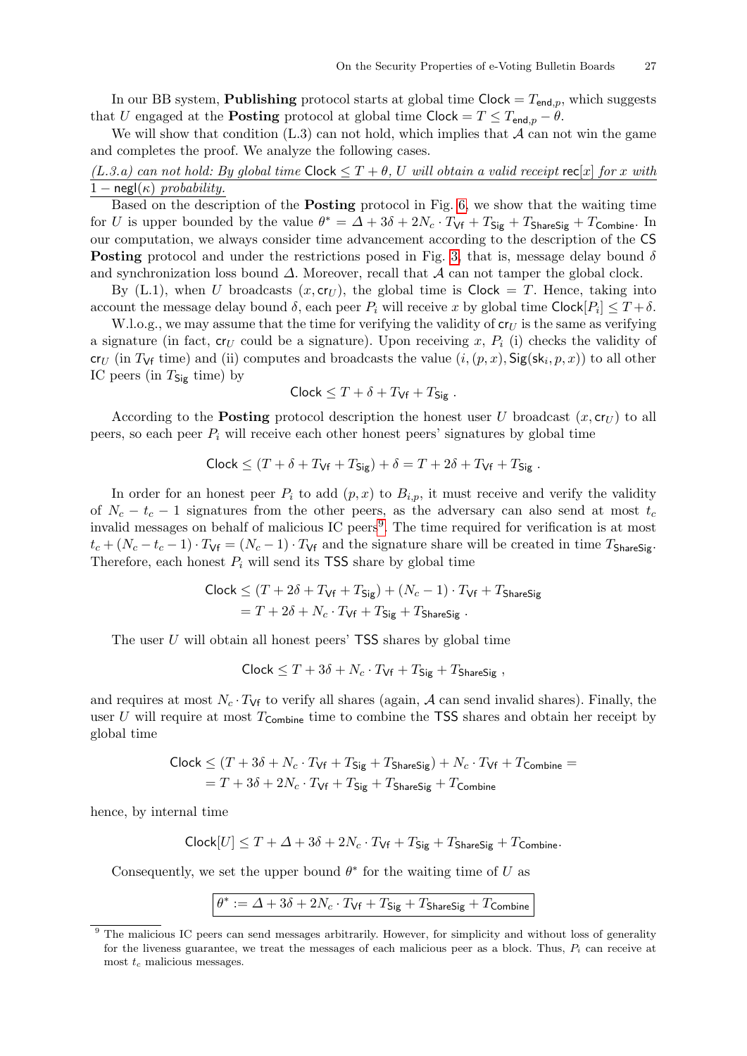In our BB system, **Publishing** protocol starts at global time  $Clock = T_{end,p}$ , which suggests that U engaged at the **Posting** protocol at global time Clock =  $T \leq T_{\text{end},p} - \theta$ .

We will show that condition  $(L.3)$  can not hold, which implies that  $A$  can not win the game and completes the proof. We analyze the following cases.

## $(L.3.a)$  can not hold: By global time Clock  $\leq T+\theta$ , U will obtain a valid receipt rec $[x]$  for x with  $1 - \text{negl}(\kappa)$  probability.

Based on the description of the **Posting** protocol in Fig. [6,](#page-18-0) we show that the waiting time for U is upper bounded by the value  $\theta^* = \Delta + 3\delta + 2N_c \cdot T_{\text{Vf}} + T_{\text{Sig}} + T_{\text{ShareSig}} + T_{\text{Combine}}$ . In our computation, we always consider time advancement according to the description of the CS **Posting** protocol and under the restrictions posed in Fig. [3,](#page-9-1) that is, message delay bound  $\delta$ and synchronization loss bound  $\Delta$ . Moreover, recall that  $\mathcal A$  can not tamper the global clock.

By (L.1), when U broadcasts  $(x, \text{cr}_U)$ , the global time is Clock = T. Hence, taking into account the message delay bound  $\delta$ , each peer  $P_i$  will receive x by global time Clock $[P_i] \leq T + \delta$ .

W.l.o.g., we may assume that the time for verifying the validity of  $cr_U$  is the same as verifying a signature (in fact,  $c_{U}$  could be a signature). Upon receiving x,  $P_i$  (i) checks the validity of cr<sub>U</sub> (in T<sub>Vf</sub> time) and (ii) computes and broadcasts the value  $(i,(p,x),$  Sig(sk<sub>i</sub>,  $p,x$ )) to all other IC peers (in  $T_{\text{Sig}}$  time) by

$$
Clock \leq T + \delta + T_{Vf} + T_{Sig} .
$$

According to the **Posting** protocol description the honest user U broadcast  $(x, c_{U})$  to all peers, so each peer  $P_i$  will receive each other honest peers' signatures by global time

$$
\mathsf{Clock} \le (T + \delta + T_{\mathsf{Vf}} + T_{\mathsf{Sig}}) + \delta = T + 2\delta + T_{\mathsf{Vf}} + T_{\mathsf{Sig}}.
$$

In order for an honest peer  $P_i$  to add  $(p, x)$  to  $B_{i,p}$ , it must receive and verify the validity of  $N_c - t_c - 1$  signatures from the other peers, as the adversary can also send at most  $t_c$ invalid messages on behalf of malicious IC peers<sup>[9](#page-28-0)</sup>. The time required for verification is at most  $t_c + (N_c - t_c - 1) \cdot T_{\rm Vf} = (N_c - 1) \cdot T_{\rm Vf}$  and the signature share will be created in time  $T_{\rm ShareSi}$ . Therefore, each honest  $P_i$  will send its TSS share by global time

$$
\begin{aligned} \text{Clock} &\leq (T + 2\delta + T_{\text{Vf}} + T_{\text{Sig}}) + (N_c - 1) \cdot T_{\text{Vf}} + T_{\text{ShareSig}} \\ &= T + 2\delta + N_c \cdot T_{\text{Vf}} + T_{\text{Sig}} + T_{\text{ShareSig}} \,. \end{aligned}
$$

The user  $U$  will obtain all honest peers'  $TSS$  shares by global time

 $Clock \leq T + 3\delta + N_c \cdot T_{\mathsf{Vf}} + T_{\mathsf{Size}} + T_{\mathsf{ShareSig}}$ ,

and requires at most  $N_c \cdot T_{\text{Vf}}$  to verify all shares (again, A can send invalid shares). Finally, the user U will require at most  $T_{\text{Combine}}$  time to combine the TSS shares and obtain her receipt by global time

$$
\text{Clock} \le (T + 3\delta + N_c \cdot T_{\text{Vf}} + T_{\text{Sig}} + T_{\text{ShareSig}}) + N_c \cdot T_{\text{Vf}} + T_{\text{Combine}} =
$$
  
= T + 3\delta + 2N\_c \cdot T\_{\text{Vf}} + T\_{\text{Sig}} + T\_{\text{ShareSig}} + T\_{\text{Combine}}

hence, by internal time

$$
\mathsf{Clock}[U] \leq T + \Delta + 3\delta + 2N_c \cdot T_{\mathsf{Vf}} + T_{\mathsf{Sig}} + T_{\mathsf{ShareSig}} + T_{\mathsf{Combine}}.
$$

Consequently, we set the upper bound  $\theta^*$  for the waiting time of U as

$$
\theta^* := \varDelta + 3\delta + 2N_c \cdot T_{\mathsf{Vf}} + T_{\mathsf{Sig}} + T_{\mathsf{ShareSig}} + T_{\mathsf{Combine}}
$$

<span id="page-28-0"></span><sup>&</sup>lt;sup>9</sup> The malicious IC peers can send messages arbitrarily. However, for simplicity and without loss of generality for the liveness guarantee, we treat the messages of each malicious peer as a block. Thus,  $P_i$  can receive at most  $t_c$  malicious messages.